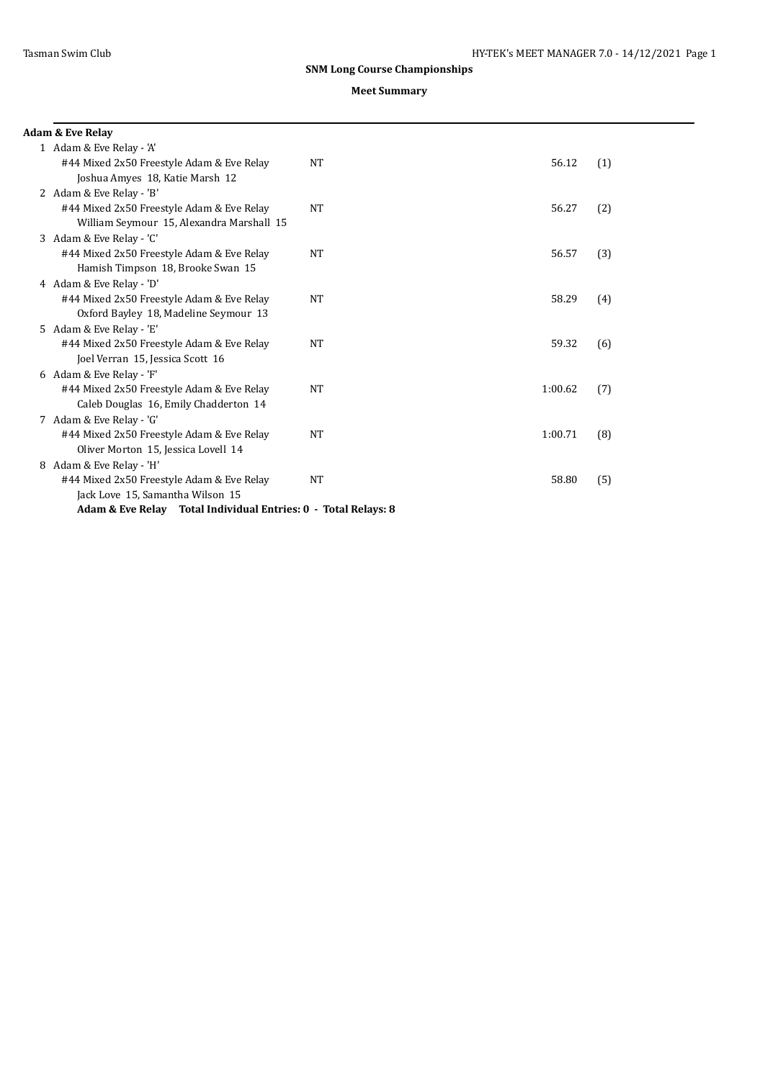| <b>Adam &amp; Eve Relay</b>                                    |           |         |     |
|----------------------------------------------------------------|-----------|---------|-----|
| 1 Adam & Eve Relay - 'A'                                       |           |         |     |
| #44 Mixed 2x50 Freestyle Adam & Eve Relay                      | <b>NT</b> | 56.12   | (1) |
| Joshua Amyes 18, Katie Marsh 12                                |           |         |     |
| 2 Adam & Eve Relay - 'B'                                       |           |         |     |
| #44 Mixed 2x50 Freestyle Adam & Eve Relay                      | <b>NT</b> | 56.27   | (2) |
| William Seymour 15, Alexandra Marshall 15                      |           |         |     |
| 3 Adam & Eve Relay - 'C'                                       |           |         |     |
| #44 Mixed 2x50 Freestyle Adam & Eve Relay                      | <b>NT</b> | 56.57   | (3) |
| Hamish Timpson 18, Brooke Swan 15                              |           |         |     |
| 4 Adam & Eve Relay - 'D'                                       |           |         |     |
| #44 Mixed 2x50 Freestyle Adam & Eve Relay                      | NT        | 58.29   | (4) |
| Oxford Bayley 18, Madeline Seymour 13                          |           |         |     |
| 5 Adam & Eve Relay - 'E'                                       |           |         |     |
| #44 Mixed 2x50 Freestyle Adam & Eve Relay                      | <b>NT</b> | 59.32   | (6) |
| Joel Verran 15, Jessica Scott 16                               |           |         |     |
| 6 Adam & Eve Relay - 'F'                                       |           |         |     |
| #44 Mixed 2x50 Freestyle Adam & Eve Relay                      | <b>NT</b> | 1:00.62 | (7) |
| Caleb Douglas 16, Emily Chadderton 14                          |           |         |     |
| 7 Adam & Eve Relay - 'G'                                       |           |         |     |
| #44 Mixed 2x50 Freestyle Adam & Eve Relay                      | NT        | 1:00.71 | (8) |
| Oliver Morton 15, Jessica Lovell 14                            |           |         |     |
| 8 Adam & Eve Relay - 'H'                                       |           |         |     |
| #44 Mixed 2x50 Freestyle Adam & Eve Relay                      | <b>NT</b> | 58.80   | (5) |
| Jack Love 15, Samantha Wilson 15                               |           |         |     |
| Adam & Eve Relay Total Individual Entries: 0 - Total Relays: 8 |           |         |     |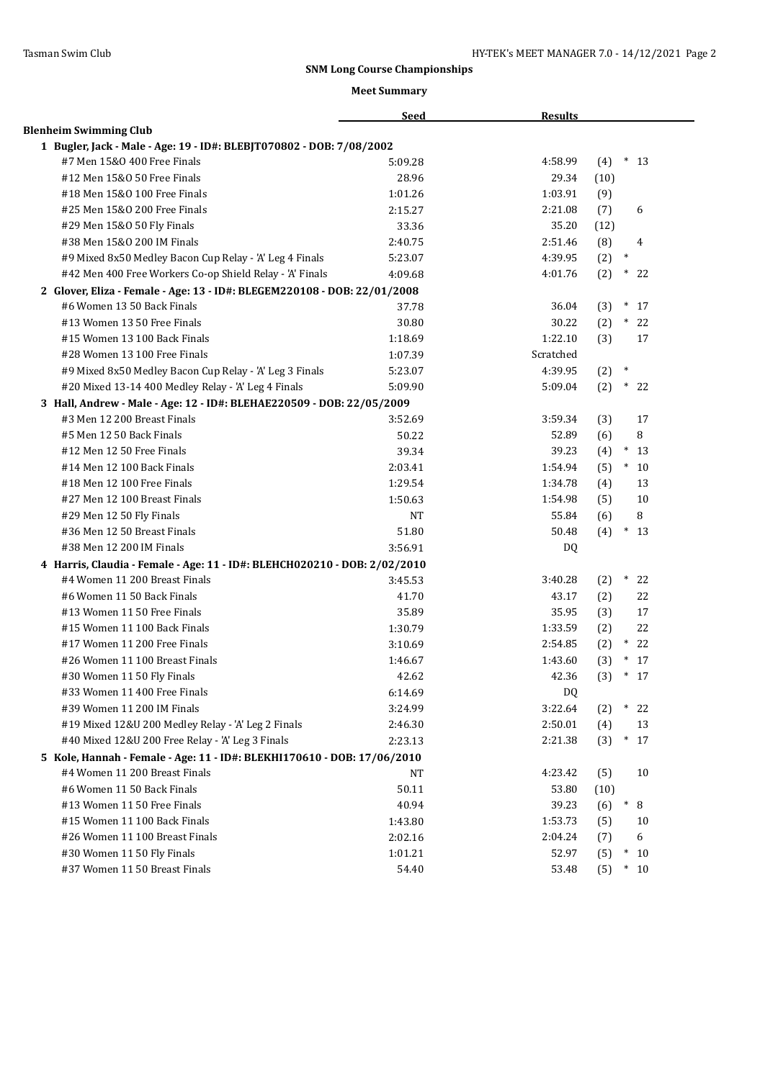|                                                                           | <b>Seed</b> | <b>Results</b> |                      |
|---------------------------------------------------------------------------|-------------|----------------|----------------------|
| <b>Blenheim Swimming Club</b>                                             |             |                |                      |
| 1 Bugler, Jack - Male - Age: 19 - ID#: BLEBJT070802 - DOB: 7/08/2002      |             |                |                      |
| #7 Men 15&0 400 Free Finals                                               | 5:09.28     | 4:58.99        | $*13$<br>(4)         |
| #12 Men 15&0 50 Free Finals                                               | 28.96       | 29.34          | (10)                 |
| #18 Men 15&0 100 Free Finals                                              | 1:01.26     | 1:03.91        | (9)                  |
| #25 Men 15&0 200 Free Finals                                              | 2:15.27     | 2:21.08        | (7)<br>6             |
| #29 Men 15&0 50 Fly Finals                                                | 33.36       | 35.20          | (12)                 |
| #38 Men 15&0 200 IM Finals                                                | 2:40.75     | 2:51.46        | (8)<br>4             |
| #9 Mixed 8x50 Medley Bacon Cup Relay - 'A' Leg 4 Finals                   | 5:23.07     | 4:39.95        | $\ast$<br>(2)        |
| #42 Men 400 Free Workers Co-op Shield Relay - 'A' Finals                  | 4:09.68     | 4:01.76        | $\ast$<br>(2)<br>22  |
| 2 Glover, Eliza - Female - Age: 13 - ID#: BLEGEM220108 - DOB: 22/01/2008  |             |                |                      |
| #6 Women 13 50 Back Finals                                                | 37.78       | 36.04          | (3)<br>$*17$         |
| #13 Women 13 50 Free Finals                                               | 30.80       | 30.22          | (2)<br>$\ast$<br>22  |
| #15 Women 13 100 Back Finals                                              | 1:18.69     | 1:22.10        | 17<br>(3)            |
| #28 Women 13 100 Free Finals                                              | 1:07.39     | Scratched      |                      |
| #9 Mixed 8x50 Medley Bacon Cup Relay - 'A' Leg 3 Finals                   | 5:23.07     | 4:39.95        | $\ast$<br>(2)        |
| #20 Mixed 13-14 400 Medley Relay - 'A' Leg 4 Finals                       | 5:09.90     | 5:09.04        | (2)<br>$*22$         |
| 3 Hall, Andrew - Male - Age: 12 - ID#: BLEHAE220509 - DOB: 22/05/2009     |             |                |                      |
| #3 Men 12 200 Breast Finals                                               | 3:52.69     | 3:59.34        | (3)<br>17            |
| #5 Men 12 50 Back Finals                                                  | 50.22       | 52.89          | 8<br>(6)             |
| #12 Men 12 50 Free Finals                                                 | 39.34       | 39.23          | $\ast$<br>(4)<br>-13 |
| #14 Men 12 100 Back Finals                                                | 2:03.41     | 1:54.94        | (5)<br>$\ast$<br>10  |
| #18 Men 12 100 Free Finals                                                | 1:29.54     | 1:34.78        | 13<br>(4)            |
| #27 Men 12 100 Breast Finals                                              | 1:50.63     | 1:54.98        | 10<br>(5)            |
| #29 Men 12 50 Fly Finals                                                  | <b>NT</b>   | 55.84          | 8<br>(6)             |
| #36 Men 12 50 Breast Finals                                               | 51.80       | 50.48          | $*13$<br>(4)         |
| #38 Men 12 200 IM Finals                                                  | 3:56.91     | DQ             |                      |
| 4 Harris, Claudia - Female - Age: 11 - ID#: BLEHCH020210 - DOB: 2/02/2010 |             |                |                      |
| #4 Women 11 200 Breast Finals                                             | 3:45.53     | 3:40.28        | $(2)$ * 22           |
| #6 Women 11 50 Back Finals                                                | 41.70       | 43.17          | (2)<br>22            |
| #13 Women 11 50 Free Finals                                               | 35.89       | 35.95          | (3)<br>17            |
| #15 Women 11 100 Back Finals                                              | 1:30.79     | 1:33.59        | 22<br>(2)            |
| #17 Women 11 200 Free Finals                                              | 3:10.69     | 2:54.85        | (2)<br>$*22$         |
| #26 Women 11 100 Breast Finals                                            | 1:46.67     | 1:43.60        | (3)<br>$*17$         |
| #30 Women 11 50 Fly Finals                                                | 42.62       | 42.36          | (3)<br>$*17$         |
| #33 Women 11 400 Free Finals                                              | 6:14.69     | DQ             |                      |
| #39 Women 11 200 IM Finals                                                | 3:24.99     | 3:22.64        | $\ast$<br>22<br>(2)  |
| #19 Mixed 12&U 200 Medley Relay - 'A' Leg 2 Finals                        | 2:46.30     | 2:50.01        | (4)<br>13            |
| #40 Mixed 12&U 200 Free Relay - 'A' Leg 3 Finals                          | 2:23.13     | 2:21.38        | $\ast$<br>(3)<br>17  |
| 5 Kole, Hannah - Female - Age: 11 - ID#: BLEKHI170610 - DOB: 17/06/2010   |             |                |                      |
| #4 Women 11 200 Breast Finals                                             | NT          | 4:23.42        | 10<br>(5)            |
| #6 Women 11 50 Back Finals                                                | 50.11       | 53.80          | (10)                 |
| #13 Women 11 50 Free Finals                                               | 40.94       | 39.23          | $\ast$<br>8<br>(6)   |
| #15 Women 11 100 Back Finals                                              | 1:43.80     | 1:53.73        | (5)<br>10            |
| #26 Women 11 100 Breast Finals                                            | 2:02.16     | 2:04.24        | 6<br>(7)             |
| #30 Women 11 50 Fly Finals                                                | 1:01.21     | 52.97          | (5)<br>$\ast$<br>10  |
| #37 Women 11 50 Breast Finals                                             | 54.40       | 53.48          | (5)<br>$*10$         |
|                                                                           |             |                |                      |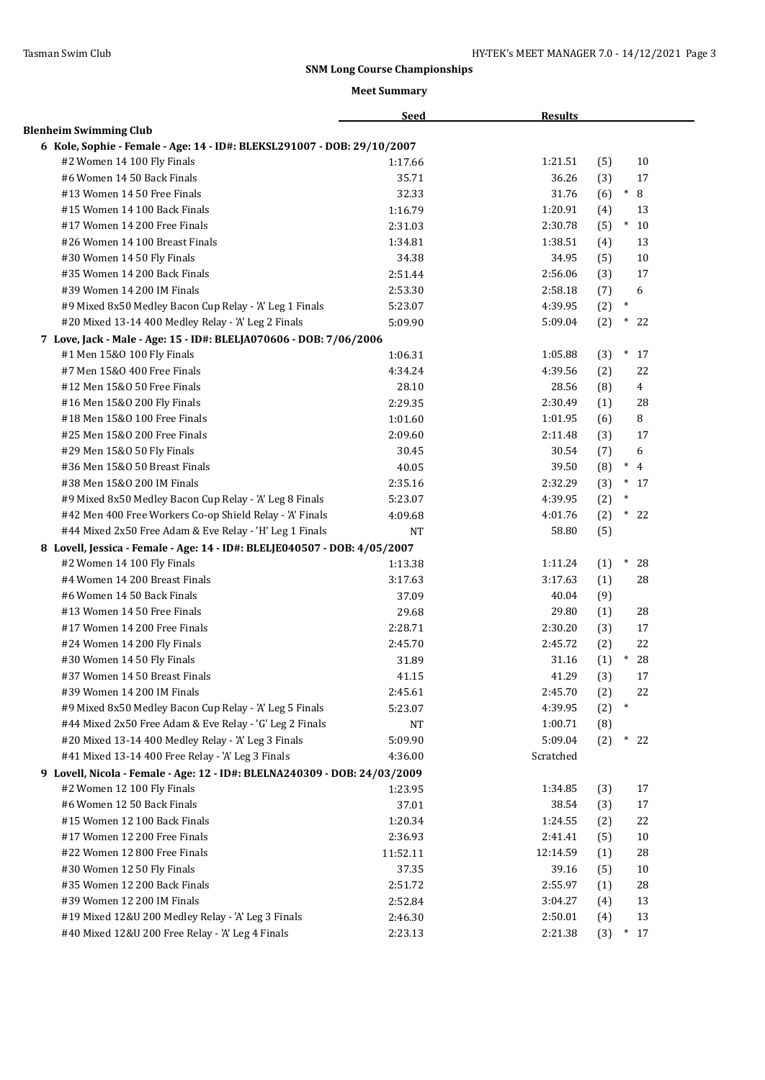|                                                                           | <b>Seed</b>      | <b>Results</b>       |                       |
|---------------------------------------------------------------------------|------------------|----------------------|-----------------------|
| <b>Blenheim Swimming Club</b>                                             |                  |                      |                       |
| 6 Kole, Sophie - Female - Age: 14 - ID#: BLEKSL291007 - DOB: 29/10/2007   |                  |                      |                       |
| #2 Women 14 100 Fly Finals                                                | 1:17.66          | 1:21.51              | 10<br>(5)             |
| #6 Women 14 50 Back Finals                                                | 35.71            | 36.26                | 17<br>(3)             |
| #13 Women 14 50 Free Finals                                               | 32.33            | 31.76                | 8<br>$\ast$<br>(6)    |
| #15 Women 14 100 Back Finals                                              | 1:16.79          | 1:20.91              | (4)<br>13             |
| #17 Women 14 200 Free Finals                                              | 2:31.03          | 2:30.78              | $\ast$<br>(5)<br>10   |
| #26 Women 14 100 Breast Finals                                            | 1:34.81          | 1:38.51              | 13<br>(4)             |
| #30 Women 14 50 Fly Finals                                                | 34.38            | 34.95                | (5)<br>10             |
| #35 Women 14 200 Back Finals                                              | 2:51.44          | 2:56.06              | (3)<br>17             |
| #39 Women 14 200 IM Finals                                                | 2:53.30          | 2:58.18              | 6<br>(7)              |
| #9 Mixed 8x50 Medley Bacon Cup Relay - 'A' Leg 1 Finals                   | 5:23.07          | 4:39.95              | $\ast$<br>(2)         |
| #20 Mixed 13-14 400 Medley Relay - 'A' Leg 2 Finals                       | 5:09.90          | 5:09.04              | $\ast$<br>(2)<br>22   |
| 7 Love, Jack - Male - Age: 15 - ID#: BLELJA070606 - DOB: 7/06/2006        |                  |                      |                       |
| #1 Men 15&0 100 Fly Finals                                                | 1:06.31          | 1:05.88              | $\ast$<br>(3)<br>17   |
| #7 Men 15&0 400 Free Finals                                               | 4:34.24          | 4:39.56              | 22<br>(2)             |
| #12 Men 15&0 50 Free Finals                                               | 28.10            | 28.56                | $\overline{4}$<br>(8) |
| #16 Men 15&0 200 Fly Finals                                               | 2:29.35          | 2:30.49              | 28<br>(1)             |
| #18 Men 15&0 100 Free Finals                                              | 1:01.60          | 1:01.95              | 8<br>(6)              |
| #25 Men 15&0 200 Free Finals                                              | 2:09.60          | 2:11.48              | (3)<br>17             |
| #29 Men 15&0 50 Fly Finals                                                | 30.45            | 30.54                | (7)<br>6              |
| #36 Men 15&0 50 Breast Finals                                             | 40.05            | 39.50                | $\ast$<br>(8)<br>4    |
| #38 Men 15&0 200 IM Finals                                                | 2:35.16          | 2:32.29              | $*17$<br>(3)          |
| #9 Mixed 8x50 Medley Bacon Cup Relay - 'A' Leg 8 Finals                   | 5:23.07          | 4:39.95              | $\ast$<br>(2)         |
| #42 Men 400 Free Workers Co-op Shield Relay - 'A' Finals                  | 4:09.68          | 4:01.76              | $\ast$<br>(2)<br>22   |
| #44 Mixed 2x50 Free Adam & Eve Relay - 'H' Leg 1 Finals                   | <b>NT</b>        | 58.80                | (5)                   |
| 8 Lovell, Jessica - Female - Age: 14 - ID#: BLELJE040507 - DOB: 4/05/2007 |                  |                      |                       |
| #2 Women 14 100 Fly Finals                                                | 1:13.38          | 1:11.24              | (1)<br>$^\ast$<br>28  |
| #4 Women 14 200 Breast Finals                                             | 3:17.63          | 3:17.63              | (1)<br>28             |
| #6 Women 14 50 Back Finals                                                | 37.09            | 40.04                | (9)                   |
| #13 Women 14 50 Free Finals                                               | 29.68            | 29.80                | (1)<br>28             |
| #17 Women 14 200 Free Finals                                              | 2:28.71          | 2:30.20              | (3)<br>17             |
| #24 Women 14 200 Fly Finals                                               | 2:45.70          | 2:45.72              | 22<br>(2)             |
| #30 Women 14 50 Fly Finals                                                | 31.89            | 31.16                | $\ast$<br>28<br>(1)   |
| #37 Women 14 50 Breast Finals                                             |                  | 41.29                | 17                    |
| #39 Women 14 200 IM Finals                                                | 41.15<br>2:45.61 | 2:45.70              | (3)<br>22             |
| #9 Mixed 8x50 Medley Bacon Cup Relay - 'A' Leg 5 Finals                   |                  | 4:39.95              | (2)<br>$\ast$         |
| #44 Mixed 2x50 Free Adam & Eve Relay - 'G' Leg 2 Finals                   | 5:23.07          |                      | (2)                   |
|                                                                           | NT               | 1:00.71              | (8)<br>$\ast$         |
| #20 Mixed 13-14 400 Medley Relay - 'A' Leg 3 Finals                       | 5:09.90          | 5:09.04<br>Scratched | (2)<br>22             |
| #41 Mixed 13-14 400 Free Relay - 'A' Leg 3 Finals                         | 4:36.00          |                      |                       |
| 9 Lovell, Nicola - Female - Age: 12 - ID#: BLELNA240309 - DOB: 24/03/2009 |                  |                      |                       |
| #2 Women 12 100 Fly Finals                                                | 1:23.95          | 1:34.85              | 17<br>(3)             |
| #6 Women 12 50 Back Finals                                                | 37.01            | 38.54                | (3)<br>17             |
| #15 Women 12 100 Back Finals                                              | 1:20.34          | 1:24.55              | 22<br>(2)             |
| #17 Women 12 200 Free Finals                                              | 2:36.93          | 2:41.41              | (5)<br>10             |
| #22 Women 12 800 Free Finals                                              | 11:52.11         | 12:14.59             | (1)<br>28             |
| #30 Women 12 50 Fly Finals                                                | 37.35            | 39.16                | 10<br>(5)             |
| #35 Women 12 200 Back Finals                                              | 2:51.72          | 2:55.97              | (1)<br>28             |
| #39 Women 12 200 IM Finals                                                | 2:52.84          | 3:04.27              | 13<br>(4)             |
| #19 Mixed 12&U 200 Medley Relay - 'A' Leg 3 Finals                        | 2:46.30          | 2:50.01              | 13<br>(4)             |
| #40 Mixed 12&U 200 Free Relay - 'A' Leg 4 Finals                          | 2:23.13          | 2:21.38              | (3)<br>$*17$          |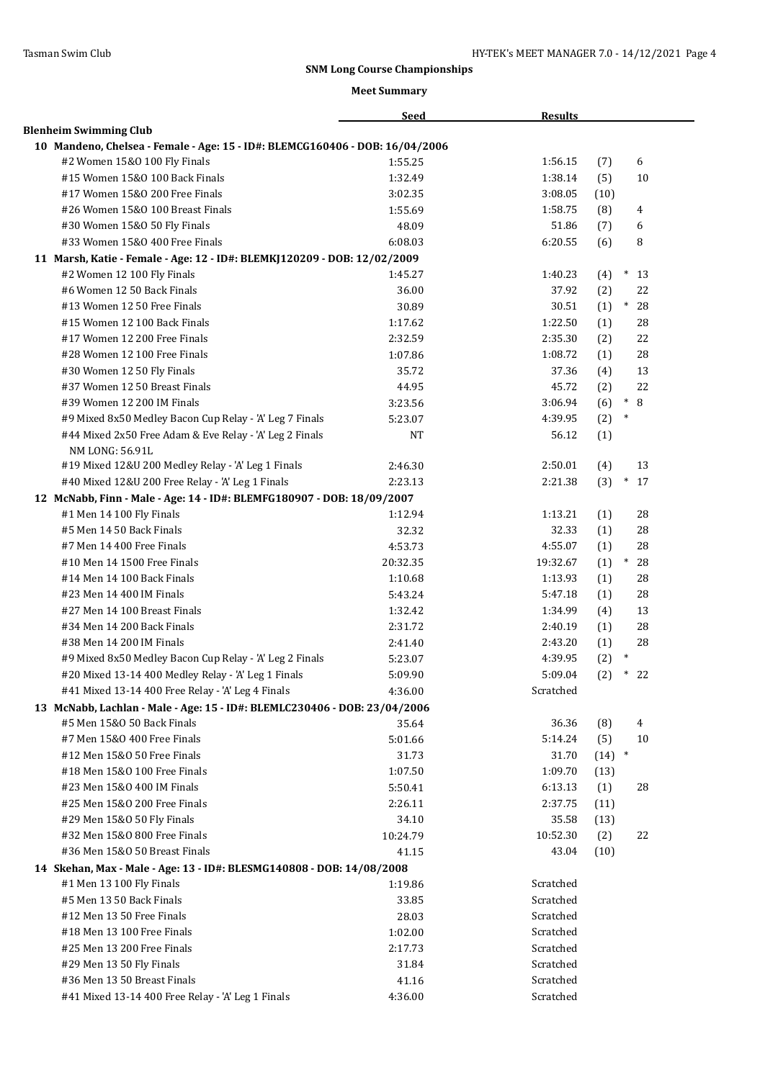|                                                                              | <b>Seed</b>         | <b>Results</b> |      |              |
|------------------------------------------------------------------------------|---------------------|----------------|------|--------------|
| <b>Blenheim Swimming Club</b>                                                |                     |                |      |              |
| 10 Mandeno, Chelsea - Female - Age: 15 - ID#: BLEMCG160406 - DOB: 16/04/2006 |                     |                |      |              |
| #2 Women 15&0 100 Fly Finals                                                 | 1:55.25             | 1:56.15        | (7)  | 6            |
| #15 Women 15&0 100 Back Finals                                               | 1:32.49             | 1:38.14        | (5)  | 10           |
| #17 Women 15&0 200 Free Finals                                               | 3:02.35             | 3:08.05        | (10) |              |
| #26 Women 15&0 100 Breast Finals                                             | 1:55.69             | 1:58.75        | (8)  | 4            |
| #30 Women 15&0 50 Fly Finals                                                 | 48.09               | 51.86          | (7)  | 6            |
| #33 Women 15&0 400 Free Finals                                               | 6:08.03             | 6:20.55        | (6)  | 8            |
| 11 Marsh, Katie - Female - Age: 12 - ID#: BLEMKJ120209 - DOB: 12/02/2009     |                     |                |      |              |
| #2 Women 12 100 Fly Finals                                                   | 1:45.27             | 1:40.23        | (4)  | $*13$        |
| #6 Women 12 50 Back Finals                                                   | 36.00               | 37.92          | (2)  | 22           |
| #13 Women 12 50 Free Finals                                                  | 30.89               | 30.51          | (1)  | $\ast$<br>28 |
| #15 Women 12 100 Back Finals                                                 | 1:17.62             | 1:22.50        | (1)  | 28           |
| #17 Women 12 200 Free Finals                                                 | 2:32.59             | 2:35.30        | (2)  | 22           |
| #28 Women 12 100 Free Finals                                                 | 1:07.86             | 1:08.72        | (1)  | 28           |
| #30 Women 12 50 Fly Finals                                                   | 35.72               | 37.36          | (4)  | 13           |
| #37 Women 12 50 Breast Finals                                                | 44.95               | 45.72          | (2)  | 22           |
| #39 Women 12 200 IM Finals                                                   | 3:23.56             | 3:06.94        | (6)  | $\ast$<br>8  |
| #9 Mixed 8x50 Medley Bacon Cup Relay - 'A' Leg 7 Finals                      | 5:23.07             | 4:39.95        | (2)  | $\ast$       |
| #44 Mixed 2x50 Free Adam & Eve Relay - 'A' Leg 2 Finals                      | <b>NT</b>           | 56.12          | (1)  |              |
| NM LONG: 56.91L                                                              |                     |                |      |              |
| #19 Mixed 12&U 200 Medley Relay - 'A' Leg 1 Finals                           | 2:46.30             | 2:50.01        | (4)  | 13           |
| #40 Mixed 12&U 200 Free Relay - 'A' Leg 1 Finals                             | 2:23.13             | 2:21.38        | (3)  | $\ast$<br>17 |
| 12 McNabb, Finn - Male - Age: 14 - ID#: BLEMFG180907 - DOB: 18/09/2007       |                     |                |      |              |
| #1 Men 14 100 Fly Finals                                                     | 1:12.94             | 1:13.21        | (1)  | 28           |
| #5 Men 14 50 Back Finals                                                     | 32.32               | 32.33          | (1)  | 28           |
| #7 Men 14 400 Free Finals                                                    |                     | 4:55.07        |      | 28           |
| #10 Men 14 1500 Free Finals                                                  | 4:53.73<br>20:32.35 | 19:32.67       | (1)  | $\ast$       |
|                                                                              |                     |                | (1)  | 28           |
| #14 Men 14 100 Back Finals                                                   | 1:10.68             | 1:13.93        | (1)  | 28           |
| #23 Men 14 400 IM Finals                                                     | 5:43.24             | 5:47.18        | (1)  | 28           |
| #27 Men 14 100 Breast Finals                                                 | 1:32.42             | 1:34.99        | (4)  | 13           |
| #34 Men 14 200 Back Finals                                                   | 2:31.72             | 2:40.19        | (1)  | 28           |
| #38 Men 14 200 IM Finals                                                     | 2:41.40             | 2:43.20        | (1)  | 28           |
| #9 Mixed 8x50 Medley Bacon Cup Relay - 'A' Leg 2 Finals                      | 5:23.07             | 4:39.95        | (2)  | $\ast$       |
| #20 Mixed 13-14 400 Medley Relay - 'A' Leg 1 Finals                          | 5:09.90             | 5:09.04        | (2)  | $\ast$<br>22 |
| #41 Mixed 13-14 400 Free Relay - 'A' Leg 4 Finals                            | 4:36.00             | Scratched      |      |              |
| 13 McNabb, Lachlan - Male - Age: 15 - ID#: BLEMLC230406 - DOB: 23/04/2006    |                     |                |      |              |
| #5 Men 15&0 50 Back Finals                                                   | 35.64               | 36.36          | (8)  | 4            |
| #7 Men 15&0 400 Free Finals                                                  | 5:01.66             | 5:14.24        | (5)  | 10           |
| #12 Men 15&0 50 Free Finals                                                  | 31.73               | 31.70          | (14) | $\ast$       |
| #18 Men 15&0 100 Free Finals                                                 | 1:07.50             | 1:09.70        | (13) |              |
| #23 Men 15&0 400 IM Finals                                                   | 5:50.41             | 6:13.13        | (1)  | 28           |
| #25 Men 15&0 200 Free Finals                                                 | 2:26.11             | 2:37.75        | (11) |              |
| #29 Men 15&0 50 Fly Finals                                                   | 34.10               | 35.58          | (13) |              |
| #32 Men 15&0 800 Free Finals                                                 | 10:24.79            | 10:52.30       | (2)  | 22           |
| #36 Men 15&0 50 Breast Finals                                                | 41.15               | 43.04          | (10) |              |
| 14 Skehan, Max - Male - Age: 13 - ID#: BLESMG140808 - DOB: 14/08/2008        |                     |                |      |              |
| #1 Men 13 100 Fly Finals                                                     | 1:19.86             | Scratched      |      |              |
| #5 Men 13 50 Back Finals                                                     | 33.85               | Scratched      |      |              |
| #12 Men 13 50 Free Finals                                                    | 28.03               | Scratched      |      |              |
| #18 Men 13 100 Free Finals                                                   | 1:02.00             | Scratched      |      |              |
| #25 Men 13 200 Free Finals                                                   | 2:17.73             | Scratched      |      |              |
| #29 Men 13 50 Fly Finals                                                     | 31.84               | Scratched      |      |              |
| #36 Men 13 50 Breast Finals                                                  | 41.16               | Scratched      |      |              |
| #41 Mixed 13-14 400 Free Relay - 'A' Leg 1 Finals                            | 4:36.00             | Scratched      |      |              |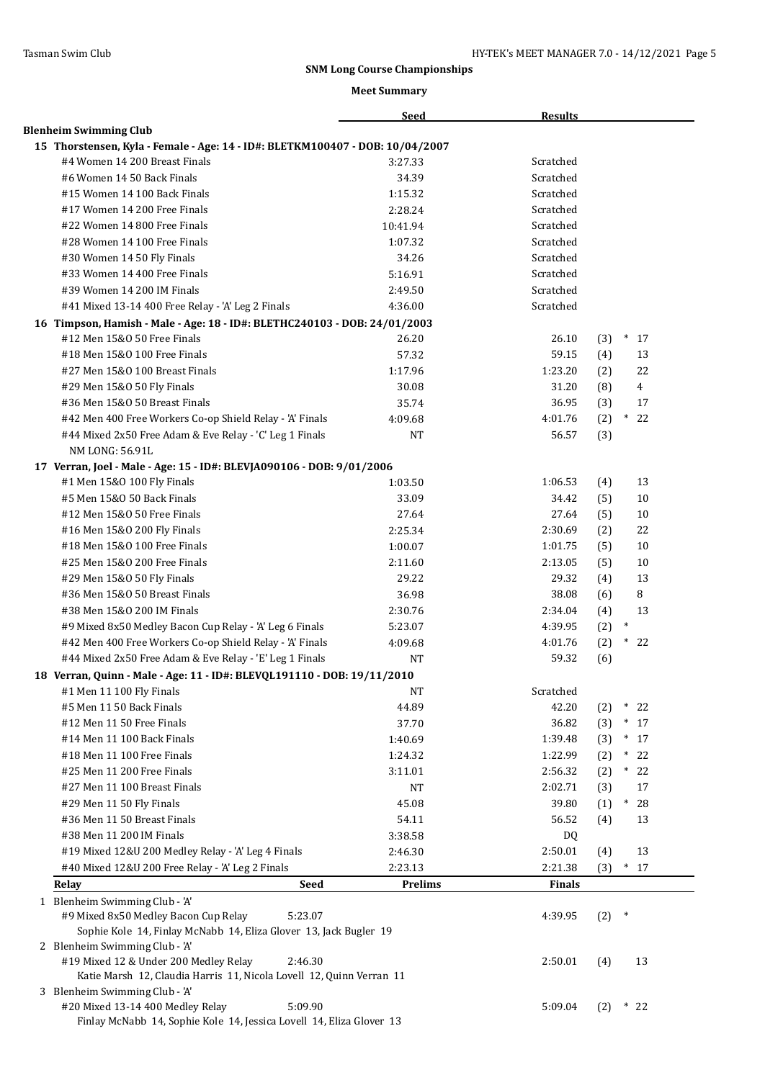|                                                                                                          |         | <b>Seed</b>    | <b>Results</b> |     |        |                |
|----------------------------------------------------------------------------------------------------------|---------|----------------|----------------|-----|--------|----------------|
| <b>Blenheim Swimming Club</b>                                                                            |         |                |                |     |        |                |
| 15 Thorstensen, Kyla - Female - Age: 14 - ID#: BLETKM100407 - DOB: 10/04/2007                            |         |                |                |     |        |                |
| #4 Women 14 200 Breast Finals                                                                            |         | 3:27.33        | Scratched      |     |        |                |
| #6 Women 14 50 Back Finals                                                                               |         | 34.39          | Scratched      |     |        |                |
| #15 Women 14 100 Back Finals                                                                             |         | 1:15.32        | Scratched      |     |        |                |
| #17 Women 14 200 Free Finals                                                                             |         | 2:28.24        | Scratched      |     |        |                |
| #22 Women 14 800 Free Finals                                                                             |         | 10:41.94       | Scratched      |     |        |                |
| #28 Women 14 100 Free Finals                                                                             |         | 1:07.32        | Scratched      |     |        |                |
| #30 Women 14 50 Fly Finals                                                                               |         | 34.26          | Scratched      |     |        |                |
| #33 Women 14 400 Free Finals                                                                             |         | 5:16.91        | Scratched      |     |        |                |
| #39 Women 14 200 IM Finals                                                                               |         | 2:49.50        | Scratched      |     |        |                |
| #41 Mixed 13-14 400 Free Relay - 'A' Leg 2 Finals                                                        |         | 4:36.00        | Scratched      |     |        |                |
|                                                                                                          |         |                |                |     |        |                |
| 16 Timpson, Hamish - Male - Age: 18 - ID#: BLETHC240103 - DOB: 24/01/2003<br>#12 Men 15&0 50 Free Finals |         |                | 26.10          |     | $*17$  |                |
|                                                                                                          |         | 26.20          |                | (3) |        |                |
| #18 Men 15&0 100 Free Finals                                                                             |         | 57.32          | 59.15          | (4) |        | 13             |
| #27 Men 15&0 100 Breast Finals                                                                           |         | 1:17.96        | 1:23.20        | (2) |        | 22             |
| #29 Men 15&0 50 Fly Finals                                                                               |         | 30.08          | 31.20          | (8) |        | $\overline{4}$ |
| #36 Men 15&0 50 Breast Finals                                                                            |         | 35.74          | 36.95          | (3) |        | 17             |
| #42 Men 400 Free Workers Co-op Shield Relay - 'A' Finals                                                 |         | 4:09.68        | 4:01.76        | (2) | $^*$   | 22             |
| #44 Mixed 2x50 Free Adam & Eve Relay - 'C' Leg 1 Finals                                                  |         | <b>NT</b>      | 56.57          | (3) |        |                |
| NM LONG: 56.91L                                                                                          |         |                |                |     |        |                |
| 17 Verran, Joel - Male - Age: 15 - ID#: BLEVJA090106 - DOB: 9/01/2006                                    |         |                |                |     |        |                |
| #1 Men 15&0 100 Fly Finals                                                                               |         | 1:03.50        | 1:06.53        | (4) |        | 13             |
| #5 Men 15&0 50 Back Finals                                                                               |         | 33.09          | 34.42          | (5) |        | 10             |
| #12 Men 15&0 50 Free Finals                                                                              |         | 27.64          | 27.64          | (5) |        | 10             |
| #16 Men 15&0 200 Fly Finals                                                                              |         | 2:25.34        | 2:30.69        | (2) |        | 22             |
| #18 Men 15&0 100 Free Finals                                                                             |         | 1:00.07        | 1:01.75        | (5) |        | 10             |
| #25 Men 15&0 200 Free Finals                                                                             |         | 2:11.60        | 2:13.05        | (5) |        | 10             |
| #29 Men 15&0 50 Fly Finals                                                                               |         | 29.22          | 29.32          | (4) |        | 13             |
| #36 Men 15&0 50 Breast Finals                                                                            |         | 36.98          | 38.08          | (6) |        | 8              |
| #38 Men 15&0 200 IM Finals                                                                               |         | 2:30.76        | 2:34.04        | (4) |        | 13             |
| #9 Mixed 8x50 Medley Bacon Cup Relay - 'A' Leg 6 Finals                                                  |         | 5:23.07        | 4:39.95        | (2) | $\ast$ |                |
| #42 Men 400 Free Workers Co-op Shield Relay - 'A' Finals                                                 |         | 4:09.68        | 4:01.76        | (2) |        | $*22$          |
| #44 Mixed 2x50 Free Adam & Eve Relay - 'E' Leg 1 Finals                                                  |         | NT             | 59.32          | (6) |        |                |
| 18 Verran, Quinn - Male - Age: 11 - ID#: BLEVQL191110 - DOB: 19/11/2010                                  |         |                |                |     |        |                |
| #1 Men 11 100 Fly Finals                                                                                 |         | NT             | Scratched      |     |        |                |
| #5 Men 11 50 Back Finals                                                                                 |         | 44.89          | 42.20          | (2) | $\ast$ | 22             |
| #12 Men 11 50 Free Finals                                                                                |         | 37.70          | 36.82          | (3) | $*17$  |                |
| #14 Men 11 100 Back Finals                                                                               |         | 1:40.69        | 1:39.48        | (3) |        | $*17$          |
| #18 Men 11 100 Free Finals                                                                               |         |                | 1:22.99        |     |        | $*22$          |
| #25 Men 11 200 Free Finals                                                                               |         | 1:24.32        |                | (2) |        | $*22$          |
|                                                                                                          |         | 3:11.01        | 2:56.32        | (2) |        |                |
| #27 Men 11 100 Breast Finals                                                                             |         | NT             | 2:02.71        | (3) |        | 17             |
| #29 Men 11 50 Fly Finals                                                                                 |         | 45.08          | 39.80          | (1) | $\ast$ | 28             |
| #36 Men 11 50 Breast Finals                                                                              |         | 54.11          | 56.52          | (4) |        | 13             |
| #38 Men 11 200 IM Finals                                                                                 |         | 3:38.58        | DQ             |     |        |                |
| #19 Mixed 12&U 200 Medley Relay - 'A' Leg 4 Finals                                                       |         | 2:46.30        | 2:50.01        | (4) |        | 13             |
| #40 Mixed 12&U 200 Free Relay - 'A' Leg 2 Finals                                                         |         | 2:23.13        | 2:21.38        | (3) |        | $*17$          |
| Relay                                                                                                    | Seed    | <b>Prelims</b> | <b>Finals</b>  |     |        |                |
| 1 Blenheim Swimming Club - 'A'                                                                           |         |                |                |     |        |                |
| #9 Mixed 8x50 Medley Bacon Cup Relay                                                                     | 5:23.07 |                | 4:39.95        | (2) | $\ast$ |                |
| Sophie Kole 14, Finlay McNabb 14, Eliza Glover 13, Jack Bugler 19                                        |         |                |                |     |        |                |
| 2 Blenheim Swimming Club - 'A'                                                                           |         |                |                |     |        |                |
| #19 Mixed 12 & Under 200 Medley Relay                                                                    | 2:46.30 |                | 2:50.01        | (4) |        | 13             |
| Katie Marsh 12, Claudia Harris 11, Nicola Lovell 12, Quinn Verran 11                                     |         |                |                |     |        |                |
| 3 Blenheim Swimming Club - 'A'                                                                           |         |                |                |     |        |                |
| #20 Mixed 13-14 400 Medley Relay                                                                         | 5:09.90 |                | 5:09.04        | (2) | $*22$  |                |
| Finlay McNabb 14, Sophie Kole 14, Jessica Lovell 14, Eliza Glover 13                                     |         |                |                |     |        |                |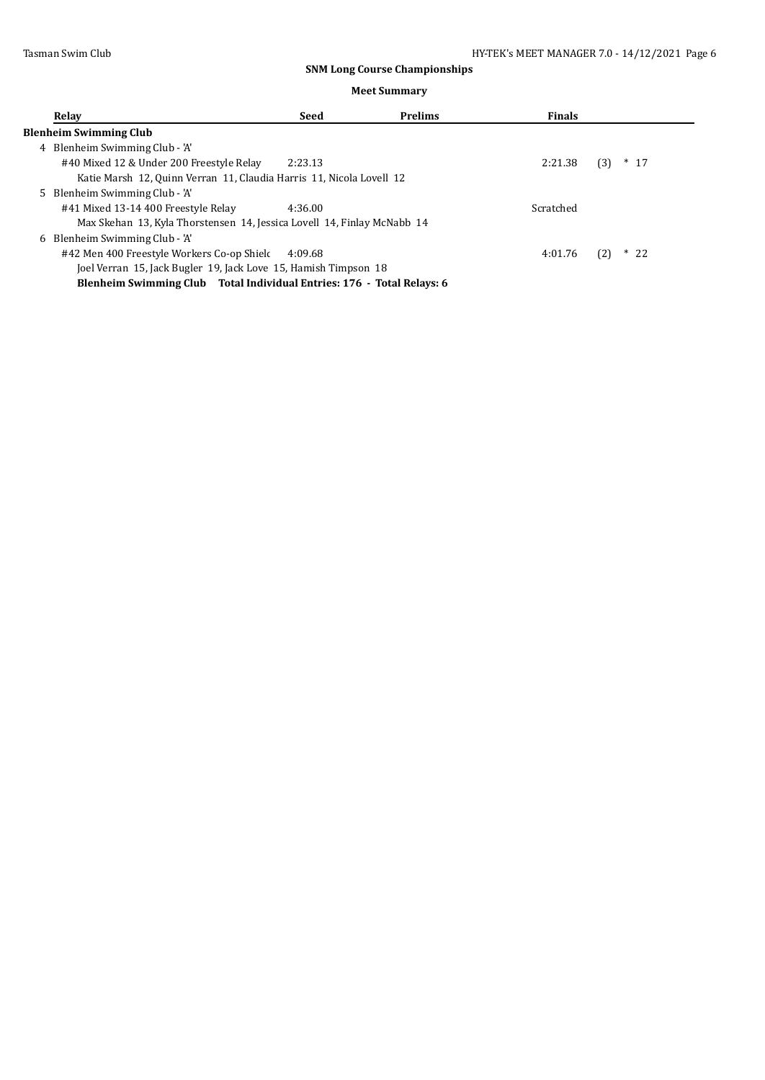| Relay |                                                                         | Seed    | <b>Prelims</b> | <b>Finals</b> |               |
|-------|-------------------------------------------------------------------------|---------|----------------|---------------|---------------|
|       | <b>Blenheim Swimming Club</b>                                           |         |                |               |               |
|       | 4 Blenheim Swimming Club - 'A'                                          |         |                |               |               |
|       | #40 Mixed 12 & Under 200 Freestyle Relay                                | 2:23.13 |                | 2:21.38       | $*$ 17<br>(3) |
|       | Katie Marsh 12, Quinn Verran 11, Claudia Harris 11, Nicola Lovell 12    |         |                |               |               |
|       | 5 Blenheim Swimming Club - 'A'                                          |         |                |               |               |
|       | #41 Mixed 13-14 400 Freestyle Relay                                     | 4:36.00 |                | Scratched     |               |
|       | Max Skehan 13, Kyla Thorstensen 14, Jessica Lovell 14, Finlay McNabb 14 |         |                |               |               |
| 6.    | Blenheim Swimming Club - 'A'                                            |         |                |               |               |
|       | #42 Men 400 Freestyle Workers Co-op Shield                              | 4:09.68 |                | 4:01.76       | (2)<br>$*22$  |
|       | Joel Verran 15, Jack Bugler 19, Jack Love 15, Hamish Timpson 18         |         |                |               |               |
|       | Blenheim Swimming Club Total Individual Entries: 176 - Total Relays: 6  |         |                |               |               |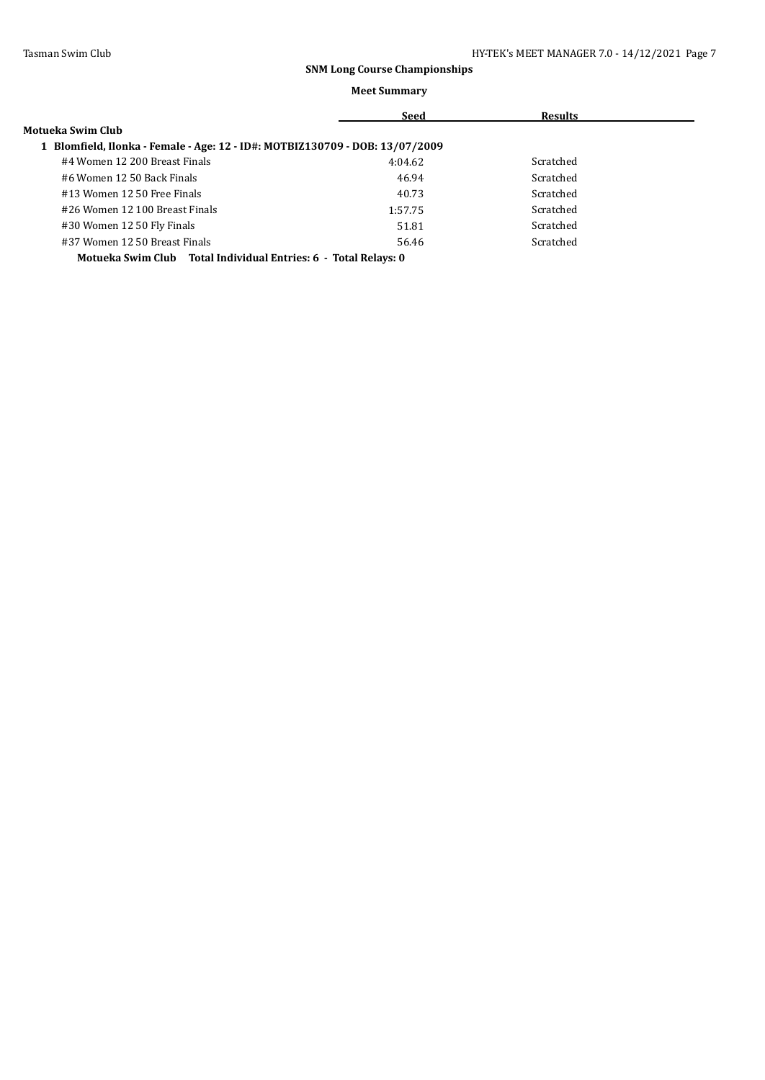#### **Meet Summary**

|                                                                            | Seed    | <b>Results</b> |  |
|----------------------------------------------------------------------------|---------|----------------|--|
| Motueka Swim Club                                                          |         |                |  |
| Blomfield, Ilonka - Female - Age: 12 - ID#: MOTBIZ130709 - DOB: 13/07/2009 |         |                |  |
| #4 Women 12 200 Breast Finals                                              | 4:04.62 | Scratched      |  |
| #6 Women 12 50 Back Finals                                                 | 46.94   | Scratched      |  |
| #13 Women 12 50 Free Finals                                                | 40.73   | Scratched      |  |
| #26 Women 12 100 Breast Finals                                             | 1:57.75 | Scratched      |  |
| #30 Women 12 50 Fly Finals                                                 | 51.81   | Scratched      |  |
| #37 Women 12 50 Breast Finals                                              | 56.46   | Scratched      |  |
| .                                                                          |         |                |  |

**Motueka Swim Club Total Individual Entries: 6 - Total Relays: 0**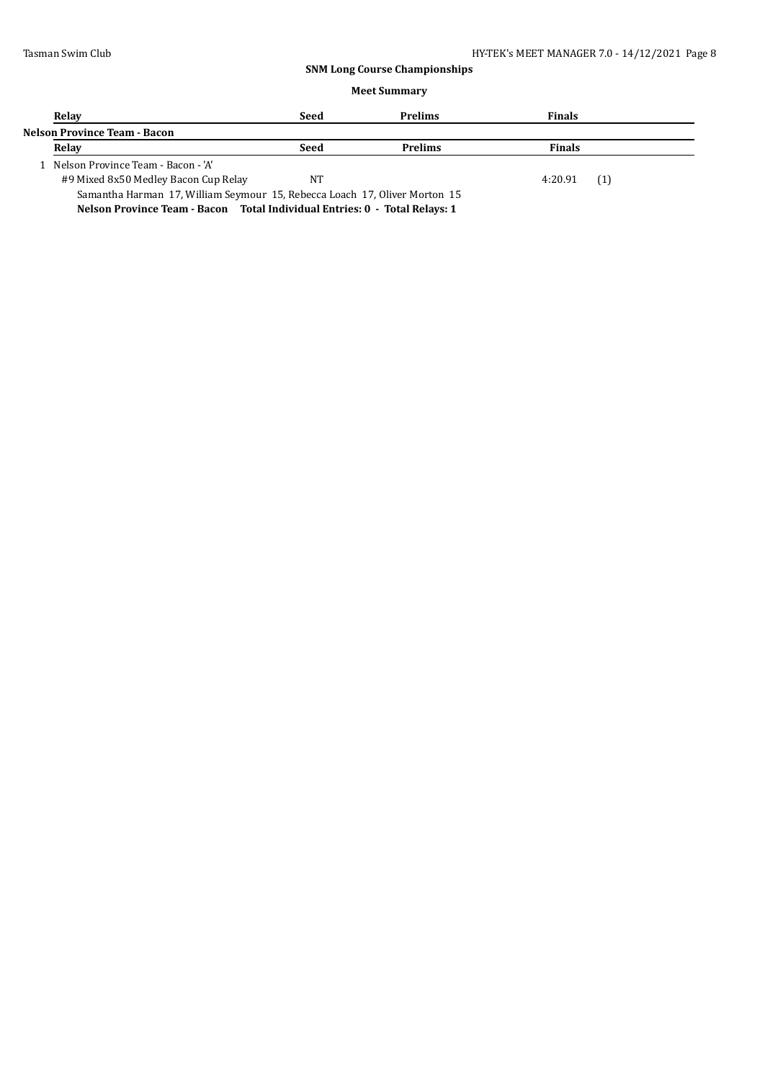| Relay                                                                      | Seed | <b>Prelims</b> | <b>Finals</b>  |  |  |  |
|----------------------------------------------------------------------------|------|----------------|----------------|--|--|--|
| Nelson Province Team - Bacon                                               |      |                |                |  |  |  |
| Relay                                                                      | Seed | <b>Prelims</b> | <b>Finals</b>  |  |  |  |
| 1 Nelson Province Team - Bacon - 'A'                                       |      |                |                |  |  |  |
| #9 Mixed 8x50 Medley Bacon Cup Relay                                       | NT   |                | (1)<br>4:20.91 |  |  |  |
| Samantha Harman 17, William Seymour 15, Rebecca Loach 17, Oliver Morton 15 |      |                |                |  |  |  |
| Nelson Province Team - Bacon Total Individual Entries: 0 - Total Relays: 1 |      |                |                |  |  |  |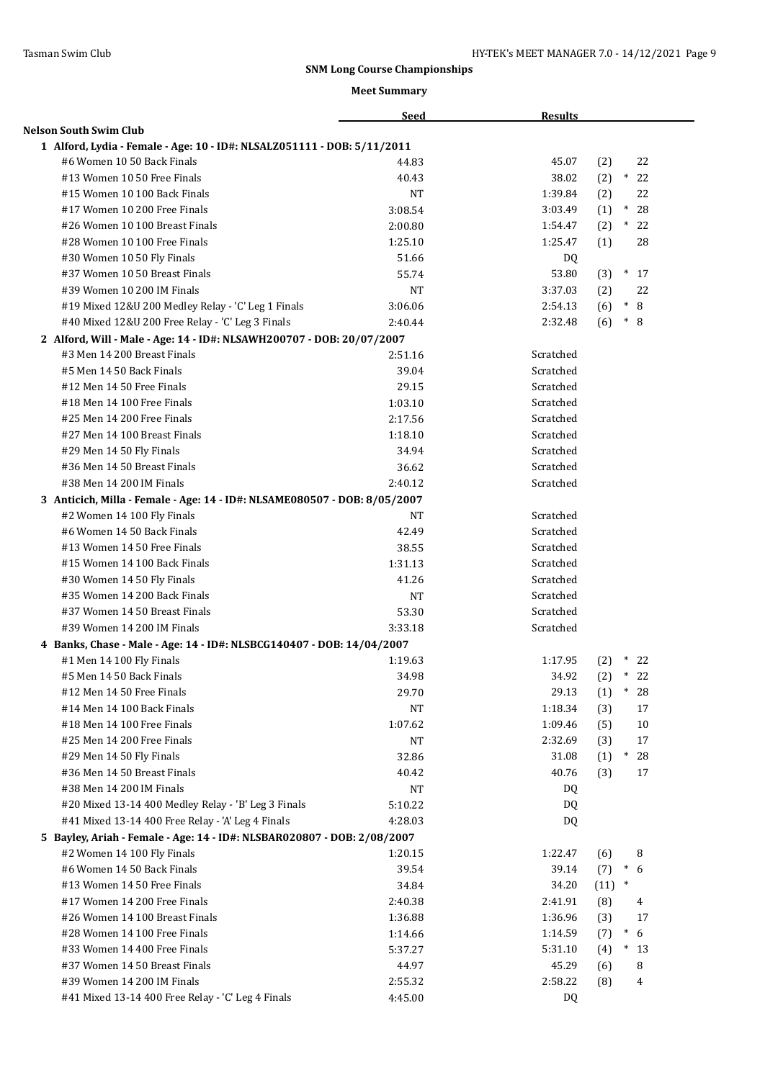|                                                                           | <b>Seed</b> | <b>Results</b> |                      |
|---------------------------------------------------------------------------|-------------|----------------|----------------------|
| Nelson South Swim Club                                                    |             |                |                      |
| 1 Alford, Lydia - Female - Age: 10 - ID#: NLSALZ051111 - DOB: 5/11/2011   |             |                |                      |
| #6 Women 10 50 Back Finals                                                | 44.83       | 45.07          | (2)<br>22            |
| #13 Women 10 50 Free Finals                                               | 40.43       | 38.02          | $*22$<br>(2)         |
| #15 Women 10 100 Back Finals                                              | <b>NT</b>   | 1:39.84        | (2)<br>22            |
| #17 Women 10 200 Free Finals                                              | 3:08.54     | 3:03.49        | (1)<br>$\ast$<br>28  |
| #26 Women 10 100 Breast Finals                                            | 2:00.80     | 1:54.47        | $(2)$ * 22           |
| #28 Women 10 100 Free Finals                                              | 1:25.10     | 1:25.47        | 28<br>(1)            |
| #30 Women 10 50 Fly Finals                                                | 51.66       | DQ.            |                      |
| #37 Women 10 50 Breast Finals                                             | 55.74       | 53.80          | (3)<br>$*$ 17        |
| #39 Women 10 200 IM Finals                                                | <b>NT</b>   | 3:37.03        | (2)<br>22            |
| #19 Mixed 12&U 200 Medley Relay - 'C' Leg 1 Finals                        | 3:06.06     | 2:54.13        | $\ast$<br>8<br>(6)   |
| #40 Mixed 12&U 200 Free Relay - 'C' Leg 3 Finals                          | 2:40.44     | 2:32.48        | $*$<br>(6)<br>8      |
| 2 Alford, Will - Male - Age: 14 - ID#: NLSAWH200707 - DOB: 20/07/2007     |             |                |                      |
| #3 Men 14 200 Breast Finals                                               | 2:51.16     | Scratched      |                      |
| #5 Men 14 50 Back Finals                                                  | 39.04       | Scratched      |                      |
| #12 Men 14 50 Free Finals                                                 | 29.15       | Scratched      |                      |
| #18 Men 14 100 Free Finals                                                | 1:03.10     | Scratched      |                      |
| #25 Men 14 200 Free Finals                                                | 2:17.56     | Scratched      |                      |
| #27 Men 14 100 Breast Finals                                              | 1:18.10     | Scratched      |                      |
| #29 Men 14 50 Fly Finals                                                  | 34.94       | Scratched      |                      |
| #36 Men 14 50 Breast Finals                                               | 36.62       | Scratched      |                      |
| #38 Men 14 200 IM Finals                                                  | 2:40.12     | Scratched      |                      |
| 3 Anticich, Milla - Female - Age: 14 - ID#: NLSAME080507 - DOB: 8/05/2007 |             |                |                      |
| #2 Women 14 100 Fly Finals                                                | NT          | Scratched      |                      |
| #6 Women 14 50 Back Finals                                                | 42.49       | Scratched      |                      |
| #13 Women 14 50 Free Finals                                               | 38.55       | Scratched      |                      |
| #15 Women 14 100 Back Finals                                              | 1:31.13     | Scratched      |                      |
| #30 Women 14 50 Fly Finals                                                | 41.26       | Scratched      |                      |
| #35 Women 14 200 Back Finals                                              | <b>NT</b>   | Scratched      |                      |
| #37 Women 14 50 Breast Finals                                             | 53.30       | Scratched      |                      |
| #39 Women 14 200 IM Finals                                                | 3:33.18     | Scratched      |                      |
| 4 Banks, Chase - Male - Age: 14 - ID#: NLSBCG140407 - DOB: 14/04/2007     |             |                |                      |
| #1 Men 14 100 Fly Finals                                                  | 1:19.63     | 1:17.95        | $*22$<br>(2)         |
| #5 Men 14 50 Back Finals                                                  | 34.98       | 34.92          | $(2)$ * 22           |
| #12 Men 14 50 Free Finals                                                 | 29.70       | 29.13          | (1)<br>$\ast$<br>28  |
| #14 Men 14 100 Back Finals                                                | NT          | 1:18.34        | (3)<br>17            |
| #18 Men 14 100 Free Finals                                                | 1:07.62     | 1:09.46        | (5)<br>10            |
| #25 Men 14 200 Free Finals                                                | NT          | 2:32.69        | (3)<br>17            |
| #29 Men 14 50 Fly Finals                                                  | 32.86       | 31.08          | (1)<br>28<br>$*$     |
| #36 Men 14 50 Breast Finals                                               | 40.42       | 40.76          | (3)<br>17            |
| #38 Men 14 200 IM Finals                                                  | $_{\rm NT}$ | DQ             |                      |
| #20 Mixed 13-14 400 Medley Relay - 'B' Leg 3 Finals                       | 5:10.22     | DQ             |                      |
| #41 Mixed 13-14 400 Free Relay - 'A' Leg 4 Finals                         | 4:28.03     | DQ             |                      |
| 5 Bayley, Ariah - Female - Age: 14 - ID#: NLSBAR020807 - DOB: 2/08/2007   |             |                |                      |
| #2 Women 14 100 Fly Finals                                                | 1:20.15     | 1:22.47        | 8<br>(6)             |
| #6 Women 14 50 Back Finals                                                | 39.54       | 39.14          | $\ast$<br>(7)<br>6   |
| #13 Women 14 50 Free Finals                                               | 34.84       | 34.20          | $(11)$ *             |
| #17 Women 14 200 Free Finals                                              | 2:40.38     | 2:41.91        | (8)<br>4             |
| #26 Women 14 100 Breast Finals                                            | 1:36.88     | 1:36.96        | (3)<br>17            |
| #28 Women 14 100 Free Finals                                              | 1:14.66     | 1:14.59        | (7)<br>$\ast$<br>6   |
| #33 Women 14 400 Free Finals                                              | 5:37.27     | 5:31.10        | (4)<br>$\ast$<br>-13 |
| #37 Women 14 50 Breast Finals                                             | 44.97       | 45.29          | 8<br>(6)             |
| #39 Women 14 200 IM Finals                                                | 2:55.32     | 2:58.22        | (8)<br>4             |
|                                                                           |             |                |                      |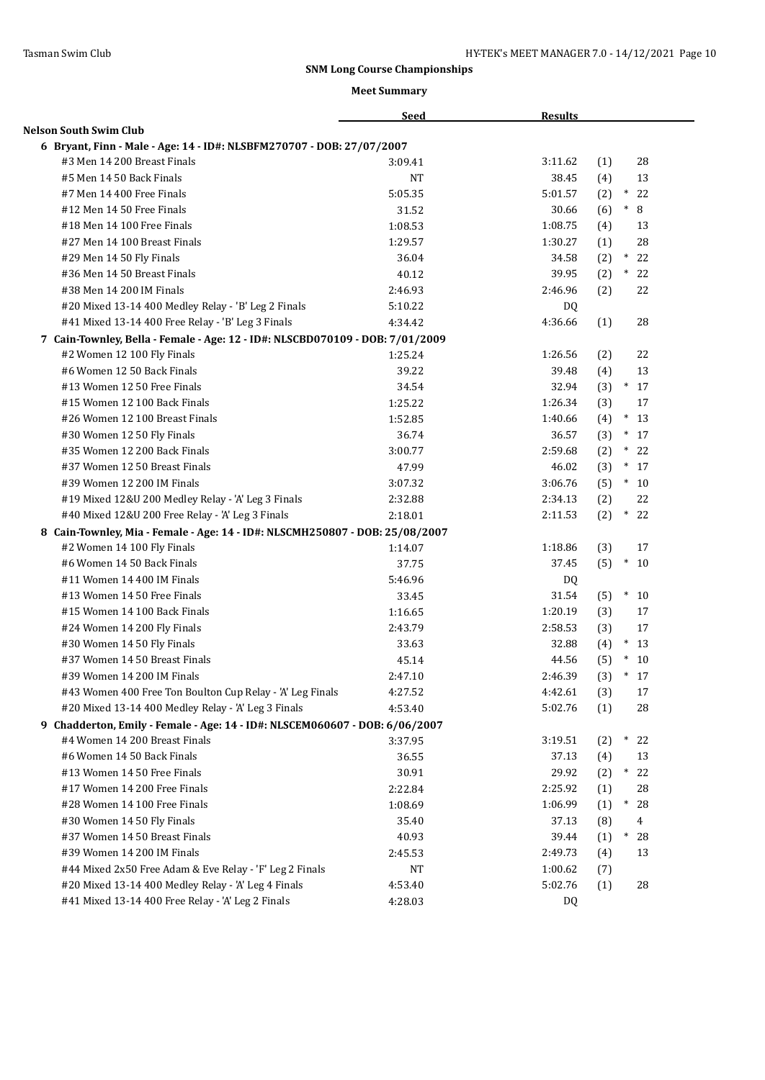|                                                                               | <b>Seed</b> | <b>Results</b> |                        |
|-------------------------------------------------------------------------------|-------------|----------------|------------------------|
| <b>Nelson South Swim Club</b>                                                 |             |                |                        |
| 6 Bryant, Finn - Male - Age: 14 - ID#: NLSBFM270707 - DOB: 27/07/2007         |             |                |                        |
| #3 Men 14 200 Breast Finals                                                   | 3:09.41     | 3:11.62        | 28<br>(1)              |
| #5 Men 14 50 Back Finals                                                      | <b>NT</b>   | 38.45          | 13<br>(4)              |
| #7 Men 14 400 Free Finals                                                     | 5:05.35     | 5:01.57        | $^\ast$<br>22<br>(2)   |
| #12 Men 14 50 Free Finals                                                     | 31.52       | 30.66          | $\ast$<br>8<br>(6)     |
| #18 Men 14 100 Free Finals                                                    | 1:08.53     | 1:08.75        | 13<br>(4)              |
| #27 Men 14 100 Breast Finals                                                  | 1:29.57     | 1:30.27        | 28<br>(1)              |
| #29 Men 14 50 Fly Finals                                                      | 36.04       | 34.58          | $*22$<br>(2)           |
| #36 Men 14 50 Breast Finals                                                   | 40.12       | 39.95          | $\ast$<br>(2)<br>22    |
| #38 Men 14 200 IM Finals                                                      | 2:46.93     | 2:46.96        | (2)<br>22              |
| #20 Mixed 13-14 400 Medley Relay - 'B' Leg 2 Finals                           | 5:10.22     | DQ             |                        |
| #41 Mixed 13-14 400 Free Relay - 'B' Leg 3 Finals                             | 4:34.42     | 4:36.66        | 28<br>(1)              |
| 7 Cain-Townley, Bella - Female - Age: 12 - ID#: NLSCBD070109 - DOB: 7/01/2009 |             |                |                        |
| #2 Women 12 100 Fly Finals                                                    | 1:25.24     | 1:26.56        | 22<br>(2)              |
| #6 Women 12 50 Back Finals                                                    | 39.22       | 39.48          | 13<br>(4)              |
| #13 Women 12 50 Free Finals                                                   | 34.54       | 32.94          | $*17$<br>(3)           |
| #15 Women 12 100 Back Finals                                                  | 1:25.22     | 1:26.34        | (3)<br>17              |
| #26 Women 12 100 Breast Finals                                                | 1:52.85     | 1:40.66        | $*13$<br>(4)           |
| #30 Women 12 50 Fly Finals                                                    | 36.74       | 36.57          | $\ast$<br>(3)<br>17    |
| #35 Women 12 200 Back Finals                                                  | 3:00.77     | 2:59.68        | (2)<br>$\ast$<br>22    |
| #37 Women 12 50 Breast Finals                                                 | 47.99       | 46.02          | $\ast$<br>(3)<br>17    |
| #39 Women 12 200 IM Finals                                                    | 3:07.32     | 3:06.76        | (5)<br>$\ast$<br>10    |
| #19 Mixed 12&U 200 Medley Relay - 'A' Leg 3 Finals                            | 2:32.88     | 2:34.13        | 22<br>(2)              |
| #40 Mixed 12&U 200 Free Relay - 'A' Leg 3 Finals                              | 2:18.01     | 2:11.53        | $\ast$<br>22<br>(2)    |
| 8 Cain-Townley, Mia - Female - Age: 14 - ID#: NLSCMH250807 - DOB: 25/08/2007  |             |                |                        |
| #2 Women 14 100 Fly Finals                                                    | 1:14.07     | 1:18.86        | (3)<br>17              |
| #6 Women 14 50 Back Finals                                                    | 37.75       | 37.45          | $\ast$<br>(5)<br>10    |
| #11 Women 14 400 IM Finals                                                    | 5:46.96     | DQ             |                        |
| #13 Women 14 50 Free Finals                                                   | 33.45       | 31.54          | (5)<br>$\ast$<br>10    |
| #15 Women 14 100 Back Finals                                                  | 1:16.65     | 1:20.19        | (3)<br>17              |
| #24 Women 14 200 Fly Finals                                                   | 2:43.79     | 2:58.53        | 17<br>(3)              |
| #30 Women 14 50 Fly Finals                                                    | 33.63       | 32.88          | $*13$<br>(4)           |
| #37 Women 14 50 Breast Finals                                                 | 45.14       | 44.56          | $\ast$<br>10<br>(5)    |
| #39 Women 14 200 IM Finals                                                    | 2:47.10     | 2:46.39        | $\ast$<br>(3)<br>17    |
| #43 Women 400 Free Ton Boulton Cup Relay - 'A' Leg Finals                     | 4:27.52     | 4:42.61        | (3)<br>17              |
| #20 Mixed 13-14 400 Medley Relay - 'A' Leg 3 Finals                           | 4:53.40     | 5:02.76        | 28<br>(1)              |
| 9 Chadderton, Emily - Female - Age: 14 - ID#: NLSCEM060607 - DOB: 6/06/2007   |             |                |                        |
| #4 Women 14 200 Breast Finals                                                 | 3:37.95     | 3:19.51        | (2)<br>$*$<br>22       |
| #6 Women 14 50 Back Finals                                                    | 36.55       | 37.13          | (4)<br>13              |
| #13 Women 14 50 Free Finals                                                   | 30.91       | 29.92          | $^*$<br>22<br>(2)      |
| #17 Women 14 200 Free Finals                                                  | 2:22.84     | 2:25.92        | 28<br>(1)              |
| #28 Women 14 100 Free Finals                                                  | 1:08.69     | 1:06.99        | $^*$<br>28<br>(1)      |
| #30 Women 14 50 Fly Finals                                                    | 35.40       | 37.13          | (8)<br>4               |
| #37 Women 14 50 Breast Finals                                                 | 40.93       | 39.44          | (1)<br>$^{\ast}$<br>28 |
| #39 Women 14 200 IM Finals                                                    | 2:45.53     | 2:49.73        | 13<br>(4)              |
| #44 Mixed 2x50 Free Adam & Eve Relay - 'F' Leg 2 Finals                       | NT          | 1:00.62        | (7)                    |
| #20 Mixed 13-14 400 Medley Relay - 'A' Leg 4 Finals                           | 4:53.40     | 5:02.76        | 28<br>(1)              |
| #41 Mixed 13-14 400 Free Relay - 'A' Leg 2 Finals                             | 4:28.03     | DQ             |                        |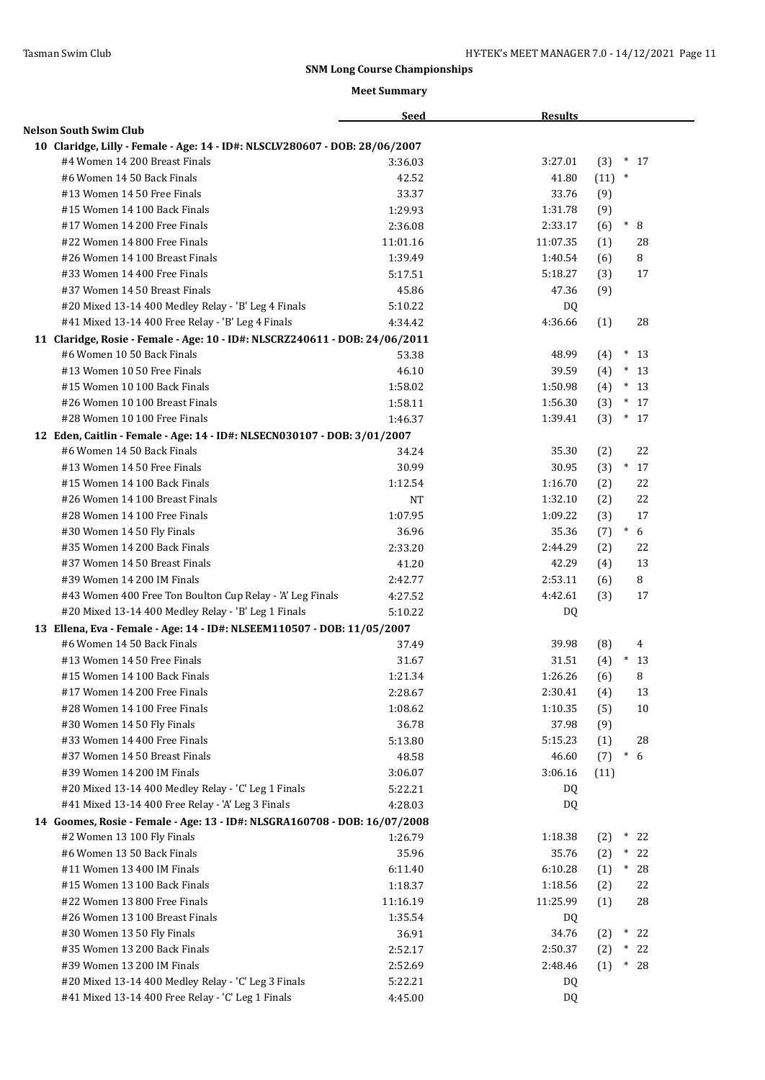|                                                                             | <b>Seed</b> | <b>Results</b> |                                            |
|-----------------------------------------------------------------------------|-------------|----------------|--------------------------------------------|
| <b>Nelson South Swim Club</b>                                               |             |                |                                            |
| 10 Claridge, Lilly - Female - Age: 14 - ID#: NLSCLV280607 - DOB: 28/06/2007 |             |                |                                            |
| #4 Women 14 200 Breast Finals                                               | 3:36.03     | 3:27.01        | (3)<br>$*17$                               |
| #6 Women 14 50 Back Finals                                                  | 42.52       | 41.80          | $(11)$ *                                   |
| #13 Women 14 50 Free Finals                                                 | 33.37       | 33.76          | (9)                                        |
| #15 Women 14 100 Back Finals                                                | 1:29.93     | 1:31.78        | (9)                                        |
| #17 Women 14 200 Free Finals                                                | 2:36.08     | 2:33.17        | $\hspace{-.1cm}^* \hspace{-.1cm} 8$<br>(6) |
| #22 Women 14 800 Free Finals                                                | 11:01.16    | 11:07.35       | (1)<br>28                                  |
| #26 Women 14 100 Breast Finals                                              | 1:39.49     | 1:40.54        | 8<br>(6)                                   |
| #33 Women 14 400 Free Finals                                                | 5:17.51     | 5:18.27        | (3)<br>17                                  |
| #37 Women 14 50 Breast Finals                                               | 45.86       | 47.36          | (9)                                        |
| #20 Mixed 13-14 400 Medley Relay - 'B' Leg 4 Finals                         | 5:10.22     | DQ             |                                            |
| #41 Mixed 13-14 400 Free Relay - 'B' Leg 4 Finals                           | 4:34.42     | 4:36.66        | 28<br>(1)                                  |
| 11 Claridge, Rosie - Female - Age: 10 - ID#: NLSCRZ240611 - DOB: 24/06/2011 |             |                |                                            |
| #6 Women 10 50 Back Finals                                                  | 53.38       | 48.99          | $(4)$ * 13                                 |
| #13 Women 10 50 Free Finals                                                 | 46.10       | 39.59          | $*13$<br>(4)                               |
| #15 Women 10 100 Back Finals                                                | 1:58.02     | 1:50.98        | $*13$<br>(4)                               |
| #26 Women 10 100 Breast Finals                                              | 1:58.11     | 1:56.30        | $*17$<br>(3)                               |
| #28 Women 10 100 Free Finals                                                | 1:46.37     | 1:39.41        | (3)<br>$*17$                               |
| 12 Eden, Caitlin - Female - Age: 14 - ID#: NLSECN030107 - DOB: 3/01/2007    |             |                |                                            |
| #6 Women 14 50 Back Finals                                                  | 34.24       | 35.30          | (2)<br>22                                  |
| #13 Women 14 50 Free Finals                                                 | 30.99       | 30.95          | (3)<br>$\ast$<br>17                        |
| #15 Women 14 100 Back Finals                                                | 1:12.54     | 1:16.70        | 22<br>(2)                                  |
| #26 Women 14 100 Breast Finals                                              | <b>NT</b>   | 1:32.10        | 22                                         |
| #28 Women 14 100 Free Finals                                                | 1:07.95     | 1:09.22        | (2)<br>17                                  |
|                                                                             | 36.96       | 35.36          | (3)<br>6<br>$\ast$                         |
| #30 Women 14 50 Fly Finals<br>#35 Women 14 200 Back Finals                  |             |                | (7)                                        |
|                                                                             | 2:33.20     | 2:44.29        | (2)<br>22                                  |
| #37 Women 14 50 Breast Finals                                               | 41.20       | 42.29          | 13<br>(4)                                  |
| #39 Women 14 200 IM Finals                                                  | 2:42.77     | 2:53.11        | 8<br>(6)                                   |
| #43 Women 400 Free Ton Boulton Cup Relay - 'A' Leg Finals                   | 4:27.52     | 4:42.61        | (3)<br>17                                  |
| #20 Mixed 13-14 400 Medley Relay - 'B' Leg 1 Finals                         | 5:10.22     | DQ             |                                            |
| 13 Ellena, Eva - Female - Age: 14 - ID#: NLSEEM110507 - DOB: 11/05/2007     |             |                |                                            |
| #6 Women 14 50 Back Finals                                                  | 37.49       | 39.98          | (8)<br>4                                   |
| #13 Women 14 50 Free Finals                                                 | 31.67       | 31.51          | (4)<br>$\ast$<br>13                        |
| #15 Women 14 100 Back Finals                                                | 1:21.34     | 1:26.26        | 8<br>(6)                                   |
| #17 Women 14 200 Free Finals                                                | 2:28.67     | 2:30.41        | 13<br>(4)                                  |
| #28 Women 14 100 Free Finals                                                | 1:08.62     | 1:10.35        | (5)<br>10                                  |
| #30 Women 14 50 Fly Finals                                                  | 36.78       | 37.98          | (9)                                        |
| #33 Women 14 400 Free Finals                                                | 5:13.80     | 5:15.23        | (1)<br>28                                  |
| #37 Women 14 50 Breast Finals                                               | 48.58       | 46.60          | $\ast$<br>(7)<br>6                         |
| #39 Women 14 200 IM Finals                                                  | 3:06.07     | 3:06.16        | (11)                                       |
| #20 Mixed 13-14 400 Medley Relay - 'C' Leg 1 Finals                         | 5:22.21     | DQ.            |                                            |
| #41 Mixed 13-14 400 Free Relay - 'A' Leg 3 Finals                           | 4:28.03     | DQ.            |                                            |
| 14 Goomes, Rosie - Female - Age: 13 - ID#: NLSGRA160708 - DOB: 16/07/2008   |             |                |                                            |
| #2 Women 13 100 Fly Finals                                                  | 1:26.79     | 1:18.38        | (2)<br>$*22$                               |
| #6 Women 13 50 Back Finals                                                  | 35.96       | 35.76          | (2)<br>$*$<br>22                           |
| #11 Women 13 400 IM Finals                                                  | 6:11.40     | 6:10.28        | (1)<br>$*28$                               |
| #15 Women 13 100 Back Finals                                                | 1:18.37     | 1:18.56        | 22<br>(2)                                  |
| #22 Women 13 800 Free Finals                                                | 11:16.19    | 11:25.99       | 28<br>(1)                                  |
| #26 Women 13 100 Breast Finals                                              | 1:35.54     | DQ             |                                            |
| #30 Women 13 50 Fly Finals                                                  | 36.91       | 34.76          | $*22$<br>(2)                               |
| #35 Women 13 200 Back Finals                                                | 2:52.17     | 2:50.37        | $*22$<br>(2)                               |
| #39 Women 13 200 IM Finals                                                  | 2:52.69     | 2:48.46        | $*28$<br>(1)                               |
| #20 Mixed 13-14 400 Medley Relay - 'C' Leg 3 Finals                         | 5:22.21     | DQ             |                                            |
| #41 Mixed 13-14 400 Free Relay - 'C' Leg 1 Finals                           | 4:45.00     | DQ             |                                            |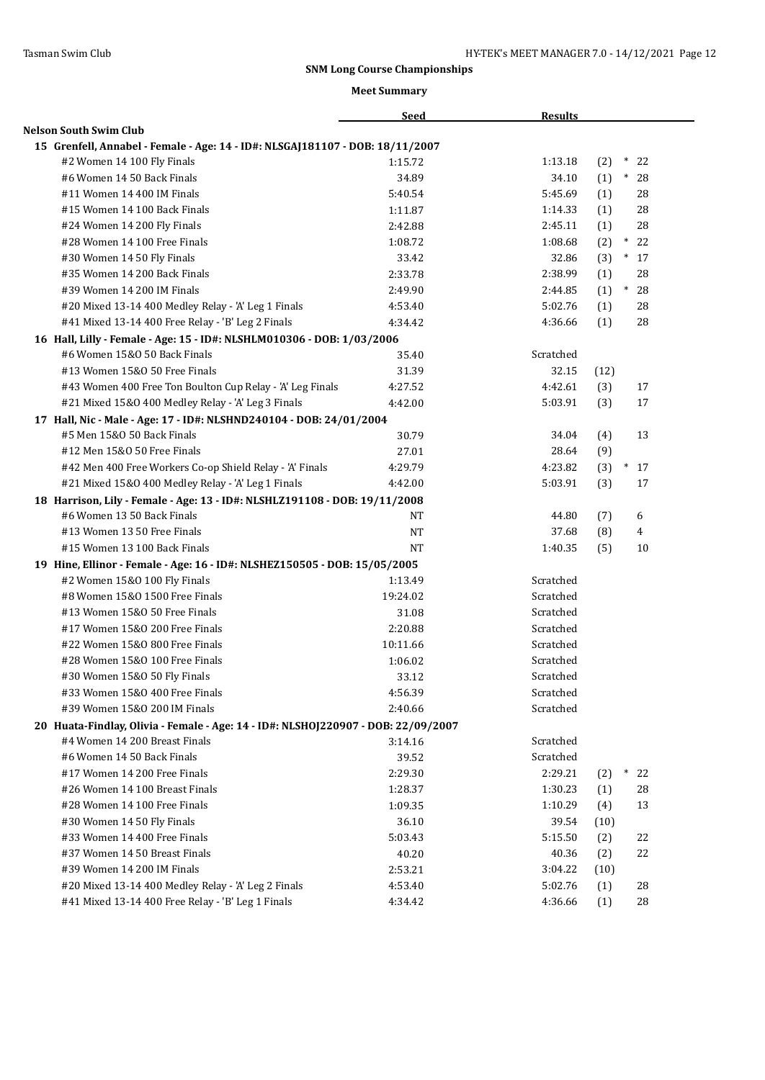|                                                                                   | <b>Seed</b>        | <b>Results</b> |         |                |  |
|-----------------------------------------------------------------------------------|--------------------|----------------|---------|----------------|--|
| <b>Nelson South Swim Club</b>                                                     |                    |                |         |                |  |
| 15 Grenfell, Annabel - Female - Age: 14 - ID#: NLSGAJ181107 - DOB: 18/11/2007     |                    |                |         |                |  |
| #2 Women 14 100 Fly Finals                                                        | 1:15.72            | 1:13.18        | (2)     | $*$<br>22      |  |
| #6 Women 14 50 Back Finals                                                        | 34.89              | 34.10          | $(1)$ * | 28             |  |
| #11 Women 14 400 IM Finals                                                        | 5:40.54            | 5:45.69        | (1)     | 28             |  |
| #15 Women 14 100 Back Finals                                                      | 1:11.87            | 1:14.33        | (1)     | 28             |  |
| #24 Women 14 200 Fly Finals                                                       | 2:42.88            | 2:45.11        | (1)     | 28             |  |
| #28 Women 14 100 Free Finals                                                      | 1:08.72            | 1:08.68        | (2)     | $*22$          |  |
| #30 Women 14 50 Fly Finals                                                        | 33.42              | 32.86          | (3)     | $*17$          |  |
| #35 Women 14 200 Back Finals                                                      | 2:33.78            | 2:38.99        | (1)     | 28             |  |
| #39 Women 14 200 IM Finals                                                        | 2:49.90            | 2:44.85        | (1)     | $*28$          |  |
| #20 Mixed 13-14 400 Medley Relay - 'A' Leg 1 Finals                               | 4:53.40            | 5:02.76        | (1)     | 28             |  |
| #41 Mixed 13-14 400 Free Relay - 'B' Leg 2 Finals                                 | 4:34.42            | 4:36.66        | (1)     | 28             |  |
| 16 Hall, Lilly - Female - Age: 15 - ID#: NLSHLM010306 - DOB: 1/03/2006            |                    |                |         |                |  |
| #6 Women 15&0 50 Back Finals                                                      | 35.40              | Scratched      |         |                |  |
| #13 Women 15&0 50 Free Finals                                                     | 31.39              | 32.15          | (12)    |                |  |
| #43 Women 400 Free Ton Boulton Cup Relay - 'A' Leg Finals                         | 4:27.52            | 4:42.61        | (3)     | 17             |  |
| #21 Mixed 15&0 400 Medley Relay - 'A' Leg 3 Finals                                | 4:42.00            | 5:03.91        | (3)     | 17             |  |
| 17 Hall, Nic - Male - Age: 17 - ID#: NLSHND240104 - DOB: 24/01/2004               |                    |                |         |                |  |
| #5 Men 15&0 50 Back Finals                                                        | 30.79              | 34.04          | (4)     | 13             |  |
| #12 Men 15&0 50 Free Finals                                                       | 27.01              | 28.64          | (9)     |                |  |
| #42 Men 400 Free Workers Co-op Shield Relay - 'A' Finals                          | 4:29.79            | 4:23.82        | (3)     | $*17$          |  |
| #21 Mixed 15&0 400 Medley Relay - 'A' Leg 1 Finals                                | 4:42.00            | 5:03.91        | (3)     | 17             |  |
| 18 Harrison, Lily - Female - Age: 13 - ID#: NLSHLZ191108 - DOB: 19/11/2008        |                    |                |         |                |  |
| #6 Women 13 50 Back Finals                                                        | NT                 | 44.80          | (7)     | 6              |  |
| #13 Women 13 50 Free Finals                                                       | NT                 | 37.68          | (8)     | $\overline{4}$ |  |
| #15 Women 13 100 Back Finals                                                      | <b>NT</b>          | 1:40.35        | (5)     | 10             |  |
| 19 Hine, Ellinor - Female - Age: 16 - ID#: NLSHEZ150505 - DOB: 15/05/2005         |                    |                |         |                |  |
| #2 Women 15&0 100 Fly Finals                                                      | 1:13.49            | Scratched      |         |                |  |
| #8 Women 15&0 1500 Free Finals                                                    | 19:24.02           | Scratched      |         |                |  |
| #13 Women 15&0 50 Free Finals                                                     | 31.08              | Scratched      |         |                |  |
| #17 Women 15&0 200 Free Finals                                                    | 2:20.88            | Scratched      |         |                |  |
| #22 Women 15&0 800 Free Finals                                                    | 10:11.66           | Scratched      |         |                |  |
| #28 Women 15&0 100 Free Finals                                                    | 1:06.02            | Scratched      |         |                |  |
| #30 Women 15&0 50 Fly Finals                                                      | 33.12              | Scratched      |         |                |  |
| #33 Women 15&0 400 Free Finals                                                    |                    | Scratched      |         |                |  |
| #39 Women 15&0 200 IM Finals                                                      | 4:56.39<br>2:40.66 | Scratched      |         |                |  |
|                                                                                   |                    |                |         |                |  |
| 20 Huata-Findlay, Olivia - Female - Age: 14 - ID#: NLSHOJ220907 - DOB: 22/09/2007 |                    |                |         |                |  |
| #4 Women 14 200 Breast Finals                                                     | 3:14.16            | Scratched      |         |                |  |
| #6 Women 14 50 Back Finals                                                        | 39.52              | Scratched      |         |                |  |
| #17 Women 14 200 Free Finals                                                      | 2:29.30            | 2:29.21        | (2)     | $^\ast$<br>22  |  |
| #26 Women 14 100 Breast Finals                                                    | 1:28.37            | 1:30.23        | (1)     | 28             |  |
| #28 Women 14 100 Free Finals                                                      | 1:09.35            | 1:10.29        | (4)     | 13             |  |
| #30 Women 14 50 Fly Finals                                                        | 36.10              | 39.54          | (10)    |                |  |
| #33 Women 14 400 Free Finals                                                      | 5:03.43            | 5:15.50        | (2)     | 22             |  |
| #37 Women 14 50 Breast Finals                                                     | 40.20              | 40.36          | (2)     | 22             |  |
| #39 Women 14 200 IM Finals                                                        | 2:53.21            | 3:04.22        | (10)    |                |  |
| #20 Mixed 13-14 400 Medley Relay - 'A' Leg 2 Finals                               | 4:53.40            | 5:02.76        | (1)     | 28             |  |
| #41 Mixed 13-14 400 Free Relay - 'B' Leg 1 Finals                                 | 4:34.42            | 4:36.66        | (1)     | 28             |  |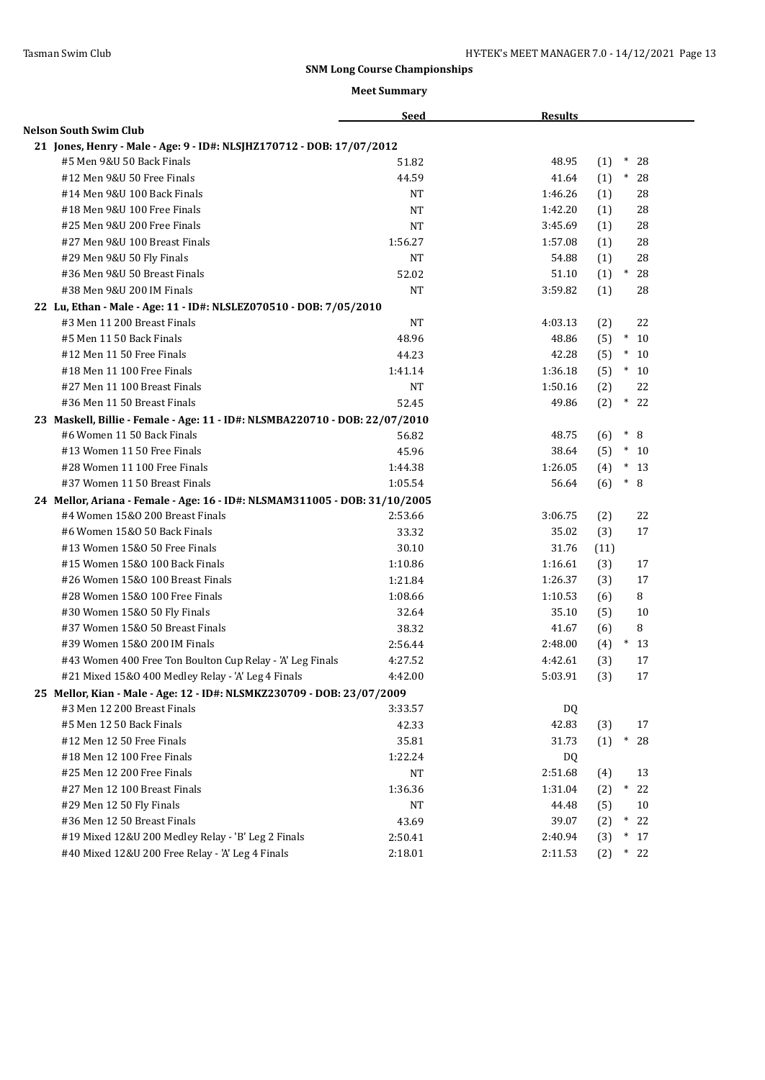|                                                                             | <b>Seed</b> | <b>Results</b> |                      |
|-----------------------------------------------------------------------------|-------------|----------------|----------------------|
| Nelson South Swim Club                                                      |             |                |                      |
| 21 Jones, Henry - Male - Age: 9 - ID#: NLSJHZ170712 - DOB: 17/07/2012       |             |                |                      |
| #5 Men 9&U 50 Back Finals                                                   | 51.82       | 48.95          | $\ast$<br>28<br>(1)  |
| #12 Men 9&U 50 Free Finals                                                  | 44.59       | 41.64          | $*28$<br>(1)         |
| #14 Men 9&U 100 Back Finals                                                 | <b>NT</b>   | 1:46.26        | (1)<br>28            |
| #18 Men 9&U 100 Free Finals                                                 | <b>NT</b>   | 1:42.20        | 28<br>(1)            |
| #25 Men 9&U 200 Free Finals                                                 | <b>NT</b>   | 3:45.69        | 28<br>(1)            |
| #27 Men 9&U 100 Breast Finals                                               | 1:56.27     | 1:57.08        | 28<br>(1)            |
| #29 Men 9&U 50 Fly Finals                                                   | <b>NT</b>   | 54.88          | (1)<br>28            |
| #36 Men 9&U 50 Breast Finals                                                | 52.02       | 51.10          | $*$<br>(1)<br>28     |
| #38 Men 9&U 200 IM Finals                                                   | <b>NT</b>   | 3:59.82        | 28<br>(1)            |
| 22 Lu, Ethan - Male - Age: 11 - ID#: NLSLEZ070510 - DOB: 7/05/2010          |             |                |                      |
| #3 Men 11 200 Breast Finals                                                 | <b>NT</b>   | 4:03.13        | 22<br>(2)            |
| #5 Men 11 50 Back Finals                                                    | 48.96       | 48.86          | $*$<br>(5)<br>10     |
| #12 Men 11 50 Free Finals                                                   | 44.23       | 42.28          | $\ast$<br>(5)<br>10  |
| #18 Men 11 100 Free Finals                                                  | 1:41.14     | 1:36.18        | $*10$<br>(5)         |
| #27 Men 11 100 Breast Finals                                                | <b>NT</b>   | 1:50.16        | 22<br>(2)            |
| #36 Men 11 50 Breast Finals                                                 | 52.45       | 49.86          | $*22$<br>(2)         |
| 23 Maskell, Billie - Female - Age: 11 - ID#: NLSMBA220710 - DOB: 22/07/2010 |             |                |                      |
| #6 Women 11 50 Back Finals                                                  | 56.82       | 48.75          | $\ast$<br>8<br>(6)   |
| #13 Women 11 50 Free Finals                                                 | 45.96       | 38.64          | (5)<br>$*10$         |
| #28 Women 11 100 Free Finals                                                | 1:44.38     | 1:26.05        | $\ast$<br>-13<br>(4) |
| #37 Women 11 50 Breast Finals                                               | 1:05.54     | 56.64          | $\ast$<br>8<br>(6)   |
| 24 Mellor, Ariana - Female - Age: 16 - ID#: NLSMAM311005 - DOB: 31/10/2005  |             |                |                      |
| #4 Women 15&0 200 Breast Finals                                             | 2:53.66     | 3:06.75        | 22<br>(2)            |
| #6 Women 15&0 50 Back Finals                                                | 33.32       | 35.02          | 17<br>(3)            |
| #13 Women 15&0 50 Free Finals                                               | 30.10       | 31.76          | (11)                 |
| #15 Women 15&0 100 Back Finals                                              | 1:10.86     | 1:16.61        | (3)<br>17            |
| #26 Women 15&0 100 Breast Finals                                            | 1:21.84     | 1:26.37        | 17<br>(3)            |
| #28 Women 15&0 100 Free Finals                                              | 1:08.66     | 1:10.53        | 8<br>(6)             |
| #30 Women 15&0 50 Fly Finals                                                | 32.64       | 35.10          | (5)<br>10            |
| #37 Women 15&0 50 Breast Finals                                             | 38.32       | 41.67          | 8<br>(6)             |
| #39 Women 15&0 200 IM Finals                                                | 2:56.44     | 2:48.00        | $*13$<br>(4)         |
| #43 Women 400 Free Ton Boulton Cup Relay - 'A' Leg Finals                   | 4:27.52     | 4:42.61        | (3)<br>17            |
| #21 Mixed 15&0 400 Medley Relay - 'A' Leg 4 Finals                          | 4:42.00     | 5:03.91        | (3)<br>17            |
| 25 Mellor, Kian - Male - Age: 12 - ID#: NLSMKZ230709 - DOB: 23/07/2009      |             |                |                      |
| #3 Men 12 200 Breast Finals                                                 | 3:33.57     | DQ             |                      |
| #5 Men 12 50 Back Finals                                                    | 42.33       | 42.83          | (3)<br>17            |
| #12 Men 12 50 Free Finals                                                   | 35.81       | 31.73          | $*28$<br>(1)         |
| #18 Men 12 100 Free Finals                                                  | 1:22.24     | DQ             |                      |
| #25 Men 12 200 Free Finals                                                  | NT          | 2:51.68        | 13<br>(4)            |
| #27 Men 12 100 Breast Finals                                                | 1:36.36     | 1:31.04        | $*$<br>(2)<br>22     |
| #29 Men 12 50 Fly Finals                                                    | $_{\rm NT}$ | 44.48          | (5)<br>10            |
| #36 Men 12 50 Breast Finals                                                 | 43.69       | 39.07          | (2)<br>$*22$         |
| #19 Mixed 12&U 200 Medley Relay - 'B' Leg 2 Finals                          | 2:50.41     | 2:40.94        | $*17$<br>(3)         |
| #40 Mixed 12&U 200 Free Relay - 'A' Leg 4 Finals                            | 2:18.01     | 2:11.53        | (2)<br>$*22$         |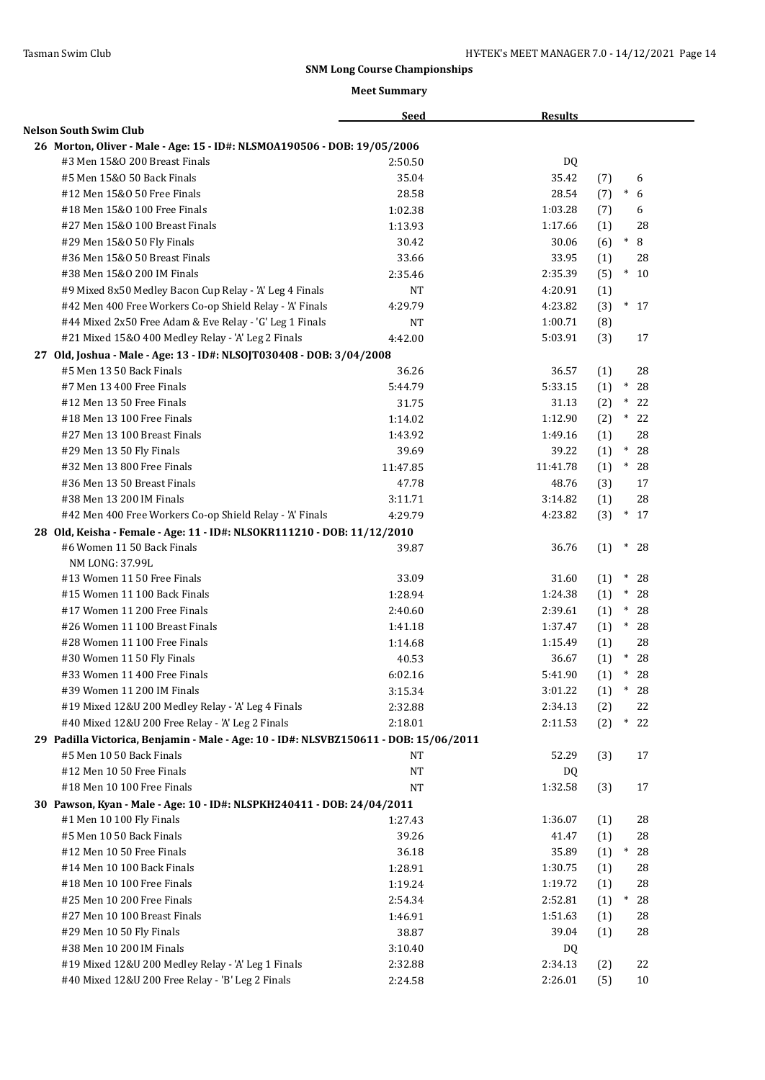|                                                                                       | <b>Seed</b>        | <b>Results</b> |                  |       |
|---------------------------------------------------------------------------------------|--------------------|----------------|------------------|-------|
| <b>Nelson South Swim Club</b>                                                         |                    |                |                  |       |
| 26 Morton, Oliver - Male - Age: 15 - ID#: NLSMOA190506 - DOB: 19/05/2006              |                    |                |                  |       |
| #3 Men 15&0 200 Breast Finals                                                         | 2:50.50            | DQ             |                  |       |
| #5 Men 15&0 50 Back Finals                                                            | 35.04              | 35.42          | (7)              | 6     |
| #12 Men 15&0 50 Free Finals                                                           | 28.58              | 28.54          | $\ast$<br>(7)    | 6     |
| #18 Men 15&0 100 Free Finals                                                          | 1:02.38            | 1:03.28        | (7)              | 6     |
| #27 Men 15&0 100 Breast Finals                                                        | 1:13.93            | 1:17.66        | (1)              | 28    |
| #29 Men 15&0 50 Fly Finals                                                            | 30.42              | 30.06          | $\ast$<br>(6)    | 8     |
| #36 Men 15&0 50 Breast Finals                                                         | 33.66              | 33.95          | (1)              | 28    |
| #38 Men 15&0 200 IM Finals                                                            | 2:35.46            | 2:35.39        | (5)              | $*10$ |
| #9 Mixed 8x50 Medley Bacon Cup Relay - 'A' Leg 4 Finals                               | NT                 | 4:20.91        | (1)              |       |
| #42 Men 400 Free Workers Co-op Shield Relay - 'A' Finals                              | 4:29.79            | 4:23.82        | (3)              | $*17$ |
| #44 Mixed 2x50 Free Adam & Eve Relay - 'G' Leg 1 Finals                               | NT                 | 1:00.71        | (8)              |       |
| #21 Mixed 15&0 400 Medley Relay - 'A' Leg 2 Finals                                    | 4:42.00            | 5:03.91        | (3)              | 17    |
| 27 Old, Joshua - Male - Age: 13 - ID#: NLSOJT030408 - DOB: 3/04/2008                  |                    |                |                  |       |
| #5 Men 13 50 Back Finals                                                              | 36.26              | 36.57          | (1)              | 28    |
| #7 Men 13 400 Free Finals                                                             | 5:44.79            | 5:33.15        | $\ast$<br>(1)    | 28    |
| #12 Men 13 50 Free Finals                                                             | 31.75              | 31.13          | $\ast$<br>(2)    | 22    |
| #18 Men 13 100 Free Finals                                                            | 1:14.02            | 1:12.90        | (2)              | $*22$ |
| #27 Men 13 100 Breast Finals                                                          | 1:43.92            | 1:49.16        | (1)              | 28    |
| #29 Men 13 50 Fly Finals                                                              | 39.69              | 39.22          | (1)<br>$^\ast$   | 28    |
| #32 Men 13 800 Free Finals                                                            | 11:47.85           | 11:41.78       | $\ast$<br>(1)    | 28    |
| #36 Men 13 50 Breast Finals                                                           | 47.78              | 48.76          | (3)              | 17    |
| #38 Men 13 200 IM Finals                                                              | 3:11.71            | 3:14.82        | (1)              | 28    |
| #42 Men 400 Free Workers Co-op Shield Relay - 'A' Finals                              | 4:29.79            | 4:23.82        | (3)              | $*17$ |
| 28 Old, Keisha - Female - Age: 11 - ID#: NLSOKR111210 - DOB: 11/12/2010               |                    |                |                  |       |
| #6 Women 11 50 Back Finals                                                            | 39.87              | 36.76          | (1)<br>$\ast$    | 28    |
| NM LONG: 37.99L                                                                       |                    |                |                  |       |
| #13 Women 11 50 Free Finals                                                           | 33.09              | 31.60          | $*$<br>(1)       | 28    |
| #15 Women 11 100 Back Finals                                                          | 1:28.94            | 1:24.38        | $\ast$<br>(1)    | 28    |
| #17 Women 11 200 Free Finals                                                          | 2:40.60            | 2:39.61        | $*$<br>(1)       | 28    |
| #26 Women 11 100 Breast Finals                                                        | 1:41.18            | 1:37.47        | (1)              | $*28$ |
| #28 Women 11 100 Free Finals                                                          | 1:14.68            | 1:15.49        | (1)              | 28    |
| #30 Women 11 50 Fly Finals                                                            | 40.53              | 36.67          | $\ast$<br>(1)    | 28    |
| #33 Women 11 400 Free Finals                                                          | 6:02.16            | 5:41.90        | $\ast$<br>(1)    | 28    |
| #39 Women 11 200 IM Finals                                                            | 3:15.34            | 3:01.22        | $\ast$<br>(1)    | 28    |
| #19 Mixed 12&U 200 Medley Relay - 'A' Leg 4 Finals                                    | 2:32.88            | 2:34.13        | (2)              | 22    |
| #40 Mixed 12&U 200 Free Relay - 'A' Leg 2 Finals                                      | 2:18.01            | 2:11.53        | (2)<br>$^{\ast}$ | 22    |
| 29 Padilla Victorica, Benjamin - Male - Age: 10 - ID#: NLSVBZ150611 - DOB: 15/06/2011 |                    |                |                  |       |
| #5 Men 10 50 Back Finals                                                              | <b>NT</b>          | 52.29          | (3)              | 17    |
| #12 Men 10 50 Free Finals                                                             | NT                 | DQ             |                  |       |
| #18 Men 10 100 Free Finals                                                            | <b>NT</b>          | 1:32.58        | (3)              | 17    |
| 30 Pawson, Kyan - Male - Age: 10 - ID#: NLSPKH240411 - DOB: 24/04/2011                |                    |                |                  |       |
| #1 Men 10 100 Fly Finals                                                              | 1:27.43            | 1:36.07        | (1)              | 28    |
| #5 Men 10 50 Back Finals                                                              | 39.26              | 41.47          | (1)              | 28    |
| #12 Men 10 50 Free Finals                                                             | 36.18              | 35.89          | (1)<br>$\ast$    | 28    |
| #14 Men 10 100 Back Finals                                                            | 1:28.91            | 1:30.75        | (1)              | 28    |
| #18 Men 10 100 Free Finals                                                            | 1:19.24            | 1:19.72        | (1)              | 28    |
| #25 Men 10 200 Free Finals                                                            | 2:54.34            | 2:52.81        | (1)<br>$\ast$    | 28    |
| #27 Men 10 100 Breast Finals                                                          | 1:46.91            | 1:51.63        | (1)              | 28    |
| #29 Men 10 50 Fly Finals                                                              | 38.87              | 39.04          |                  | 28    |
| #38 Men 10 200 IM Finals                                                              |                    |                | (1)              |       |
| #19 Mixed 12&U 200 Medley Relay - 'A' Leg 1 Finals                                    | 3:10.40<br>2:32.88 | DQ<br>2:34.13  |                  | 22    |
| #40 Mixed 12&U 200 Free Relay - 'B' Leg 2 Finals                                      | 2:24.58            | 2:26.01        | (2)              | 10    |
|                                                                                       |                    |                | (5)              |       |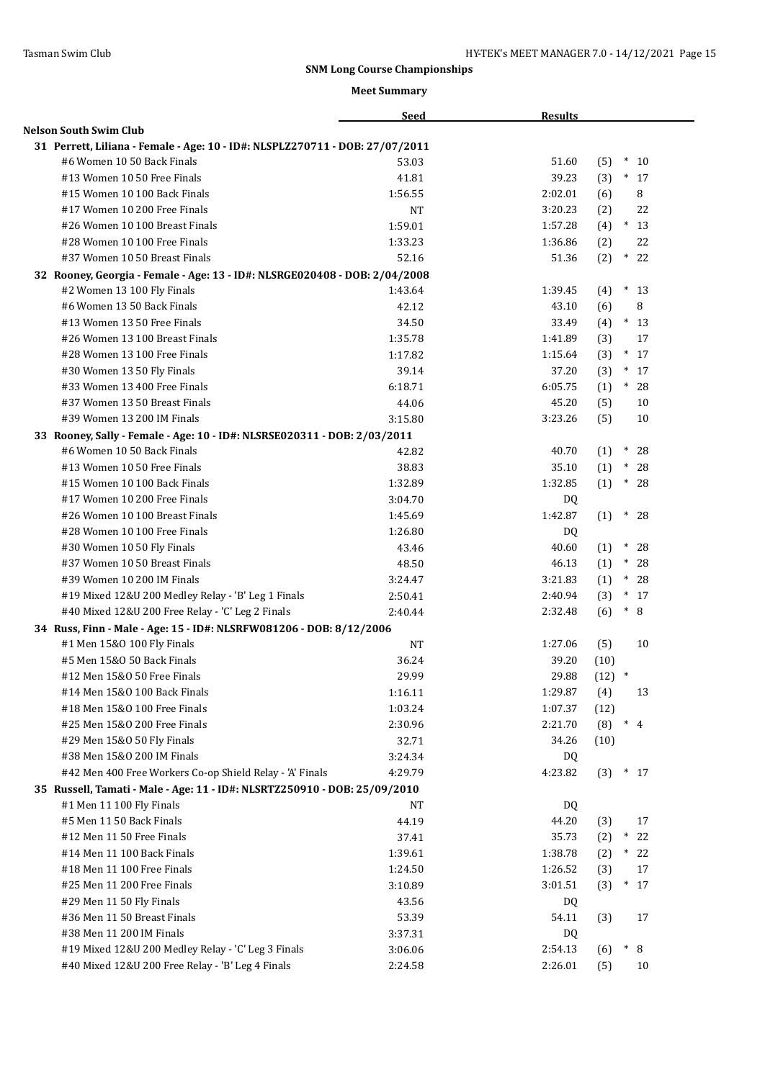|                                                                              | <b>Seed</b>        | <b>Results</b> |                      |
|------------------------------------------------------------------------------|--------------------|----------------|----------------------|
| <b>Nelson South Swim Club</b>                                                |                    |                |                      |
| 31 Perrett, Liliana - Female - Age: 10 - ID#: NLSPLZ270711 - DOB: 27/07/2011 |                    |                |                      |
| #6 Women 10 50 Back Finals                                                   | 53.03              | 51.60          | $\ast$<br>(5)<br>10  |
| #13 Women 10 50 Free Finals                                                  | 41.81              | 39.23          | $*17$<br>(3)         |
| #15 Women 10 100 Back Finals                                                 | 1:56.55            | 2:02.01        | 8<br>(6)             |
| #17 Women 10 200 Free Finals                                                 | <b>NT</b>          | 3:20.23        | (2)<br>22            |
| #26 Women 10 100 Breast Finals                                               | 1:59.01            | 1:57.28        | $*13$<br>(4)         |
| #28 Women 10 100 Free Finals                                                 | 1:33.23            | 1:36.86        | 22<br>(2)            |
| #37 Women 10 50 Breast Finals                                                | 52.16              | 51.36          | (2)<br>$*$<br>22     |
| 32 Rooney, Georgia - Female - Age: 13 - ID#: NLSRGE020408 - DOB: 2/04/2008   |                    |                |                      |
| #2 Women 13 100 Fly Finals                                                   | 1:43.64            | 1:39.45        | $*13$<br>(4)         |
| #6 Women 13 50 Back Finals                                                   | 42.12              | 43.10          | 8<br>(6)             |
| #13 Women 13 50 Free Finals                                                  | 34.50              | 33.49          | (4)<br>$*13$         |
| #26 Women 13 100 Breast Finals                                               | 1:35.78            | 1:41.89        | (3)<br>17            |
| #28 Women 13 100 Free Finals                                                 | 1:17.82            | 1:15.64        | $*17$<br>(3)         |
| #30 Women 13 50 Fly Finals                                                   | 39.14              | 37.20          | $\ast$<br>(3)<br>17  |
| #33 Women 13 400 Free Finals                                                 | 6:18.71            | 6:05.75        | $\ast$<br>28<br>(1)  |
| #37 Women 13 50 Breast Finals                                                | 44.06              | 45.20          | (5)<br>10            |
| #39 Women 13 200 IM Finals                                                   | 3:15.80            | 3:23.26        | (5)<br>10            |
| 33 Rooney, Sally - Female - Age: 10 - ID#: NLSRSE020311 - DOB: 2/03/2011     |                    |                |                      |
| #6 Women 10 50 Back Finals                                                   | 42.82              | 40.70          | $\ast$<br>(1)<br>28  |
| #13 Women 10 50 Free Finals                                                  | 38.83              | 35.10          | (1)<br>$\ast$<br>28  |
| #15 Women 10 100 Back Finals                                                 | 1:32.89            | 1:32.85        | (1)<br>$\ast$<br>28  |
| #17 Women 10 200 Free Finals                                                 | 3:04.70            | DQ.            |                      |
| #26 Women 10 100 Breast Finals                                               | 1:45.69            | 1:42.87        | (1)<br>$\ast$<br>28  |
| #28 Women 10 100 Free Finals                                                 | 1:26.80            | DQ             |                      |
| #30 Women 10 50 Fly Finals                                                   | 43.46              | 40.60          | $^\ast$<br>28<br>(1) |
| #37 Women 10 50 Breast Finals                                                | 48.50              | 46.13          | $^\ast$<br>(1)<br>28 |
| #39 Women 10 200 IM Finals                                                   | 3:24.47            | 3:21.83        | $^*$<br>28<br>(1)    |
| #19 Mixed 12&U 200 Medley Relay - 'B' Leg 1 Finals                           | 2:50.41            | 2:40.94        | $*17$<br>(3)         |
| #40 Mixed 12&U 200 Free Relay - 'C' Leg 2 Finals                             | 2:40.44            | 2:32.48        | $\ast$<br>8<br>(6)   |
| 34 Russ, Finn - Male - Age: 15 - ID#: NLSRFW081206 - DOB: 8/12/2006          |                    |                |                      |
| #1 Men 15&0 100 Fly Finals                                                   | <b>NT</b>          | 1:27.06        | (5)<br>10            |
| #5 Men 15&0 50 Back Finals                                                   | 36.24              | 39.20          | (10)                 |
| #12 Men 15&0 50 Free Finals                                                  | 29.99              | 29.88          | $(12)$ *             |
| #14 Men 15&0 100 Back Finals                                                 | 1:16.11            | 1:29.87        | (4)<br>13            |
| #18 Men 15&0 100 Free Finals                                                 | 1:03.24            | 1:07.37        | (12)                 |
| #25 Men 15&0 200 Free Finals                                                 | 2:30.96            | 2:21.70        | $*$ 4<br>(8)         |
| #29 Men 15&0 50 Fly Finals                                                   | 32.71              | 34.26          | (10)                 |
| #38 Men 15&0 200 IM Finals                                                   | 3:24.34            | DQ             |                      |
| #42 Men 400 Free Workers Co-op Shield Relay - 'A' Finals                     | 4:29.79            | 4:23.82        | (3)<br>$*17$         |
| 35 Russell, Tamati - Male - Age: 11 - ID#: NLSRTZ250910 - DOB: 25/09/2010    |                    |                |                      |
| #1 Men 11 100 Fly Finals                                                     | NT                 | DQ             |                      |
| #5 Men 11 50 Back Finals                                                     | 44.19              | 44.20          | (3)<br>17            |
| #12 Men 11 50 Free Finals                                                    | 37.41              | 35.73          | (2)<br>$\ast$<br>22  |
| #14 Men 11 100 Back Finals                                                   | 1:39.61            | 1:38.78        | (2)<br>$*$<br>22     |
| #18 Men 11 100 Free Finals                                                   | 1:24.50            | 1:26.52        | 17                   |
| #25 Men 11 200 Free Finals                                                   |                    | 3:01.51        | (3)<br>$\ast$<br>17  |
|                                                                              | 3:10.89            |                | (3)                  |
| #29 Men 11 50 Fly Finals<br>#36 Men 11 50 Breast Finals                      | 43.56              | DQ<br>54.11    | 17                   |
| #38 Men 11 200 IM Finals                                                     | 53.39              |                | (3)                  |
| #19 Mixed 12&U 200 Medley Relay - 'C' Leg 3 Finals                           | 3:37.31<br>3:06.06 | DQ<br>2:54.13  | $\ast$<br>8          |
| #40 Mixed 12&U 200 Free Relay - 'B' Leg 4 Finals                             |                    | 2:26.01        | (6)<br>10            |
|                                                                              | 2:24.58            |                | (5)                  |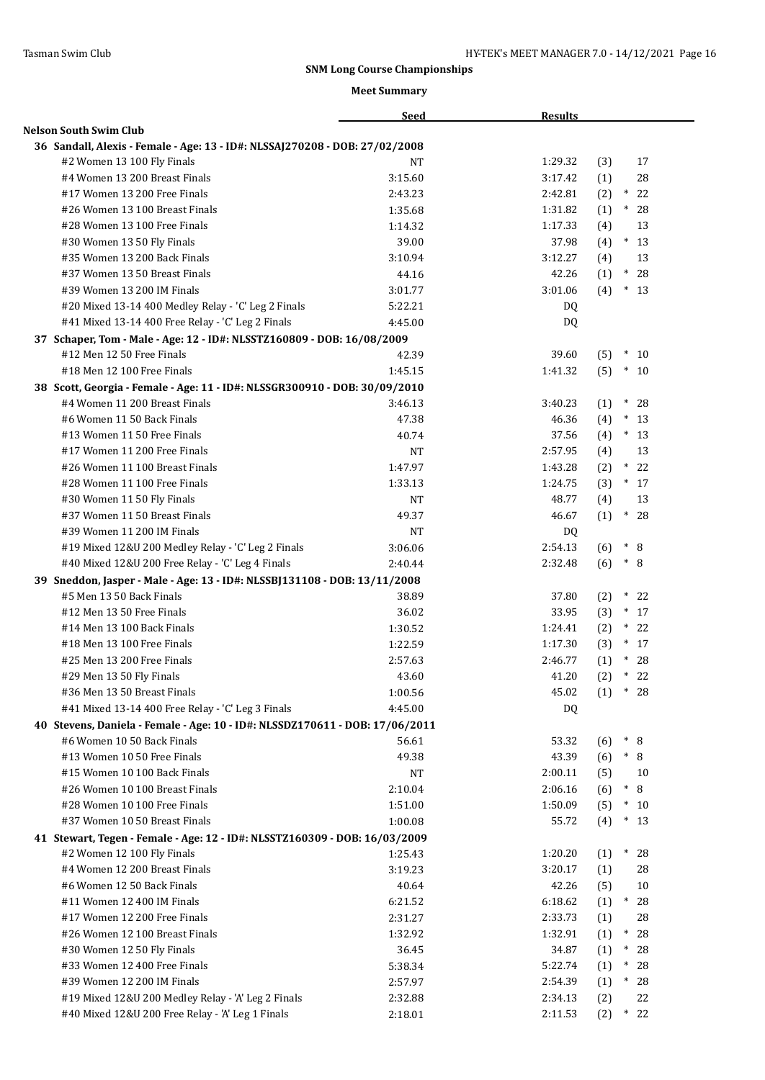|                                                                              | <b>Seed</b> | <b>Results</b> |                        |
|------------------------------------------------------------------------------|-------------|----------------|------------------------|
| Nelson South Swim Club                                                       |             |                |                        |
| 36 Sandall, Alexis - Female - Age: 13 - ID#: NLSSAJ270208 - DOB: 27/02/2008  |             |                |                        |
| #2 Women 13 100 Fly Finals                                                   | <b>NT</b>   | 1:29.32        | (3)<br>17              |
| #4 Women 13 200 Breast Finals                                                | 3:15.60     | 3:17.42        | 28<br>(1)              |
| #17 Women 13 200 Free Finals                                                 | 2:43.23     | 2:42.81        | $^\ast$<br>22<br>(2)   |
| #26 Women 13 100 Breast Finals                                               | 1:35.68     | 1:31.82        | $\ast$<br>28<br>(1)    |
| #28 Women 13 100 Free Finals                                                 | 1:14.32     | 1:17.33        | 13<br>(4)              |
| #30 Women 13 50 Fly Finals                                                   | 39.00       | 37.98          | $*13$<br>(4)           |
| #35 Women 13 200 Back Finals                                                 | 3:10.94     | 3:12.27        | 13<br>(4)              |
| #37 Women 13 50 Breast Finals                                                | 44.16       | 42.26          | $^*$ 28<br>(1)         |
| #39 Women 13 200 IM Finals                                                   | 3:01.77     | 3:01.06        | $*13$<br>(4)           |
| #20 Mixed 13-14 400 Medley Relay - 'C' Leg 2 Finals                          | 5:22.21     | DQ.            |                        |
| #41 Mixed 13-14 400 Free Relay - 'C' Leg 2 Finals                            | 4:45.00     | DQ.            |                        |
| 37 Schaper, Tom - Male - Age: 12 - ID#: NLSSTZ160809 - DOB: 16/08/2009       |             |                |                        |
| #12 Men 12 50 Free Finals                                                    | 42.39       | 39.60          | $*10$<br>(5)           |
| #18 Men 12 100 Free Finals                                                   | 1:45.15     | 1:41.32        | (5)<br>$*10$           |
| 38 Scott, Georgia - Female - Age: 11 - ID#: NLSSGR300910 - DOB: 30/09/2010   |             |                |                        |
| #4 Women 11 200 Breast Finals                                                | 3:46.13     | 3:40.23        | $\ast$<br>28<br>(1)    |
| #6 Women 11 50 Back Finals                                                   | 47.38       | 46.36          | $\ast$<br>(4)<br>13    |
| #13 Women 11 50 Free Finals                                                  | 40.74       | 37.56          | $*13$                  |
| #17 Women 11 200 Free Finals                                                 | <b>NT</b>   | 2:57.95        | (4)<br>(4)<br>13       |
| #26 Women 11 100 Breast Finals                                               |             | 1:43.28        | $*$<br>22              |
|                                                                              | 1:47.97     |                | (2)                    |
| #28 Women 11 100 Free Finals                                                 | 1:33.13     | 1:24.75        | $*17$<br>(3)           |
| #30 Women 11 50 Fly Finals                                                   | <b>NT</b>   | 48.77          | (4)<br>13              |
| #37 Women 11 50 Breast Finals                                                | 49.37       | 46.67          | $\ast$<br>(1)<br>28    |
| #39 Women 11 200 IM Finals                                                   | <b>NT</b>   | DQ             |                        |
| #19 Mixed 12&U 200 Medley Relay - 'C' Leg 2 Finals                           | 3:06.06     | 2:54.13        | $* 8$<br>(6)           |
| #40 Mixed 12&U 200 Free Relay - 'C' Leg 4 Finals                             | 2:40.44     | 2:32.48        | (6)<br>$* 8$           |
| 39 Sneddon, Jasper - Male - Age: 13 - ID#: NLSSBJ131108 - DOB: 13/11/2008    |             |                |                        |
| #5 Men 13 50 Back Finals                                                     | 38.89       | 37.80          | $*$<br>22<br>(2)       |
| #12 Men 13 50 Free Finals                                                    | 36.02       | 33.95          | $*17$<br>(3)           |
| #14 Men 13 100 Back Finals                                                   | 1:30.52     | 1:24.41        | (2)<br>* 22            |
| #18 Men 13 100 Free Finals                                                   | 1:22.59     | 1:17.30        | $*17$<br>(3)           |
| #25 Men 13 200 Free Finals                                                   | 2:57.63     | 2:46.77        | $*$<br>28<br>(1)       |
| #29 Men 13 50 Fly Finals                                                     | 43.60       | 41.20          | $\ast$<br>(2)<br>22    |
| #36 Men 13 50 Breast Finals                                                  | 1:00.56     | 45.02          | (1)<br>$*28$           |
| #41 Mixed 13-14 400 Free Relay - 'C' Leg 3 Finals                            | 4:45.00     | DQ.            |                        |
| 40 Stevens, Daniela - Female - Age: 10 - ID#: NLSSDZ170611 - DOB: 17/06/2011 |             |                |                        |
| #6 Women 10 50 Back Finals                                                   | 56.61       | 53.32          | $*$ 8<br>(6)           |
| #13 Women 10 50 Free Finals                                                  | 49.38       | 43.39          | (6)<br>$* 8$           |
| #15 Women 10 100 Back Finals                                                 | NT          | 2:00.11        | (5)<br>10              |
| #26 Women 10 100 Breast Finals                                               | 2:10.04     | 2:06.16        | $\ast$<br>8<br>(6)     |
| #28 Women 10 100 Free Finals                                                 | 1:51.00     | 1:50.09        | (5)<br>$*10$           |
| #37 Women 10 50 Breast Finals                                                | 1:00.08     | 55.72          | (4)<br>$\ast$<br>-13   |
| 41 Stewart, Tegen - Female - Age: 12 - ID#: NLSSTZ160309 - DOB: 16/03/2009   |             |                |                        |
| #2 Women 12 100 Fly Finals                                                   | 1:25.43     | 1:20.20        | (1)<br>$*$<br>28       |
| #4 Women 12 200 Breast Finals                                                | 3:19.23     | 3:20.17        | 28<br>(1)              |
| #6 Women 12 50 Back Finals                                                   | 40.64       | 42.26          | 10<br>(5)              |
| #11 Women 12 400 IM Finals                                                   | 6:21.52     | 6:18.62        | (1)<br>$*28$           |
| #17 Women 12 200 Free Finals                                                 | 2:31.27     | 2:33.73        | 28<br>(1)              |
| #26 Women 12 100 Breast Finals                                               | 1:32.92     | 1:32.91        | $*$<br>28<br>(1)       |
| #30 Women 12 50 Fly Finals                                                   | 36.45       | 34.87          | $\ast$<br>28<br>(1)    |
| #33 Women 12 400 Free Finals                                                 | 5:38.34     | 5:22.74        | $\ast$<br>28<br>(1)    |
| #39 Women 12 200 IM Finals                                                   | 2:57.97     | 2:54.39        | $^{\ast}$<br>28<br>(1) |
| #19 Mixed 12&U 200 Medley Relay - 'A' Leg 2 Finals                           | 2:32.88     | 2:34.13        | 22<br>(2)              |
| #40 Mixed 12&U 200 Free Relay - 'A' Leg 1 Finals                             | 2:18.01     | 2:11.53        | (2)<br>$*22$           |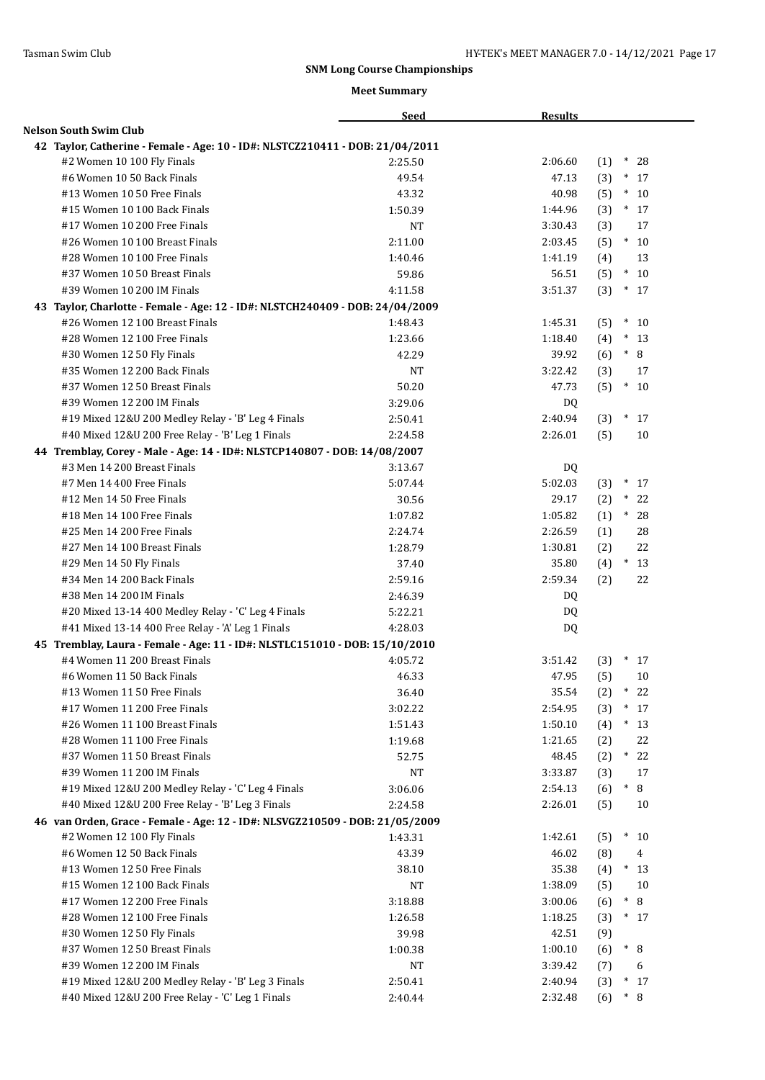|                                                                                                              | <b>Seed</b> | <b>Results</b>   |                     |
|--------------------------------------------------------------------------------------------------------------|-------------|------------------|---------------------|
| <b>Nelson South Swim Club</b>                                                                                |             |                  |                     |
| 42 Taylor, Catherine - Female - Age: 10 - ID#: NLSTCZ210411 - DOB: 21/04/2011                                |             |                  |                     |
| #2 Women 10 100 Fly Finals                                                                                   | 2:25.50     | 2:06.60          | (1)<br>$\ast$<br>28 |
| #6 Women 10 50 Back Finals                                                                                   | 49.54       | 47.13            | (3)<br>$\ast$<br>17 |
| #13 Women 10 50 Free Finals                                                                                  | 43.32       | 40.98            | (5)<br>$\ast$<br>10 |
| #15 Women 10 100 Back Finals                                                                                 | 1:50.39     | 1:44.96          | (3)<br>$*$ 17       |
| #17 Women 10 200 Free Finals                                                                                 | NT          | 3:30.43          | (3)<br>17           |
| #26 Women 10 100 Breast Finals                                                                               | 2:11.00     | 2:03.45          | (5)<br>$*10$        |
| #28 Women 10 100 Free Finals                                                                                 | 1:40.46     | 1:41.19          | 13<br>(4)           |
| #37 Women 10 50 Breast Finals                                                                                | 59.86       | 56.51            | $*10$<br>(5)        |
| #39 Women 10 200 IM Finals                                                                                   | 4:11.58     | 3:51.37          | (3)<br>$*17$        |
| 43 Taylor, Charlotte - Female - Age: 12 - ID#: NLSTCH240409 - DOB: 24/04/2009                                |             |                  |                     |
| #26 Women 12 100 Breast Finals                                                                               | 1:48.43     | 1:45.31          | $*10$<br>(5)        |
| #28 Women 12 100 Free Finals                                                                                 | 1:23.66     | 1:18.40          | $*13$<br>(4)        |
| #30 Women 12 50 Fly Finals                                                                                   | 42.29       | 39.92            | $* \ 8$<br>(6)      |
| #35 Women 12 200 Back Finals                                                                                 | NT          | 3:22.42          | (3)<br>17           |
| #37 Women 12 50 Breast Finals                                                                                | 50.20       | 47.73            | (5)<br>$\ast$<br>10 |
| #39 Women 12 200 IM Finals                                                                                   | 3:29.06     | DQ.              |                     |
| #19 Mixed 12&U 200 Medley Relay - 'B' Leg 4 Finals                                                           | 2:50.41     | 2:40.94          | (3)<br>$*17$        |
| #40 Mixed 12&U 200 Free Relay - 'B' Leg 1 Finals                                                             | 2:24.58     | 2:26.01          | 10<br>(5)           |
| 44 Tremblay, Corey - Male - Age: 14 - ID#: NLSTCP140807 - DOB: 14/08/2007                                    |             |                  |                     |
| #3 Men 14 200 Breast Finals                                                                                  | 3:13.67     | DQ.              |                     |
| #7 Men 14 400 Free Finals                                                                                    | 5:07.44     | 5:02.03          | $\ast$<br>(3)<br>17 |
| #12 Men 14 50 Free Finals                                                                                    | 30.56       | 29.17            | (2)<br>$\ast$<br>22 |
| #18 Men 14 100 Free Finals                                                                                   | 1:07.82     | 1:05.82          | (1)<br>$*$<br>28    |
| #25 Men 14 200 Free Finals                                                                                   | 2:24.74     | 2:26.59          | 28                  |
| #27 Men 14 100 Breast Finals                                                                                 | 1:28.79     | 1:30.81          | (1)<br>22<br>(2)    |
| #29 Men 14 50 Fly Finals                                                                                     | 37.40       | 35.80            | $*13$<br>(4)        |
| #34 Men 14 200 Back Finals                                                                                   | 2:59.16     | 2:59.34          | 22<br>(2)           |
| #38 Men 14 200 IM Finals                                                                                     | 2:46.39     |                  |                     |
| #20 Mixed 13-14 400 Medley Relay - 'C' Leg 4 Finals                                                          | 5:22.21     | DQ<br><b>DQ</b>  |                     |
| #41 Mixed 13-14 400 Free Relay - 'A' Leg 1 Finals                                                            | 4:28.03     | <b>DQ</b>        |                     |
|                                                                                                              |             |                  |                     |
| 45 Tremblay, Laura - Female - Age: 11 - ID#: NLSTLC151010 - DOB: 15/10/2010<br>#4 Women 11 200 Breast Finals | 4:05.72     | 3:51.42          | $\ast$              |
| #6 Women 11 50 Back Finals                                                                                   | 46.33       | 47.95            | (3)<br>17<br>10     |
| #13 Women 11 50 Free Finals                                                                                  |             | 35.54            | (5)<br>$*$          |
| #17 Women 11 200 Free Finals                                                                                 | 36.40       |                  | (2)<br>22<br>$\ast$ |
|                                                                                                              | 3:02.22     | 2:54.95          | (3)<br>17           |
| #26 Women 11 100 Breast Finals<br>#28 Women 11 100 Free Finals                                               | 1:51.43     | 1:50.10          | (4)<br>$*13$        |
| #37 Women 11 50 Breast Finals                                                                                | 1:19.68     | 1:21.65          | 22<br>(2)           |
|                                                                                                              | 52.75       | 48.45<br>3:33.87 | 22<br>(2)<br>$*$    |
| #39 Women 11 200 IM Finals                                                                                   | <b>NT</b>   |                  | (3)<br>17           |
| #19 Mixed 12&U 200 Medley Relay - 'C' Leg 4 Finals                                                           | 3:06.06     | 2:54.13          | $\ast$<br>8<br>(6)  |
| #40 Mixed 12&U 200 Free Relay - 'B' Leg 3 Finals                                                             | 2:24.58     | 2:26.01          | (5)<br>10           |
| 46 van Orden, Grace - Female - Age: 12 - ID#: NLSVGZ210509 - DOB: 21/05/2009                                 |             |                  |                     |
| #2 Women 12 100 Fly Finals                                                                                   | 1:43.31     | 1:42.61          | $*$<br>10<br>(5)    |
| #6 Women 12 50 Back Finals                                                                                   | 43.39       | 46.02            | (8)<br>4            |
| #13 Women 12 50 Free Finals                                                                                  | 38.10       | 35.38            | (4)<br>$*13$        |
| #15 Women 12 100 Back Finals                                                                                 | $_{\rm NT}$ | 1:38.09          | 10<br>(5)           |
| #17 Women 12 200 Free Finals                                                                                 | 3:18.88     | 3:00.06          | 8<br>$^*$<br>(6)    |
| #28 Women 12 100 Free Finals                                                                                 | 1:26.58     | 1:18.25          | (3)<br>$*17$        |
| #30 Women 12 50 Fly Finals                                                                                   | 39.98       | 42.51            | (9)                 |
| #37 Women 12 50 Breast Finals                                                                                | 1:00.38     | 1:00.10          | $*$ 8<br>(6)        |
| #39 Women 12 200 IM Finals                                                                                   | <b>NT</b>   | 3:39.42          | 6<br>(7)            |
| #19 Mixed 12&U 200 Medley Relay - 'B' Leg 3 Finals                                                           | 2:50.41     | 2:40.94          | $*17$<br>(3)        |
| #40 Mixed 12&U 200 Free Relay - 'C' Leg 1 Finals                                                             | 2:40.44     | 2:32.48          | $* 8$<br>(6)        |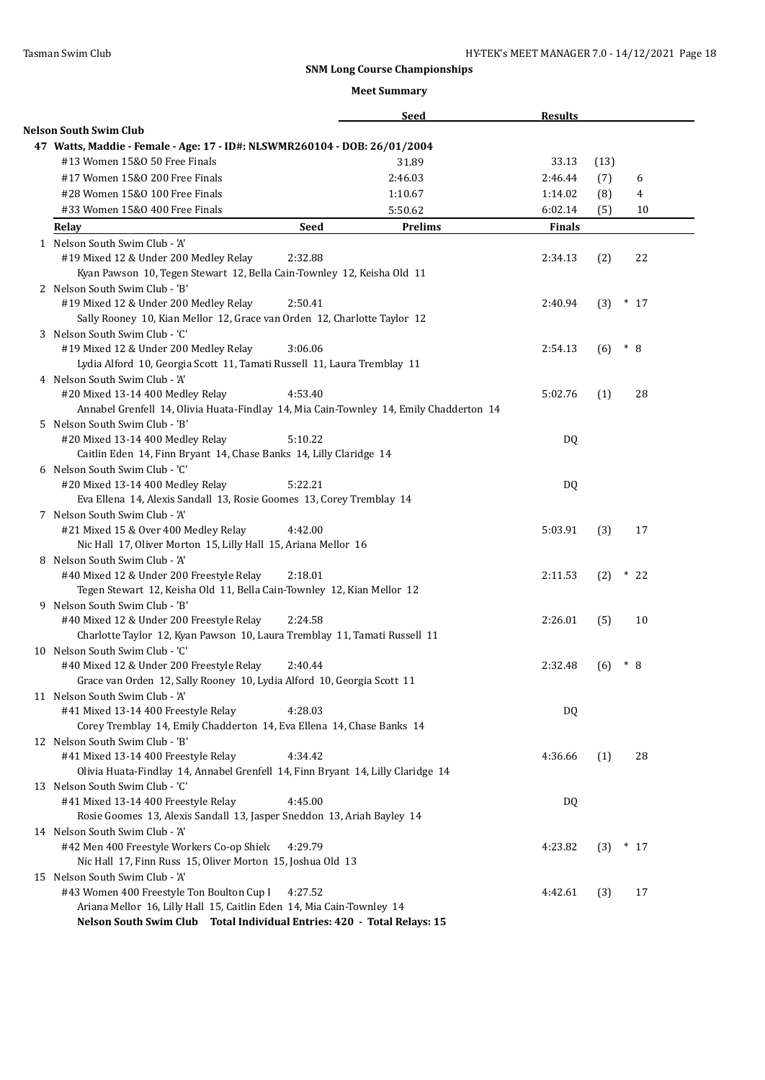|                                                                                                                                                   |             | Seed           | <b>Results</b> |      |       |       |
|---------------------------------------------------------------------------------------------------------------------------------------------------|-------------|----------------|----------------|------|-------|-------|
| <b>Nelson South Swim Club</b>                                                                                                                     |             |                |                |      |       |       |
| 47 Watts, Maddie - Female - Age: 17 - ID#: NLSWMR260104 - DOB: 26/01/2004                                                                         |             |                |                |      |       |       |
| #13 Women 15&0 50 Free Finals                                                                                                                     |             | 31.89          | 33.13          | (13) |       |       |
| #17 Women 15&0 200 Free Finals                                                                                                                    |             | 2:46.03        | 2:46.44        | (7)  |       | 6     |
| #28 Women 15&0 100 Free Finals                                                                                                                    |             | 1:10.67        | 1:14.02        | (8)  |       | 4     |
| #33 Women 15&0 400 Free Finals                                                                                                                    |             | 5:50.62        | 6:02.14        | (5)  |       | 10    |
| Relay                                                                                                                                             | <b>Seed</b> | <b>Prelims</b> | <b>Finals</b>  |      |       |       |
| 1 Nelson South Swim Club - 'A'<br>#19 Mixed 12 & Under 200 Medley Relay<br>Kyan Pawson 10, Tegen Stewart 12, Bella Cain-Townley 12, Keisha Old 11 | 2:32.88     |                | 2:34.13        | (2)  |       | 22    |
| 2 Nelson South Swim Club - 'B'                                                                                                                    |             |                |                |      |       |       |
| #19 Mixed 12 & Under 200 Medley Relay                                                                                                             | 2:50.41     |                | 2:40.94        | (3)  | $*17$ |       |
| Sally Rooney 10, Kian Mellor 12, Grace van Orden 12, Charlotte Taylor 12                                                                          |             |                |                |      |       |       |
| 3 Nelson South Swim Club - 'C'                                                                                                                    |             |                |                |      |       |       |
| #19 Mixed 12 & Under 200 Medley Relay                                                                                                             | 3:06.06     |                | 2:54.13        | (6)  | $* 8$ |       |
| Lydia Alford 10, Georgia Scott 11, Tamati Russell 11, Laura Tremblay 11                                                                           |             |                |                |      |       |       |
| 4 Nelson South Swim Club - 'A'                                                                                                                    |             |                |                |      |       |       |
| #20 Mixed 13-14 400 Medley Relay                                                                                                                  | 4:53.40     |                | 5:02.76        | (1)  |       | 28    |
| Annabel Grenfell 14, Olivia Huata-Findlay 14, Mia Cain-Townley 14, Emily Chadderton 14                                                            |             |                |                |      |       |       |
| 5 Nelson South Swim Club - 'B'                                                                                                                    |             |                |                |      |       |       |
| #20 Mixed 13-14 400 Medley Relay                                                                                                                  | 5:10.22     |                | DQ             |      |       |       |
| Caitlin Eden 14, Finn Bryant 14, Chase Banks 14, Lilly Claridge 14                                                                                |             |                |                |      |       |       |
| 6 Nelson South Swim Club - 'C'                                                                                                                    |             |                |                |      |       |       |
| #20 Mixed 13-14 400 Medley Relay                                                                                                                  | 5:22.21     |                | DQ             |      |       |       |
| Eva Ellena 14, Alexis Sandall 13, Rosie Goomes 13, Corey Tremblay 14                                                                              |             |                |                |      |       |       |
| 7 Nelson South Swim Club - 'A'                                                                                                                    |             |                |                |      |       |       |
| #21 Mixed 15 & Over 400 Medley Relay                                                                                                              | 4:42.00     |                | 5:03.91        | (3)  |       | 17    |
| Nic Hall 17, Oliver Morton 15, Lilly Hall 15, Ariana Mellor 16                                                                                    |             |                |                |      |       |       |
| 8 Nelson South Swim Club - 'A'                                                                                                                    |             |                |                |      |       |       |
| #40 Mixed 12 & Under 200 Freestyle Relay                                                                                                          | 2:18.01     |                | 2:11.53        | (2)  | $*22$ |       |
| Tegen Stewart 12, Keisha Old 11, Bella Cain-Townley 12, Kian Mellor 12                                                                            |             |                |                |      |       |       |
| 9 Nelson South Swim Club - 'B'                                                                                                                    |             |                |                |      |       |       |
| #40 Mixed 12 & Under 200 Freestyle Relay                                                                                                          | 2:24.58     |                | 2:26.01        | (5)  |       | 10    |
| Charlotte Taylor 12, Kyan Pawson 10, Laura Tremblay 11, Tamati Russell 11                                                                         |             |                |                |      |       |       |
| 10 Nelson South Swim Club - 'C'                                                                                                                   |             |                |                |      |       |       |
| #40 Mixed 12 & Under 200 Freestyle Relay                                                                                                          | 2:40.44     |                | 2:32.48        | (6)  | $*$ 8 |       |
| Grace van Orden 12, Sally Rooney 10, Lydia Alford 10, Georgia Scott 11<br>11 Nelson South Swim Club - 'A'                                         |             |                |                |      |       |       |
| #41 Mixed 13-14 400 Freestyle Relay                                                                                                               | 4:28.03     |                | DQ             |      |       |       |
| Corey Tremblay 14, Emily Chadderton 14, Eva Ellena 14, Chase Banks 14                                                                             |             |                |                |      |       |       |
| 12 Nelson South Swim Club - 'B'                                                                                                                   |             |                |                |      |       |       |
| #41 Mixed 13-14 400 Freestyle Relay                                                                                                               | 4:34.42     |                | 4:36.66        | (1)  |       | 28    |
| Olivia Huata-Findlay 14, Annabel Grenfell 14, Finn Bryant 14, Lilly Claridge 14                                                                   |             |                |                |      |       |       |
| 13 Nelson South Swim Club - 'C'                                                                                                                   |             |                |                |      |       |       |
| #41 Mixed 13-14 400 Freestyle Relay                                                                                                               | 4:45.00     |                | DQ             |      |       |       |
| Rosie Goomes 13, Alexis Sandall 13, Jasper Sneddon 13, Ariah Bayley 14                                                                            |             |                |                |      |       |       |
| 14 Nelson South Swim Club - 'A'                                                                                                                   |             |                |                |      |       |       |
| #42 Men 400 Freestyle Workers Co-op Shield                                                                                                        | 4:29.79     |                | 4:23.82        | (3)  |       | $*17$ |
| Nic Hall 17, Finn Russ 15, Oliver Morton 15, Joshua Old 13                                                                                        |             |                |                |      |       |       |
| 15 Nelson South Swim Club - 'A'                                                                                                                   |             |                |                |      |       |       |
| #43 Women 400 Freestyle Ton Boulton Cup I                                                                                                         | 4:27.52     |                | 4:42.61        | (3)  |       | 17    |
| Ariana Mellor 16, Lilly Hall 15, Caitlin Eden 14, Mia Cain-Townley 14                                                                             |             |                |                |      |       |       |
| Nelson South Swim Club Total Individual Entries: 420 - Total Relays: 15                                                                           |             |                |                |      |       |       |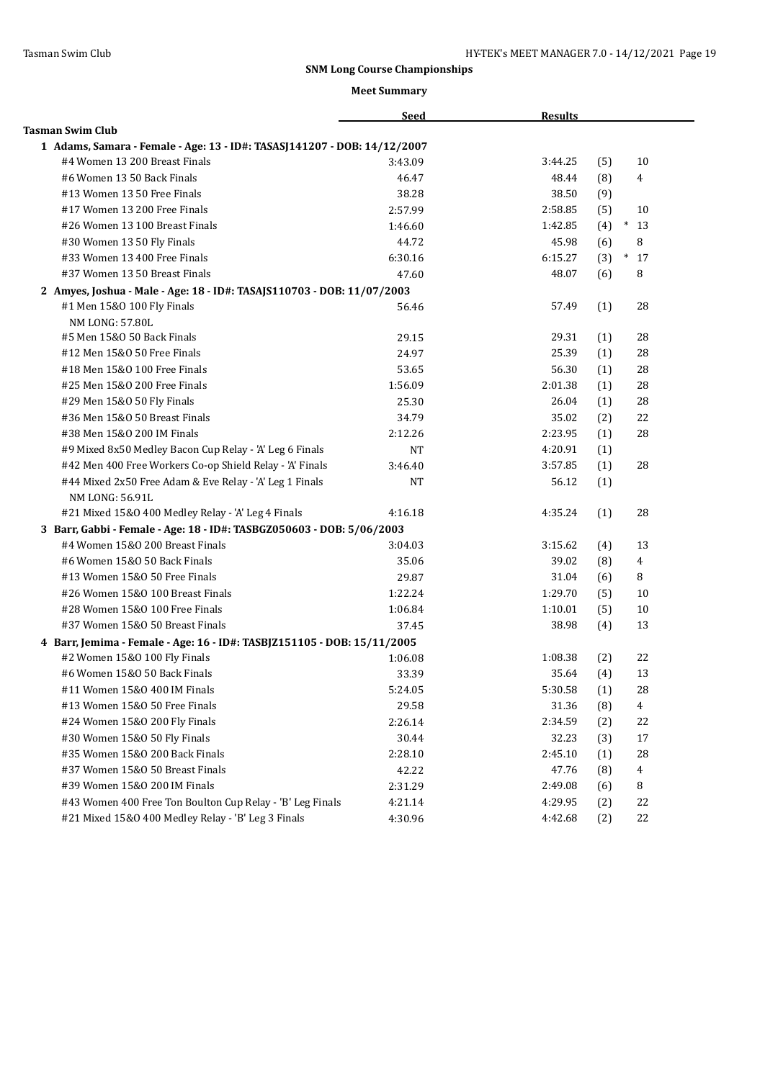|                                                                          | <b>Seed</b> | <b>Results</b> |     |                |
|--------------------------------------------------------------------------|-------------|----------------|-----|----------------|
| <b>Tasman Swim Club</b>                                                  |             |                |     |                |
| 1 Adams, Samara - Female - Age: 13 - ID#: TASASJ141207 - DOB: 14/12/2007 |             |                |     |                |
| #4 Women 13 200 Breast Finals                                            | 3:43.09     | 3:44.25        | (5) | 10             |
| #6 Women 13 50 Back Finals                                               | 46.47       | 48.44          | (8) | 4              |
| #13 Women 13 50 Free Finals                                              | 38.28       | 38.50          | (9) |                |
| #17 Women 13 200 Free Finals                                             | 2:57.99     | 2:58.85        | (5) | 10             |
| #26 Women 13 100 Breast Finals                                           | 1:46.60     | 1:42.85        | (4) | $*13$          |
| #30 Women 13 50 Fly Finals                                               | 44.72       | 45.98          | (6) | 8              |
| #33 Women 13 400 Free Finals                                             | 6:30.16     | 6:15.27        | (3) | $\ast$<br>17   |
| #37 Women 13 50 Breast Finals                                            | 47.60       | 48.07          | (6) | 8              |
| 2 Amyes, Joshua - Male - Age: 18 - ID#: TASAJS110703 - DOB: 11/07/2003   |             |                |     |                |
| #1 Men 15&0 100 Fly Finals                                               | 56.46       | 57.49          | (1) | 28             |
| NM LONG: 57.80L                                                          |             |                |     |                |
| #5 Men 15&0 50 Back Finals                                               | 29.15       | 29.31          | (1) | 28             |
| #12 Men 15&0 50 Free Finals                                              | 24.97       | 25.39          | (1) | 28             |
| #18 Men 15&0 100 Free Finals                                             | 53.65       | 56.30          | (1) | 28             |
| #25 Men 15&0 200 Free Finals                                             | 1:56.09     | 2:01.38        | (1) | 28             |
| #29 Men 15&0 50 Fly Finals                                               | 25.30       | 26.04          | (1) | 28             |
| #36 Men 15&0 50 Breast Finals                                            | 34.79       | 35.02          | (2) | 22             |
| #38 Men 15&0 200 IM Finals                                               | 2:12.26     | 2:23.95        | (1) | 28             |
| #9 Mixed 8x50 Medley Bacon Cup Relay - 'A' Leg 6 Finals                  | <b>NT</b>   | 4:20.91        | (1) |                |
| #42 Men 400 Free Workers Co-op Shield Relay - 'A' Finals                 | 3:46.40     | 3:57.85        | (1) | 28             |
| #44 Mixed 2x50 Free Adam & Eve Relay - 'A' Leg 1 Finals                  | NT          | 56.12          | (1) |                |
| NM LONG: 56.91L                                                          |             |                |     |                |
| #21 Mixed 15&0 400 Medley Relay - 'A' Leg 4 Finals                       | 4:16.18     | 4:35.24        | (1) | 28             |
| 3 Barr, Gabbi - Female - Age: 18 - ID#: TASBGZ050603 - DOB: 5/06/2003    |             |                |     |                |
| #4 Women 15&0 200 Breast Finals                                          | 3:04.03     | 3:15.62        | (4) | 13             |
| #6 Women 15&0 50 Back Finals                                             | 35.06       | 39.02          | (8) | $\overline{4}$ |
| #13 Women 15&0 50 Free Finals                                            | 29.87       | 31.04          | (6) | 8              |
| #26 Women 15&0 100 Breast Finals                                         | 1:22.24     | 1:29.70        | (5) | 10             |
| #28 Women 15&0 100 Free Finals                                           | 1:06.84     | 1:10.01        | (5) | 10             |
| #37 Women 15&0 50 Breast Finals                                          | 37.45       | 38.98          | (4) | 13             |
| 4 Barr, Jemima - Female - Age: 16 - ID#: TASBJZ151105 - DOB: 15/11/2005  |             |                |     |                |
| #2 Women 15&0 100 Fly Finals                                             | 1:06.08     | 1:08.38        | (2) | 22             |
| #6 Women 15&0 50 Back Finals                                             | 33.39       | 35.64          | (4) | 13             |
| #11 Women 15&0 400 IM Finals                                             | 5:24.05     | 5:30.58        | (1) | 28             |
| #13 Women 15&0 50 Free Finals                                            | 29.58       | 31.36          | (8) | 4              |
| #24 Women 15&0 200 Fly Finals                                            | 2:26.14     | 2:34.59        | (2) | 22             |
| #30 Women 15&0 50 Fly Finals                                             | 30.44       | 32.23          | (3) | 17             |
| #35 Women 15&0 200 Back Finals                                           | 2:28.10     | 2:45.10        | (1) | 28             |
| #37 Women 15&0 50 Breast Finals                                          | 42.22       | 47.76          | (8) | 4              |
| #39 Women 15&0 200 IM Finals                                             | 2:31.29     | 2:49.08        | (6) | 8              |
| #43 Women 400 Free Ton Boulton Cup Relay - 'B' Leg Finals                | 4:21.14     | 4:29.95        | (2) | 22             |
| #21 Mixed 15&0 400 Medley Relay - 'B' Leg 3 Finals                       | 4:30.96     | 4:42.68        | (2) | 22             |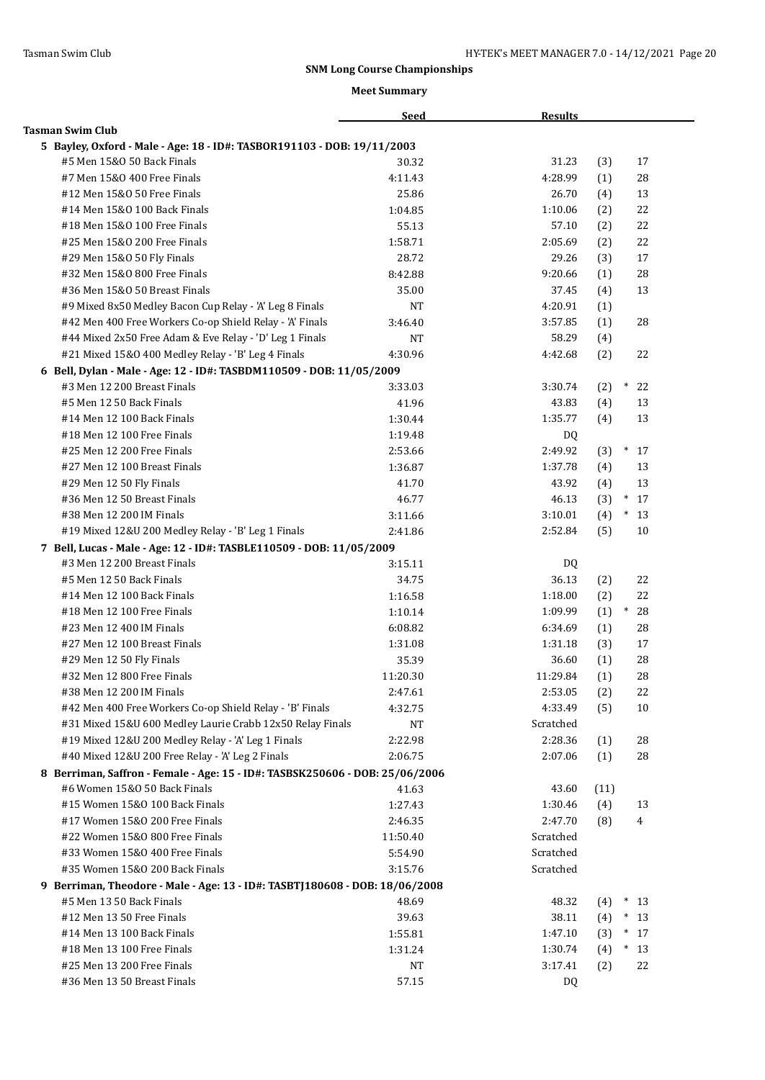|                                                                              | <b>Seed</b> | <b>Results</b> |      |                       |
|------------------------------------------------------------------------------|-------------|----------------|------|-----------------------|
| <b>Tasman Swim Club</b>                                                      |             |                |      |                       |
| 5 Bayley, Oxford - Male - Age: 18 - ID#: TASBOR191103 - DOB: 19/11/2003      |             |                |      |                       |
| #5 Men 15&0 50 Back Finals                                                   | 30.32       | 31.23          | (3)  | 17                    |
| #7 Men 15&0 400 Free Finals                                                  | 4:11.43     | 4:28.99        | (1)  | 28                    |
| #12 Men 15&0 50 Free Finals                                                  | 25.86       | 26.70          | (4)  | 13                    |
| #14 Men 15&0 100 Back Finals                                                 | 1:04.85     | 1:10.06        | (2)  | 22                    |
| #18 Men 15&0 100 Free Finals                                                 | 55.13       | 57.10          | (2)  | 22                    |
| #25 Men 15&0 200 Free Finals                                                 | 1:58.71     | 2:05.69        | (2)  | 22                    |
| #29 Men 15&0 50 Fly Finals                                                   | 28.72       | 29.26          | (3)  | 17                    |
| #32 Men 15&0 800 Free Finals                                                 | 8:42.88     | 9:20.66        | (1)  | 28                    |
| #36 Men 15&0 50 Breast Finals                                                | 35.00       | 37.45          | (4)  | 13                    |
| #9 Mixed 8x50 Medley Bacon Cup Relay - 'A' Leg 8 Finals                      | <b>NT</b>   | 4:20.91        | (1)  |                       |
| #42 Men 400 Free Workers Co-op Shield Relay - 'A' Finals                     | 3:46.40     | 3:57.85        | (1)  | 28                    |
| #44 Mixed 2x50 Free Adam & Eve Relay - 'D' Leg 1 Finals                      | NT          | 58.29          | (4)  |                       |
| #21 Mixed 15&0 400 Medley Relay - 'B' Leg 4 Finals                           | 4:30.96     | 4:42.68        | (2)  | 22                    |
| 6 Bell, Dylan - Male - Age: 12 - ID#: TASBDM110509 - DOB: 11/05/2009         |             |                |      |                       |
| #3 Men 12 200 Breast Finals                                                  | 3:33.03     | 3:30.74        | (2)  | $\ast$<br>22          |
| #5 Men 12 50 Back Finals                                                     | 41.96       | 43.83          | (4)  | 13                    |
| #14 Men 12 100 Back Finals                                                   | 1:30.44     | 1:35.77        | (4)  | 13                    |
| #18 Men 12 100 Free Finals                                                   | 1:19.48     | DQ.            |      |                       |
| #25 Men 12 200 Free Finals                                                   | 2:53.66     | 2:49.92        | (3)  | $\ast$<br>17          |
| #27 Men 12 100 Breast Finals                                                 | 1:36.87     | 1:37.78        | (4)  | 13                    |
| #29 Men 12 50 Fly Finals                                                     | 41.70       | 43.92          | (4)  | 13                    |
| #36 Men 12 50 Breast Finals                                                  | 46.77       | 46.13          | (3)  | $\ast$<br>17          |
| #38 Men 12 200 IM Finals                                                     | 3:11.66     | 3:10.01        | (4)  | $*13$                 |
| #19 Mixed 12&U 200 Medley Relay - 'B' Leg 1 Finals                           | 2:41.86     | 2:52.84        | (5)  | 10                    |
| 7 Bell, Lucas - Male - Age: 12 - ID#: TASBLE110509 - DOB: 11/05/2009         |             |                |      |                       |
| #3 Men 12 200 Breast Finals                                                  | 3:15.11     | DQ             |      |                       |
| #5 Men 12 50 Back Finals                                                     | 34.75       | 36.13          | (2)  | 22                    |
| #14 Men 12 100 Back Finals                                                   | 1:16.58     | 1:18.00        | (2)  | 22                    |
| #18 Men 12 100 Free Finals                                                   | 1:10.14     | 1:09.99        | (1)  | $\ast$<br>28          |
| #23 Men 12 400 IM Finals                                                     | 6:08.82     | 6:34.69        |      | 28                    |
| #27 Men 12 100 Breast Finals                                                 |             | 1:31.18        | (1)  | 17                    |
|                                                                              | 1:31.08     | 36.60          | (3)  | 28                    |
| #29 Men 12 50 Fly Finals<br>#32 Men 12 800 Free Finals                       | 35.39       | 11:29.84       | (1)  |                       |
| #38 Men 12 200 IM Finals                                                     | 11:20.30    |                | (1)  | 28                    |
|                                                                              | 2:47.61     | 2:53.05        | (2)  | 22                    |
| #42 Men 400 Free Workers Co-op Shield Relay - 'B' Finals                     | 4:32.75     | 4:33.49        | (5)  | 10                    |
| #31 Mixed 15&U 600 Medley Laurie Crabb 12x50 Relay Finals                    | NT          | Scratched      |      |                       |
| #19 Mixed 12&U 200 Medley Relay - 'A' Leg 1 Finals                           | 2:22.98     | 2:28.36        | (1)  | 28                    |
| #40 Mixed 12&U 200 Free Relay - 'A' Leg 2 Finals                             | 2:06.75     | 2:07.06        | (1)  | 28                    |
| 8 Berriman, Saffron - Female - Age: 15 - ID#: TASBSK250606 - DOB: 25/06/2006 |             |                |      |                       |
| #6 Women 15&0 50 Back Finals                                                 | 41.63       | 43.60          | (11) |                       |
| #15 Women 15&0 100 Back Finals                                               | 1:27.43     | 1:30.46        | (4)  | 13                    |
| #17 Women 15&0 200 Free Finals                                               | 2:46.35     | 2:47.70        | (8)  | 4                     |
| #22 Women 15&0 800 Free Finals                                               | 11:50.40    | Scratched      |      |                       |
| #33 Women 15&0 400 Free Finals                                               | 5:54.90     | Scratched      |      |                       |
| #35 Women 15&0 200 Back Finals                                               | 3:15.76     | Scratched      |      |                       |
| 9 Berriman, Theodore - Male - Age: 13 - ID#: TASBTJ180608 - DOB: 18/06/2008  |             |                |      |                       |
| #5 Men 13 50 Back Finals                                                     | 48.69       | 48.32          | (4)  | $*13$                 |
| #12 Men 13 50 Free Finals                                                    | 39.63       | 38.11          | (4)  | $*13$                 |
| #14 Men 13 100 Back Finals                                                   | 1:55.81     | 1:47.10        | (3)  | $\hspace{0.1cm}^*$ 17 |
| #18 Men 13 100 Free Finals                                                   | 1:31.24     | 1:30.74        | (4)  | $*13$                 |
| #25 Men 13 200 Free Finals                                                   | NT          | 3:17.41        | (2)  | 22                    |
| #36 Men 13 50 Breast Finals                                                  | 57.15       | DQ             |      |                       |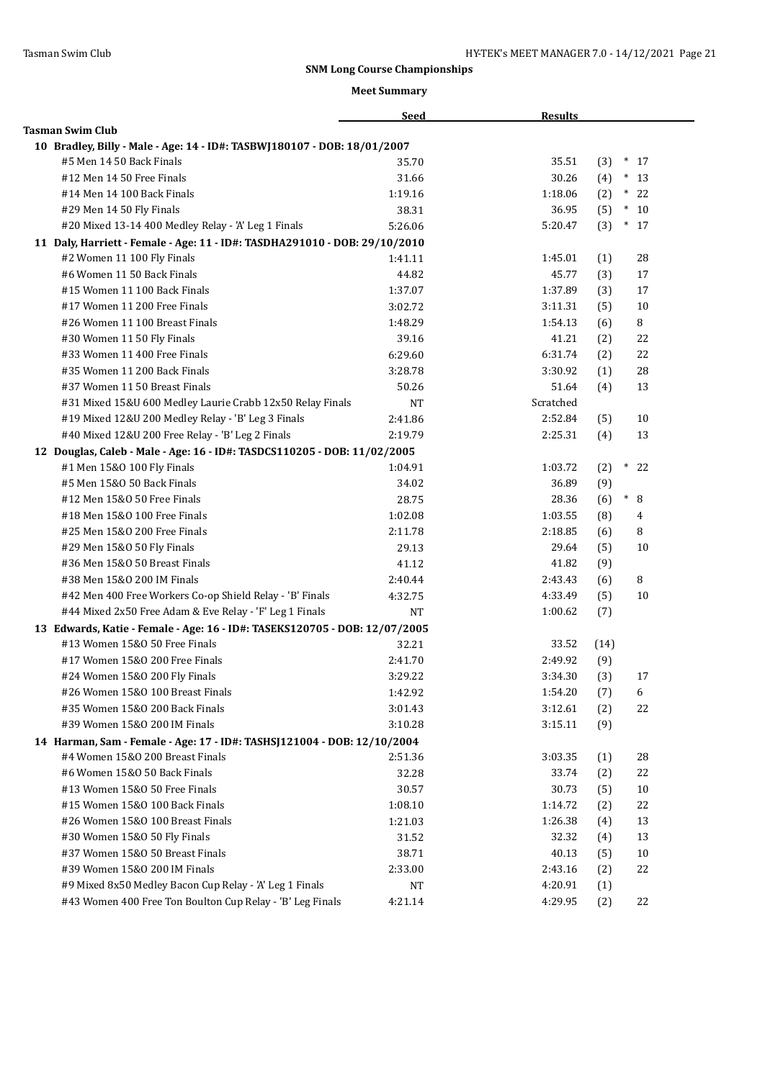|                                                                            | <b>Seed</b> | <b>Results</b> |      |              |
|----------------------------------------------------------------------------|-------------|----------------|------|--------------|
| <b>Tasman Swim Club</b>                                                    |             |                |      |              |
| 10 Bradley, Billy - Male - Age: 14 - ID#: TASBWJ180107 - DOB: 18/01/2007   |             |                |      |              |
| #5 Men 14 50 Back Finals                                                   | 35.70       | 35.51          | (3)  | $*17$        |
| #12 Men 14 50 Free Finals                                                  | 31.66       | 30.26          | (4)  | $*13$        |
| #14 Men 14 100 Back Finals                                                 | 1:19.16     | 1:18.06        | (2)  | $\ast$<br>22 |
| #29 Men 14 50 Fly Finals                                                   | 38.31       | 36.95          | (5)  | $*10$        |
| #20 Mixed 13-14 400 Medley Relay - 'A' Leg 1 Finals                        | 5:26.06     | 5:20.47        | (3)  | $*17$        |
| 11 Daly, Harriett - Female - Age: 11 - ID#: TASDHA291010 - DOB: 29/10/2010 |             |                |      |              |
| #2 Women 11 100 Fly Finals                                                 | 1:41.11     | 1:45.01        | (1)  | 28           |
| #6 Women 11 50 Back Finals                                                 | 44.82       | 45.77          | (3)  | 17           |
| #15 Women 11 100 Back Finals                                               | 1:37.07     | 1:37.89        | (3)  | 17           |
| #17 Women 11 200 Free Finals                                               | 3:02.72     | 3:11.31        | (5)  | 10           |
| #26 Women 11 100 Breast Finals                                             | 1:48.29     | 1:54.13        | (6)  | 8            |
| #30 Women 11 50 Fly Finals                                                 | 39.16       | 41.21          | (2)  | 22           |
| #33 Women 11 400 Free Finals                                               | 6:29.60     | 6:31.74        | (2)  | 22           |
| #35 Women 11 200 Back Finals                                               | 3:28.78     | 3:30.92        | (1)  | 28           |
| #37 Women 11 50 Breast Finals                                              | 50.26       | 51.64          | (4)  | 13           |
| #31 Mixed 15&U 600 Medley Laurie Crabb 12x50 Relay Finals                  | <b>NT</b>   | Scratched      |      |              |
| #19 Mixed 12&U 200 Medley Relay - 'B' Leg 3 Finals                         | 2:41.86     | 2:52.84        | (5)  | 10           |
| #40 Mixed 12&U 200 Free Relay - 'B' Leg 2 Finals                           | 2:19.79     | 2:25.31        | (4)  | 13           |
| 12 Douglas, Caleb - Male - Age: 16 - ID#: TASDCS110205 - DOB: 11/02/2005   |             |                |      |              |
| #1 Men 15&0 100 Fly Finals                                                 | 1:04.91     | 1:03.72        | (2)  | $\ast$<br>22 |
| #5 Men 15&0 50 Back Finals                                                 | 34.02       | 36.89          | (9)  |              |
| #12 Men 15&0 50 Free Finals                                                | 28.75       | 28.36          | (6)  | $\ast$<br>8  |
| #18 Men 15&0 100 Free Finals                                               | 1:02.08     | 1:03.55        | (8)  | 4            |
| #25 Men 15&0 200 Free Finals                                               | 2:11.78     | 2:18.85        | (6)  | 8            |
| #29 Men 15&0 50 Fly Finals                                                 | 29.13       | 29.64          | (5)  | 10           |
| #36 Men 15&0 50 Breast Finals                                              | 41.12       | 41.82          | (9)  |              |
| #38 Men 15&0 200 IM Finals                                                 | 2:40.44     | 2:43.43        | (6)  | 8            |
| #42 Men 400 Free Workers Co-op Shield Relay - 'B' Finals                   | 4:32.75     | 4:33.49        | (5)  | 10           |
| #44 Mixed 2x50 Free Adam & Eve Relay - 'F' Leg 1 Finals                    | <b>NT</b>   | 1:00.62        | (7)  |              |
| 13 Edwards, Katie - Female - Age: 16 - ID#: TASEKS120705 - DOB: 12/07/2005 |             |                |      |              |
| #13 Women 15&0 50 Free Finals                                              | 32.21       | 33.52          | (14) |              |
| #17 Women 15&0 200 Free Finals                                             | 2:41.70     | 2:49.92        | (9)  |              |
| #24 Women 15&0 200 Fly Finals                                              | 3:29.22     | 3:34.30        | (3)  | 17           |
| #26 Women 15&0 100 Breast Finals                                           | 1:42.92     | 1:54.20        | (7)  | 6            |
| #35 Women 15&0 200 Back Finals                                             | 3:01.43     | 3:12.61        | (2)  | 22           |
| #39 Women 15&0 200 IM Finals                                               | 3:10.28     | 3:15.11        | (9)  |              |
| 14 Harman, Sam - Female - Age: 17 - ID#: TASHSJ121004 - DOB: 12/10/2004    |             |                |      |              |
| #4 Women 15&0 200 Breast Finals                                            | 2:51.36     | 3:03.35        | (1)  | 28           |
| #6 Women 15&0 50 Back Finals                                               | 32.28       | 33.74          | (2)  | 22           |
| #13 Women 15&0 50 Free Finals                                              | 30.57       | 30.73          | (5)  | $10\,$       |
| #15 Women 15&0 100 Back Finals                                             | 1:08.10     | 1:14.72        | (2)  | 22           |
| #26 Women 15&0 100 Breast Finals                                           | 1:21.03     | 1:26.38        | (4)  | 13           |
| #30 Women 15&0 50 Fly Finals                                               | 31.52       | 32.32          | (4)  | 13           |
| #37 Women 15&0 50 Breast Finals                                            | 38.71       | 40.13          | (5)  | 10           |
| #39 Women 15&0 200 IM Finals                                               | 2:33.00     | 2:43.16        | (2)  | 22           |
| #9 Mixed 8x50 Medley Bacon Cup Relay - 'A' Leg 1 Finals                    | NT          | 4:20.91        | (1)  |              |
| #43 Women 400 Free Ton Boulton Cup Relay - 'B' Leg Finals                  | 4:21.14     | 4:29.95        | (2)  | 22           |
|                                                                            |             |                |      |              |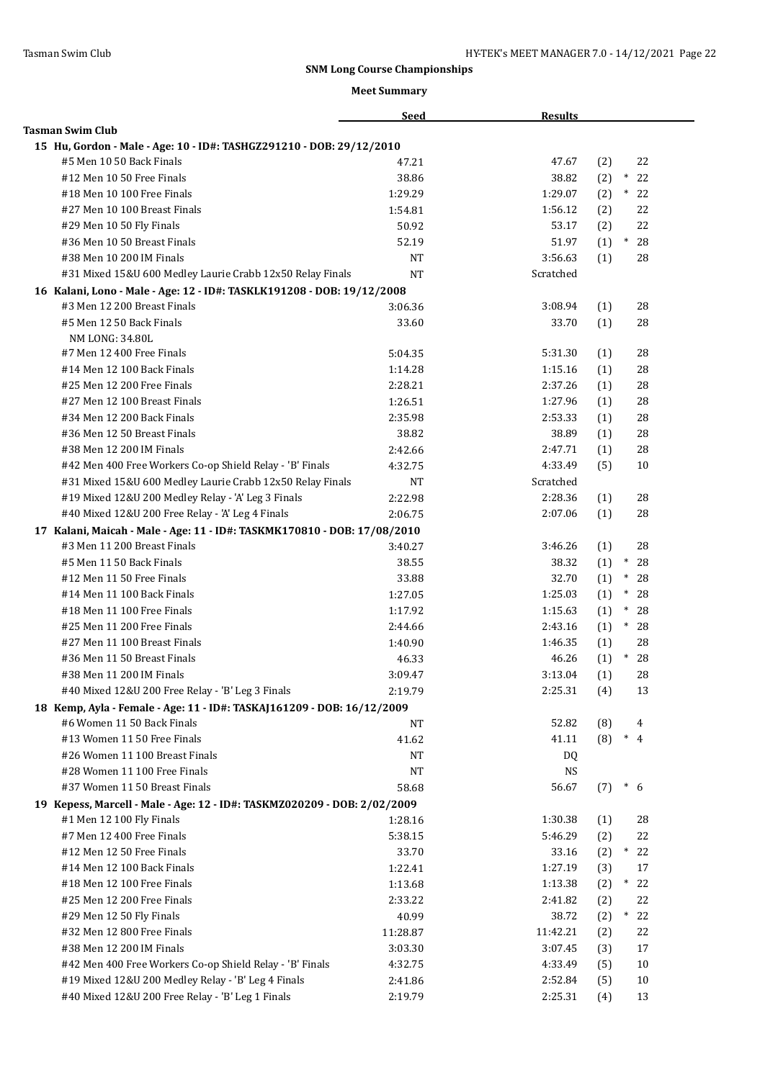|                                                                          | <b>Seed</b> | <b>Results</b> |     |               |
|--------------------------------------------------------------------------|-------------|----------------|-----|---------------|
| <b>Tasman Swim Club</b>                                                  |             |                |     |               |
| 15 Hu, Gordon - Male - Age: 10 - ID#: TASHGZ291210 - DOB: 29/12/2010     |             |                |     |               |
| #5 Men 10 50 Back Finals                                                 | 47.21       | 47.67          | (2) | 22            |
| #12 Men 10 50 Free Finals                                                | 38.86       | 38.82          | (2) | $\ast$<br>22  |
| #18 Men 10 100 Free Finals                                               | 1:29.29     | 1:29.07        | (2) | $\ast$<br>22  |
| #27 Men 10 100 Breast Finals                                             | 1:54.81     | 1:56.12        | (2) | 22            |
| #29 Men 10 50 Fly Finals                                                 | 50.92       | 53.17          | (2) | 22            |
| #36 Men 10 50 Breast Finals                                              | 52.19       | 51.97          | (1) | $\ast$<br>28  |
| #38 Men 10 200 IM Finals                                                 | NT          | 3:56.63        | (1) | 28            |
| #31 Mixed 15&U 600 Medley Laurie Crabb 12x50 Relay Finals                | <b>NT</b>   | Scratched      |     |               |
| 16 Kalani, Lono - Male - Age: 12 - ID#: TASKLK191208 - DOB: 19/12/2008   |             |                |     |               |
| #3 Men 12 200 Breast Finals                                              | 3:06.36     | 3:08.94        | (1) | 28            |
| #5 Men 12 50 Back Finals                                                 | 33.60       | 33.70          | (1) | 28            |
| NM LONG: 34.80L                                                          |             |                |     |               |
| #7 Men 12 400 Free Finals                                                | 5:04.35     | 5:31.30        | (1) | 28            |
| #14 Men 12 100 Back Finals                                               | 1:14.28     | 1:15.16        | (1) | 28            |
| #25 Men 12 200 Free Finals                                               | 2:28.21     | 2:37.26        | (1) | 28            |
| #27 Men 12 100 Breast Finals                                             | 1:26.51     | 1:27.96        | (1) | 28            |
| #34 Men 12 200 Back Finals                                               | 2:35.98     | 2:53.33        | (1) | 28            |
| #36 Men 12 50 Breast Finals                                              | 38.82       | 38.89          | (1) | 28            |
| #38 Men 12 200 IM Finals                                                 | 2:42.66     | 2:47.71        | (1) | 28            |
| #42 Men 400 Free Workers Co-op Shield Relay - 'B' Finals                 | 4:32.75     | 4:33.49        | (5) | 10            |
| #31 Mixed 15&U 600 Medley Laurie Crabb 12x50 Relay Finals                | NΤ          | Scratched      |     |               |
| #19 Mixed 12&U 200 Medley Relay - 'A' Leg 3 Finals                       | 2:22.98     | 2:28.36        | (1) | 28            |
| #40 Mixed 12&U 200 Free Relay - 'A' Leg 4 Finals                         | 2:06.75     | 2:07.06        | (1) | 28            |
| 17 Kalani, Maicah - Male - Age: 11 - ID#: TASKMK170810 - DOB: 17/08/2010 |             |                |     |               |
| #3 Men 11 200 Breast Finals                                              | 3:40.27     | 3:46.26        | (1) | 28            |
| #5 Men 11 50 Back Finals                                                 | 38.55       | 38.32          | (1) | $\ast$<br>28  |
| #12 Men 11 50 Free Finals                                                | 33.88       | 32.70          | (1) | $^\ast$<br>28 |
| #14 Men 11 100 Back Finals                                               | 1:27.05     | 1:25.03        | (1) | $\ast$<br>28  |
| #18 Men 11 100 Free Finals                                               | 1:17.92     | 1:15.63        | (1) | $\ast$<br>28  |
| #25 Men 11 200 Free Finals                                               | 2:44.66     | 2:43.16        | (1) | $*28$         |
| #27 Men 11 100 Breast Finals                                             | 1:40.90     | 1:46.35        | (1) | 28            |
| #36 Men 11 50 Breast Finals                                              | 46.33       | 46.26          | (1) | $\ast$<br>28  |
| #38 Men 11 200 IM Finals                                                 | 3:09.47     | 3:13.04        | (1) | 28            |
| #40 Mixed 12&U 200 Free Relay - 'B' Leg 3 Finals                         | 2:19.79     | 2:25.31        | (4) | 13            |
| 18 Kemp, Ayla - Female - Age: 11 - ID#: TASKAJ161209 - DOB: 16/12/2009   |             |                |     |               |
| #6 Women 11 50 Back Finals                                               | <b>NT</b>   | 52.82          | (8) | 4             |
| #13 Women 11 50 Free Finals                                              | 41.62       | 41.11          | (8) | $*$ 4         |
| #26 Women 11 100 Breast Finals                                           | <b>NT</b>   | DQ             |     |               |
| #28 Women 11 100 Free Finals                                             | $_{\rm NT}$ | <b>NS</b>      |     |               |
| #37 Women 11 50 Breast Finals                                            | 58.68       | 56.67          | (7) | $*$ 6         |
| 19 Kepess, Marcell - Male - Age: 12 - ID#: TASKMZ020209 - DOB: 2/02/2009 |             |                |     |               |
| #1 Men 12 100 Fly Finals                                                 | 1:28.16     | 1:30.38        | (1) | 28            |
| #7 Men 12 400 Free Finals                                                | 5:38.15     | 5:46.29        | (2) | 22            |
| #12 Men 12 50 Free Finals                                                | 33.70       | 33.16          | (2) | $*$<br>22     |
| #14 Men 12 100 Back Finals                                               | 1:22.41     | 1:27.19        | (3) | 17            |
| #18 Men 12 100 Free Finals                                               | 1:13.68     | 1:13.38        | (2) | 22<br>$^*$    |
| #25 Men 12 200 Free Finals                                               | 2:33.22     | 2:41.82        | (2) | 22            |
| #29 Men 12 50 Fly Finals                                                 | 40.99       | 38.72          | (2) | 22<br>$\ast$  |
| #32 Men 12 800 Free Finals                                               | 11:28.87    | 11:42.21       | (2) | 22            |
| #38 Men 12 200 IM Finals                                                 | 3:03.30     | 3:07.45        | (3) | 17            |
| #42 Men 400 Free Workers Co-op Shield Relay - 'B' Finals                 | 4:32.75     | 4:33.49        | (5) | $10\,$        |
| #19 Mixed 12&U 200 Medley Relay - 'B' Leg 4 Finals                       | 2:41.86     | 2:52.84        | (5) | 10            |
| #40 Mixed 12&U 200 Free Relay - 'B' Leg 1 Finals                         | 2:19.79     | 2:25.31        | (4) | 13            |
|                                                                          |             |                |     |               |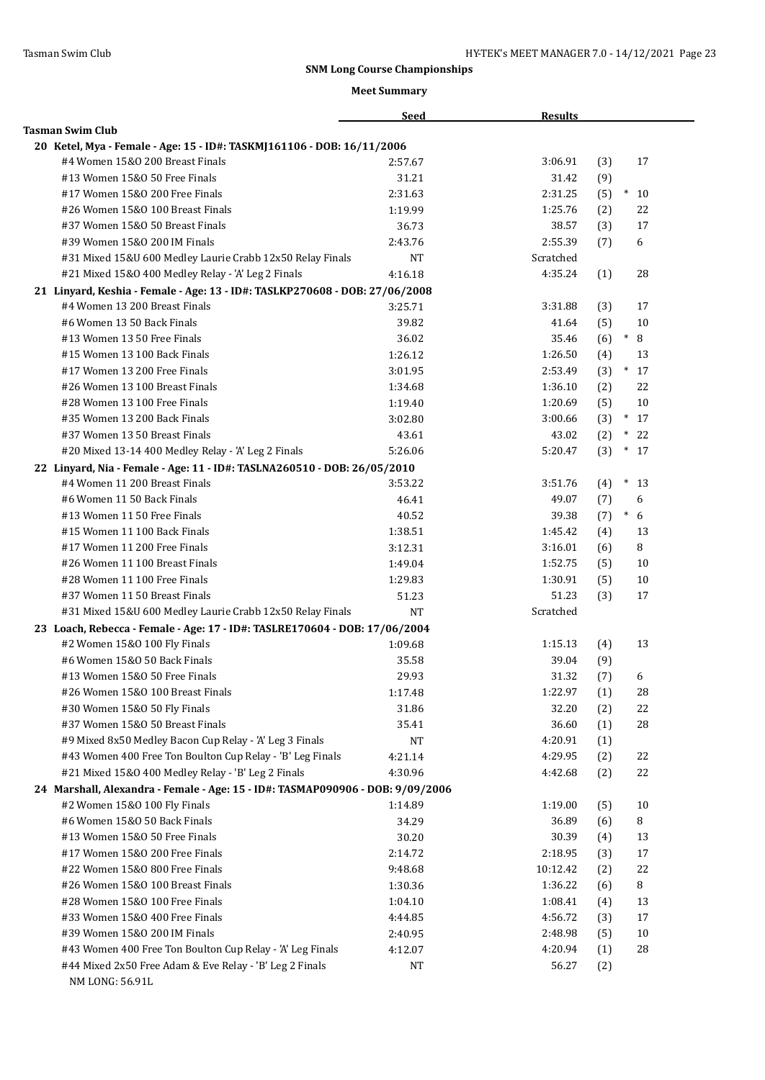|                                                                                | <b>Seed</b> | <b>Results</b> |     |              |
|--------------------------------------------------------------------------------|-------------|----------------|-----|--------------|
| <b>Tasman Swim Club</b>                                                        |             |                |     |              |
| 20 Ketel, Mya - Female - Age: 15 - ID#: TASKMJ161106 - DOB: 16/11/2006         |             |                |     |              |
| #4 Women 15&0 200 Breast Finals                                                | 2:57.67     | 3:06.91        | (3) | 17           |
| #13 Women 15&0 50 Free Finals                                                  | 31.21       | 31.42          | (9) |              |
| #17 Women 15&0 200 Free Finals                                                 | 2:31.63     | 2:31.25        | (5) | $\ast$<br>10 |
| #26 Women 15&0 100 Breast Finals                                               | 1:19.99     | 1:25.76        | (2) | 22           |
| #37 Women 15&0 50 Breast Finals                                                | 36.73       | 38.57          | (3) | 17           |
| #39 Women 15&0 200 IM Finals                                                   | 2:43.76     | 2:55.39        | (7) | 6            |
| #31 Mixed 15&U 600 Medley Laurie Crabb 12x50 Relay Finals                      | NT          | Scratched      |     |              |
| #21 Mixed 15&0 400 Medley Relay - 'A' Leg 2 Finals                             | 4:16.18     | 4:35.24        | (1) | 28           |
| 21 Linyard, Keshia - Female - Age: 13 - ID#: TASLKP270608 - DOB: 27/06/2008    |             |                |     |              |
| #4 Women 13 200 Breast Finals                                                  | 3:25.71     | 3:31.88        | (3) | 17           |
| #6 Women 13 50 Back Finals                                                     | 39.82       | 41.64          | (5) | 10           |
| #13 Women 13 50 Free Finals                                                    | 36.02       | 35.46          | (6) | $\ast$<br>8  |
| #15 Women 13 100 Back Finals                                                   | 1:26.12     | 1:26.50        | (4) | 13           |
| #17 Women 13 200 Free Finals                                                   | 3:01.95     | 2:53.49        | (3) | $*17$        |
| #26 Women 13 100 Breast Finals                                                 | 1:34.68     | 1:36.10        | (2) | 22           |
| #28 Women 13 100 Free Finals                                                   | 1:19.40     | 1:20.69        | (5) | 10           |
| #35 Women 13 200 Back Finals                                                   | 3:02.80     | 3:00.66        | (3) | $*17$        |
| #37 Women 13 50 Breast Finals                                                  | 43.61       | 43.02          | (2) | $\ast$<br>22 |
| #20 Mixed 13-14 400 Medley Relay - 'A' Leg 2 Finals                            | 5:26.06     | 5:20.47        | (3) | $*17$        |
| 22 Linyard, Nia - Female - Age: 11 - ID#: TASLNA260510 - DOB: 26/05/2010       |             |                |     |              |
| #4 Women 11 200 Breast Finals                                                  | 3:53.22     | 3:51.76        | (4) | $\ast$<br>13 |
| #6 Women 11 50 Back Finals                                                     | 46.41       | 49.07          | (7) | 6            |
| #13 Women 11 50 Free Finals                                                    | 40.52       | 39.38          | (7) | $\ast$<br>6  |
| #15 Women 11 100 Back Finals                                                   | 1:38.51     | 1:45.42        | (4) | 13           |
| #17 Women 11 200 Free Finals                                                   | 3:12.31     | 3:16.01        | (6) | 8            |
| #26 Women 11 100 Breast Finals                                                 | 1:49.04     | 1:52.75        | (5) | 10           |
| #28 Women 11 100 Free Finals                                                   | 1:29.83     | 1:30.91        | (5) | 10           |
| #37 Women 11 50 Breast Finals                                                  | 51.23       | 51.23          | (3) | 17           |
| #31 Mixed 15&U 600 Medley Laurie Crabb 12x50 Relay Finals                      | <b>NT</b>   | Scratched      |     |              |
|                                                                                |             |                |     |              |
| 23 Loach, Rebecca - Female - Age: 17 - ID#: TASLRE170604 - DOB: 17/06/2004     |             |                |     |              |
| #2 Women 15&0 100 Fly Finals<br>#6 Women 15&0 50 Back Finals                   | 1:09.68     | 1:15.13        | (4) | 13           |
| #13 Women 15&0 50 Free Finals                                                  | 35.58       | 39.04<br>31.32 | (9) |              |
|                                                                                | 29.93       |                | (7) | 6            |
| #26 Women 15&0 100 Breast Finals                                               | 1:17.48     | 1:22.97        | (1) | 28           |
| #30 Women 15&0 50 Fly Finals                                                   | 31.86       | 32.20          | (2) | 22           |
| #37 Women 15&0 50 Breast Finals                                                | 35.41       | 36.60          | (1) | 28           |
| #9 Mixed 8x50 Medley Bacon Cup Relay - 'A' Leg 3 Finals                        | NT          | 4:20.91        | (1) |              |
| #43 Women 400 Free Ton Boulton Cup Relay - 'B' Leg Finals                      | 4:21.14     | 4:29.95        | (2) | 22           |
| #21 Mixed 15&0 400 Medley Relay - 'B' Leg 2 Finals                             | 4:30.96     | 4:42.68        | (2) | 22           |
| 24 Marshall, Alexandra - Female - Age: 15 - ID#: TASMAP090906 - DOB: 9/09/2006 |             |                |     |              |
| #2 Women 15&0 100 Fly Finals                                                   | 1:14.89     | 1:19.00        | (5) | 10           |
| #6 Women 15&0 50 Back Finals                                                   | 34.29       | 36.89          | (6) | 8            |
| #13 Women 15&0 50 Free Finals                                                  | 30.20       | 30.39          | (4) | 13           |
| #17 Women 15&0 200 Free Finals                                                 | 2:14.72     | 2:18.95        | (3) | 17           |
| #22 Women 15&0 800 Free Finals                                                 | 9:48.68     | 10:12.42       | (2) | 22           |
| #26 Women 15&0 100 Breast Finals                                               | 1:30.36     | 1:36.22        | (6) | 8            |
| #28 Women 15&0 100 Free Finals                                                 | 1:04.10     | 1:08.41        | (4) | 13           |
| #33 Women 15&0 400 Free Finals                                                 | 4:44.85     | 4:56.72        | (3) | 17           |
| #39 Women 15&0 200 IM Finals                                                   | 2:40.95     | 2:48.98        | (5) | 10           |
| #43 Women 400 Free Ton Boulton Cup Relay - 'A' Leg Finals                      | 4:12.07     | 4:20.94        | (1) | 28           |
| #44 Mixed 2x50 Free Adam & Eve Relay - 'B' Leg 2 Finals<br>NM LONG: 56.91L     | NT          | 56.27          | (2) |              |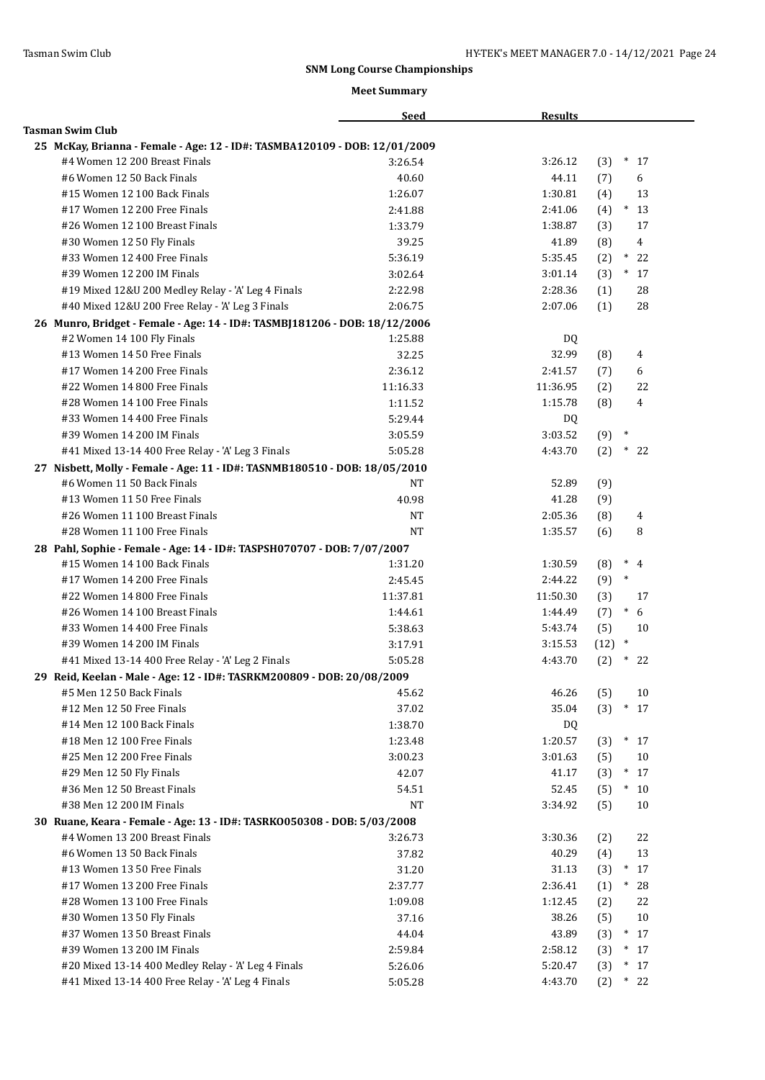|                                                                            | <b>Seed</b> | <b>Results</b> |                       |
|----------------------------------------------------------------------------|-------------|----------------|-----------------------|
| <b>Tasman Swim Club</b>                                                    |             |                |                       |
| 25 McKay, Brianna - Female - Age: 12 - ID#: TASMBA120109 - DOB: 12/01/2009 |             |                |                       |
| #4 Women 12 200 Breast Finals                                              | 3:26.54     | 3:26.12        | (3)<br>$\ast$<br>17   |
| #6 Women 12 50 Back Finals                                                 | 40.60       | 44.11          | 6<br>(7)              |
| #15 Women 12 100 Back Finals                                               | 1:26.07     | 1:30.81        | (4)<br>13             |
| #17 Women 12 200 Free Finals                                               | 2:41.88     | 2:41.06        | (4)<br>$*13$          |
| #26 Women 12 100 Breast Finals                                             | 1:33.79     | 1:38.87        | 17<br>(3)             |
| #30 Women 12 50 Fly Finals                                                 | 39.25       | 41.89          | (8)<br>$\overline{4}$ |
| #33 Women 12 400 Free Finals                                               | 5:36.19     | 5:35.45        | $\ast$<br>22<br>(2)   |
| #39 Women 12 200 IM Finals                                                 | 3:02.64     | 3:01.14        | $*17$<br>(3)          |
| #19 Mixed 12&U 200 Medley Relay - 'A' Leg 4 Finals                         | 2:22.98     | 2:28.36        | 28<br>(1)             |
| #40 Mixed 12&U 200 Free Relay - 'A' Leg 3 Finals                           | 2:06.75     | 2:07.06        | (1)<br>28             |
| 26 Munro, Bridget - Female - Age: 14 - ID#: TASMBJ181206 - DOB: 18/12/2006 |             |                |                       |
| #2 Women 14 100 Fly Finals                                                 | 1:25.88     | DQ             |                       |
| #13 Women 14 50 Free Finals                                                | 32.25       | 32.99          | (8)<br>4              |
| #17 Women 14 200 Free Finals                                               | 2:36.12     | 2:41.57        | 6<br>(7)              |
| #22 Women 14 800 Free Finals                                               | 11:16.33    | 11:36.95       | (2)<br>22             |
| #28 Women 14 100 Free Finals                                               | 1:11.52     | 1:15.78        | 4<br>(8)              |
| #33 Women 14 400 Free Finals                                               | 5:29.44     | DQ             |                       |
| #39 Women 14 200 IM Finals                                                 | 3:05.59     | 3:03.52        | $\ast$<br>(9)         |
| #41 Mixed 13-14 400 Free Relay - 'A' Leg 3 Finals                          | 5:05.28     | 4:43.70        | (2)<br>$\ast$<br>22   |
| 27 Nisbett, Molly - Female - Age: 11 - ID#: TASNMB180510 - DOB: 18/05/2010 |             |                |                       |
| #6 Women 11 50 Back Finals                                                 | NT          | 52.89          | (9)                   |
| #13 Women 11 50 Free Finals                                                | 40.98       | 41.28          | (9)                   |
| #26 Women 11 100 Breast Finals                                             | <b>NT</b>   | 2:05.36        | (8)<br>4              |
| #28 Women 11 100 Free Finals                                               | <b>NT</b>   | 1:35.57        | 8<br>(6)              |
| 28 Pahl, Sophie - Female - Age: 14 - ID#: TASPSH070707 - DOB: 7/07/2007    |             |                |                       |
| #15 Women 14 100 Back Finals                                               | 1:31.20     | 1:30.59        | (8)<br>$\ast$<br>4    |
| #17 Women 14 200 Free Finals                                               | 2:45.45     | 2:44.22        | $\ast$<br>(9)         |
| #22 Women 14 800 Free Finals                                               | 11:37.81    | 11:50.30       | (3)<br>17             |
| #26 Women 14 100 Breast Finals                                             | 1:44.61     | 1:44.49        | $\ast$<br>6<br>(7)    |
| #33 Women 14 400 Free Finals                                               | 5:38.63     | 5:43.74        | (5)<br>10             |
| #39 Women 14 200 IM Finals                                                 | 3:17.91     | 3:15.53        | $\ast$<br>(12)        |
| #41 Mixed 13-14 400 Free Relay - 'A' Leg 2 Finals                          | 5:05.28     | 4:43.70        | (2)<br>$\ast$<br>22   |
| 29 Reid, Keelan - Male - Age: 12 - ID#: TASRKM200809 - DOB: 20/08/2009     |             |                |                       |
| #5 Men 12 50 Back Finals                                                   | 45.62       | 46.26          | (5)<br>10             |
| #12 Men 12 50 Free Finals                                                  | 37.02       | 35.04          | (3)<br>$\ast$<br>17   |
| #14 Men 12 100 Back Finals                                                 | 1:38.70     | DQ             |                       |
| #18 Men 12 100 Free Finals                                                 | 1:23.48     | 1:20.57        | (3)<br>$\ast$<br>17   |
| #25 Men 12 200 Free Finals                                                 | 3:00.23     | 3:01.63        | (5)<br>10             |
| #29 Men 12 50 Fly Finals                                                   | 42.07       | 41.17          | $\ast$<br>(3)<br>17   |
| #36 Men 12 50 Breast Finals                                                | 54.51       | 52.45          | (5)<br>$*10$          |
| #38 Men 12 200 IM Finals                                                   | <b>NT</b>   | 3:34.92        | 10<br>(5)             |
| 30 Ruane, Keara - Female - Age: 13 - ID#: TASRK0050308 - DOB: 5/03/2008    |             |                |                       |
| #4 Women 13 200 Breast Finals                                              | 3:26.73     | 3:30.36        | 22<br>(2)             |
| #6 Women 13 50 Back Finals                                                 | 37.82       | 40.29          | 13<br>(4)             |
| #13 Women 13 50 Free Finals                                                | 31.20       | 31.13          | (3)<br>$*17$          |
| #17 Women 13 200 Free Finals                                               | 2:37.77     | 2:36.41        | (1)<br>$*$<br>28      |
| #28 Women 13 100 Free Finals                                               | 1:09.08     | 1:12.45        | 22<br>(2)             |
| #30 Women 13 50 Fly Finals                                                 | 37.16       | 38.26          | 10<br>(5)             |
| #37 Women 13 50 Breast Finals                                              | 44.04       | 43.89          | (3)<br>$*17$          |
| #39 Women 13 200 IM Finals                                                 | 2:59.84     | 2:58.12        | (3)<br>$*17$          |
| #20 Mixed 13-14 400 Medley Relay - 'A' Leg 4 Finals                        | 5:26.06     | 5:20.47        | $*17$<br>(3)          |
| #41 Mixed 13-14 400 Free Relay - 'A' Leg 4 Finals                          | 5:05.28     | 4:43.70        | $*22$<br>(2)          |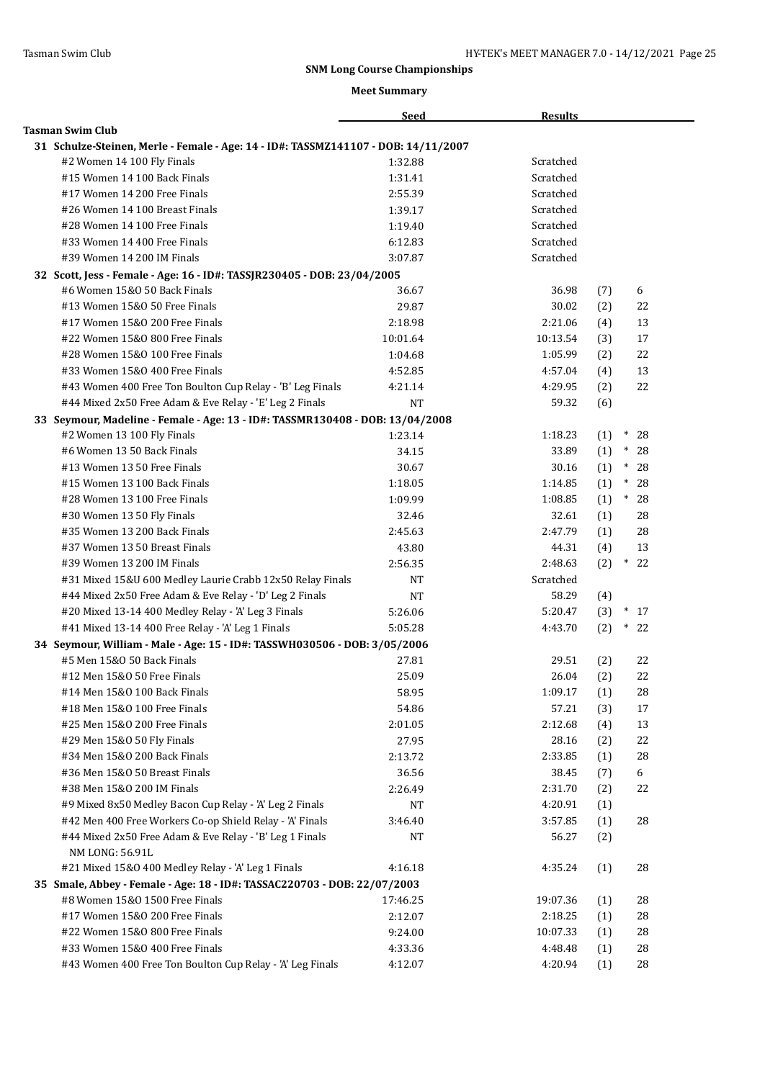|                                                                                                            | <b>Seed</b>        | <b>Results</b>      |     |              |
|------------------------------------------------------------------------------------------------------------|--------------------|---------------------|-----|--------------|
| <b>Tasman Swim Club</b>                                                                                    |                    |                     |     |              |
| 31 Schulze-Steinen, Merle - Female - Age: 14 - ID#: TASSMZ141107 - DOB: 14/11/2007                         |                    |                     |     |              |
| #2 Women 14 100 Fly Finals                                                                                 | 1:32.88            | Scratched           |     |              |
| #15 Women 14 100 Back Finals                                                                               | 1:31.41            | Scratched           |     |              |
| #17 Women 14 200 Free Finals                                                                               | 2:55.39            | Scratched           |     |              |
| #26 Women 14 100 Breast Finals                                                                             | 1:39.17            | Scratched           |     |              |
| #28 Women 14 100 Free Finals                                                                               | 1:19.40            | Scratched           |     |              |
| #33 Women 14 400 Free Finals                                                                               | 6:12.83            | Scratched           |     |              |
| #39 Women 14 200 IM Finals                                                                                 | 3:07.87            | Scratched           |     |              |
| 32 Scott, Jess - Female - Age: 16 - ID#: TASSJR230405 - DOB: 23/04/2005                                    |                    |                     |     |              |
| #6 Women 15&0 50 Back Finals                                                                               | 36.67              | 36.98               | (7) | 6            |
| #13 Women 15&0 50 Free Finals                                                                              | 29.87              | 30.02               | (2) | 22           |
| #17 Women 15&0 200 Free Finals                                                                             | 2:18.98            | 2:21.06             | (4) | 13           |
| #22 Women 15&0 800 Free Finals                                                                             | 10:01.64           | 10:13.54            | (3) | 17           |
| #28 Women 15&0 100 Free Finals                                                                             | 1:04.68            | 1:05.99             | (2) | 22           |
| #33 Women 15&0 400 Free Finals                                                                             | 4:52.85            | 4:57.04             | (4) | 13           |
| #43 Women 400 Free Ton Boulton Cup Relay - 'B' Leg Finals                                                  | 4:21.14            | 4:29.95             | (2) | 22           |
| #44 Mixed 2x50 Free Adam & Eve Relay - 'E' Leg 2 Finals                                                    | <b>NT</b>          | 59.32               | (6) |              |
| 33 Seymour, Madeline - Female - Age: 13 - ID#: TASSMR130408 - DOB: 13/04/2008                              |                    |                     |     |              |
| #2 Women 13 100 Fly Finals                                                                                 | 1:23.14            | 1:18.23             | (1) | $\ast$<br>28 |
| #6 Women 13 50 Back Finals                                                                                 | 34.15              | 33.89               | (1) | $\ast$<br>28 |
| #13 Women 13 50 Free Finals                                                                                | 30.67              | 30.16               | (1) | $\ast$<br>28 |
| #15 Women 13 100 Back Finals                                                                               | 1:18.05            | 1:14.85             | (1) | $\ast$<br>28 |
| #28 Women 13 100 Free Finals                                                                               | 1:09.99            | 1:08.85             | (1) | $\ast$<br>28 |
| #30 Women 13 50 Fly Finals                                                                                 | 32.46              | 32.61               | (1) | 28           |
| #35 Women 13 200 Back Finals                                                                               | 2:45.63            | 2:47.79             | (1) | 28           |
| #37 Women 13 50 Breast Finals                                                                              | 43.80              | 44.31               | (4) | 13           |
| #39 Women 13 200 IM Finals                                                                                 | 2:56.35            | 2:48.63             | (2) | $\ast$<br>22 |
| #31 Mixed 15&U 600 Medley Laurie Crabb 12x50 Relay Finals                                                  | NT                 | Scratched           |     |              |
| #44 Mixed 2x50 Free Adam & Eve Relay - 'D' Leg 2 Finals                                                    | <b>NT</b>          | 58.29               |     |              |
|                                                                                                            |                    | 5:20.47             | (4) | $*17$        |
| #20 Mixed 13-14 400 Medley Relay - 'A' Leg 3 Finals                                                        | 5:26.06            |                     | (3) | $*22$        |
| #41 Mixed 13-14 400 Free Relay - 'A' Leg 1 Finals                                                          | 5:05.28            | 4:43.70             | (2) |              |
| 34 Seymour, William - Male - Age: 15 - ID#: TASSWH030506 - DOB: 3/05/2006                                  |                    |                     |     |              |
| #5 Men 15&0 50 Back Finals                                                                                 | 27.81              | 29.51               | (2) | 22           |
| #12 Men 15&0 50 Free Finals                                                                                | 25.09              | 26.04               | (2) | 22           |
| #14 Men 15&0 100 Back Finals                                                                               | 58.95              | 1:09.17             | (1) | 28           |
| #18 Men 15&0 100 Free Finals                                                                               | 54.86              | 57.21               | (3) | 17           |
| #25 Men 15&0 200 Free Finals                                                                               | 2:01.05            | 2:12.68             | (4) | 13           |
| #29 Men 15&0 50 Fly Finals                                                                                 | 27.95              | 28.16               | (2) | 22           |
| #34 Men 15&0 200 Back Finals                                                                               | 2:13.72            | 2:33.85             | (1) | 28           |
| #36 Men 15&0 50 Breast Finals                                                                              | 36.56              | 38.45               | (7) | 6            |
| #38 Men 15&0 200 IM Finals                                                                                 | 2:26.49            | 2:31.70             | (2) | 22           |
| #9 Mixed 8x50 Medley Bacon Cup Relay - 'A' Leg 2 Finals                                                    | NT                 | 4:20.91             | (1) |              |
| #42 Men 400 Free Workers Co-op Shield Relay - 'A' Finals                                                   | 3:46.40            | 3:57.85             | (1) | 28           |
| #44 Mixed 2x50 Free Adam & Eve Relay - 'B' Leg 1 Finals<br>NM LONG: 56.91L                                 | NT                 | 56.27               | (2) |              |
| #21 Mixed 15&0 400 Medley Relay - 'A' Leg 1 Finals                                                         | 4:16.18            | 4:35.24             | (1) | 28           |
|                                                                                                            |                    |                     |     |              |
| 35 Smale, Abbey - Female - Age: 18 - ID#: TASSAC220703 - DOB: 22/07/2003<br>#8 Women 15&0 1500 Free Finals |                    |                     |     |              |
| #17 Women 15&0 200 Free Finals                                                                             | 17:46.25           | 19:07.36            | (1) | 28           |
| #22 Women 15&0 800 Free Finals                                                                             | 2:12.07<br>9:24.00 | 2:18.25<br>10:07.33 | (1) | 28           |
| #33 Women 15&0 400 Free Finals                                                                             |                    | 4:48.48             | (1) | 28<br>28     |
|                                                                                                            | 4:33.36            |                     | (1) |              |
| #43 Women 400 Free Ton Boulton Cup Relay - 'A' Leg Finals                                                  | 4:12.07            | 4:20.94             | (1) | 28           |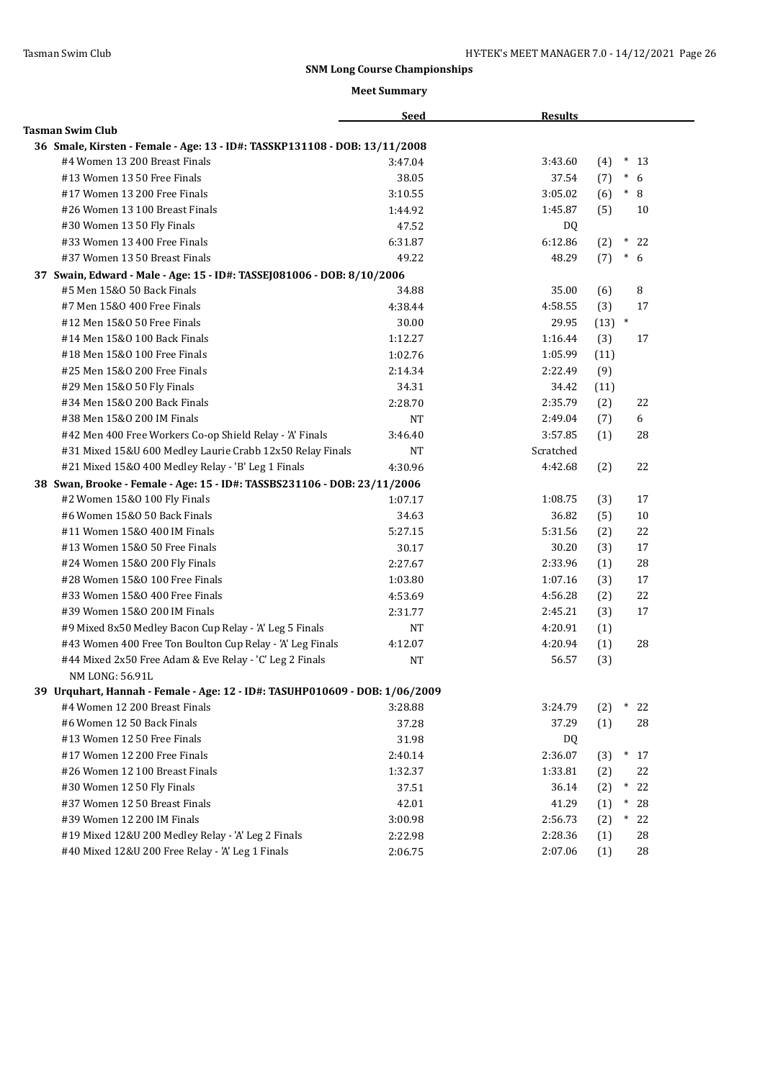|                                                                             | <b>Seed</b> | <b>Results</b> |          |               |
|-----------------------------------------------------------------------------|-------------|----------------|----------|---------------|
| <b>Tasman Swim Club</b>                                                     |             |                |          |               |
| 36 Smale, Kirsten - Female - Age: 13 - ID#: TASSKP131108 - DOB: 13/11/2008  |             |                |          |               |
| #4 Women 13 200 Breast Finals                                               | 3:47.04     | 3:43.60        | (4)      | $\ast$<br>-13 |
| #13 Women 13 50 Free Finals                                                 | 38.05       | 37.54          | (7)      | $\ast$<br>6   |
| #17 Women 13 200 Free Finals                                                | 3:10.55     | 3:05.02        | (6)      | $^\ast$<br>8  |
| #26 Women 13 100 Breast Finals                                              | 1:44.92     | 1:45.87        | (5)      | 10            |
| #30 Women 13 50 Fly Finals                                                  | 47.52       | DQ.            |          |               |
| #33 Women 13 400 Free Finals                                                | 6:31.87     | 6:12.86        | (2)      | $\ast$<br>22  |
| #37 Women 13 50 Breast Finals                                               | 49.22       | 48.29          | (7)      | $\ast$<br>6   |
| 37 Swain, Edward - Male - Age: 15 - ID#: TASSEJ081006 - DOB: 8/10/2006      |             |                |          |               |
| #5 Men 15&0 50 Back Finals                                                  | 34.88       | 35.00          | (6)      | 8             |
| #7 Men 15&0 400 Free Finals                                                 | 4:38.44     | 4:58.55        | (3)      | 17            |
| #12 Men 15&0 50 Free Finals                                                 | 30.00       | 29.95          | $(13)$ * |               |
| #14 Men 15&0 100 Back Finals                                                | 1:12.27     | 1:16.44        | (3)      | 17            |
| #18 Men 15&0 100 Free Finals                                                | 1:02.76     | 1:05.99        | (11)     |               |
| #25 Men 15&0 200 Free Finals                                                | 2:14.34     | 2:22.49        | (9)      |               |
| #29 Men 15&0 50 Fly Finals                                                  | 34.31       | 34.42          | (11)     |               |
| #34 Men 15&0 200 Back Finals                                                | 2:28.70     | 2:35.79        | (2)      | 22            |
| #38 Men 15&0 200 IM Finals                                                  | <b>NT</b>   | 2:49.04        | (7)      | 6             |
| #42 Men 400 Free Workers Co-op Shield Relay - 'A' Finals                    | 3:46.40     | 3:57.85        | (1)      | 28            |
| #31 Mixed 15&U 600 Medley Laurie Crabb 12x50 Relay Finals                   | NT          | Scratched      |          |               |
| #21 Mixed 15&0 400 Medley Relay - 'B' Leg 1 Finals                          | 4:30.96     | 4:42.68        | (2)      | 22            |
| 38 Swan, Brooke - Female - Age: 15 - ID#: TASSBS231106 - DOB: 23/11/2006    |             |                |          |               |
| #2 Women 15&0 100 Fly Finals                                                | 1:07.17     | 1:08.75        | (3)      | 17            |
| #6 Women 15&0 50 Back Finals                                                | 34.63       | 36.82          | (5)      | 10            |
| #11 Women 15&0 400 IM Finals                                                | 5:27.15     | 5:31.56        | (2)      | 22            |
| #13 Women 15&0 50 Free Finals                                               | 30.17       | 30.20          | (3)      | 17            |
| #24 Women 15&0 200 Fly Finals                                               | 2:27.67     | 2:33.96        | (1)      | 28            |
| #28 Women 15&0 100 Free Finals                                              | 1:03.80     | 1:07.16        | (3)      | 17            |
| #33 Women 15&0 400 Free Finals                                              | 4:53.69     | 4:56.28        | (2)      | 22            |
| #39 Women 15&0 200 IM Finals                                                | 2:31.77     | 2:45.21        | (3)      | 17            |
| #9 Mixed 8x50 Medley Bacon Cup Relay - 'A' Leg 5 Finals                     | NT          | 4:20.91        | (1)      |               |
| #43 Women 400 Free Ton Boulton Cup Relay - 'A' Leg Finals                   | 4:12.07     | 4:20.94        | (1)      | 28            |
| #44 Mixed 2x50 Free Adam & Eve Relay - 'C' Leg 2 Finals                     | <b>NT</b>   | 56.57          | (3)      |               |
| NM LONG: 56.91L                                                             |             |                |          |               |
| 39 Urquhart, Hannah - Female - Age: 12 - ID#: TASUHP010609 - DOB: 1/06/2009 |             |                |          |               |
| #4 Women 12 200 Breast Finals                                               | 3:28.88     | 3:24.79        | (2)      | 22            |
| #6 Women 12 50 Back Finals                                                  | 37.28       | 37.29          | (1)      | 28            |
| #13 Women 12 50 Free Finals                                                 | 31.98       | DQ             |          |               |
| #17 Women 12 200 Free Finals                                                | 2:40.14     | 2:36.07        | (3)      | $\ast$<br>17  |
| #26 Women 12 100 Breast Finals                                              | 1:32.37     | 1:33.81        | (2)      | 22            |
| #30 Women 12 50 Fly Finals                                                  | 37.51       | 36.14          | (2)      | $\ast$<br>22  |
| #37 Women 12 50 Breast Finals                                               | 42.01       | 41.29          | (1)      | $\ast$<br>28  |
| #39 Women 12 200 IM Finals                                                  | 3:00.98     | 2:56.73        | (2)      | $^*$<br>22    |
| #19 Mixed 12&U 200 Medley Relay - 'A' Leg 2 Finals                          | 2:22.98     | 2:28.36        | (1)      | 28            |
| #40 Mixed 12&U 200 Free Relay - 'A' Leg 1 Finals                            | 2:06.75     | 2:07.06        | (1)      | 28            |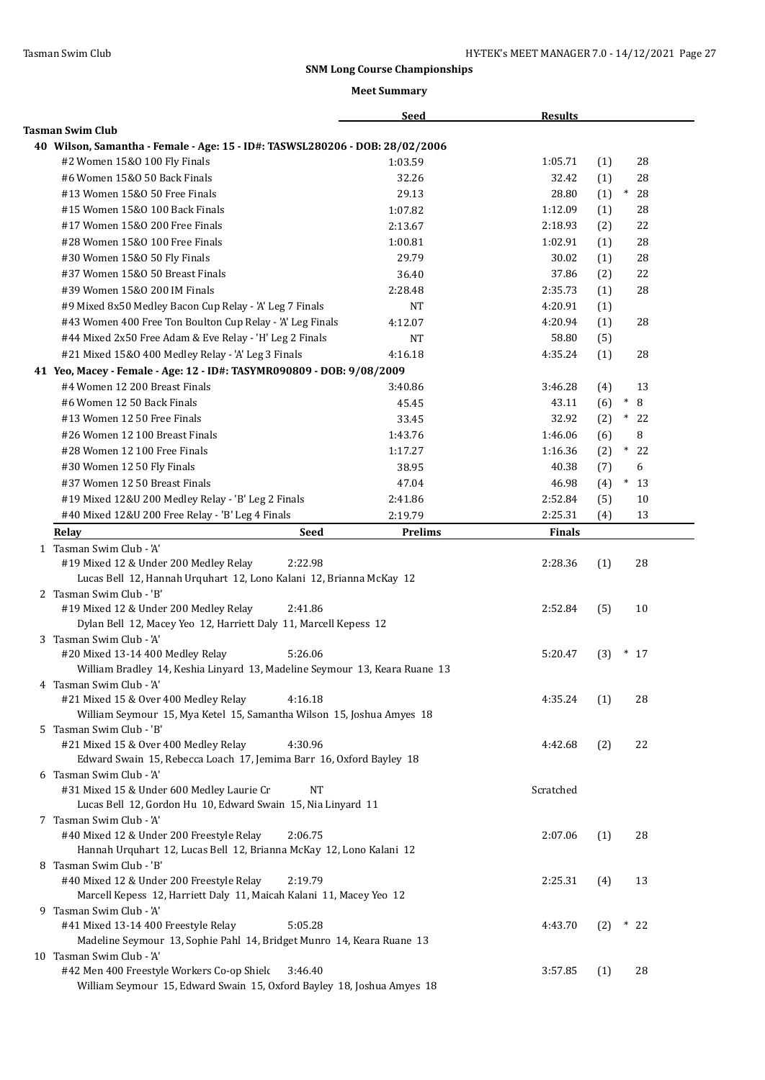|                                                                                                                                 | <b>Seed</b>    | <b>Results</b> |     |               |
|---------------------------------------------------------------------------------------------------------------------------------|----------------|----------------|-----|---------------|
| <b>Tasman Swim Club</b>                                                                                                         |                |                |     |               |
| 40 Wilson, Samantha - Female - Age: 15 - ID#: TASWSL280206 - DOB: 28/02/2006                                                    |                |                |     |               |
| #2 Women 15&0 100 Fly Finals                                                                                                    | 1:03.59        | 1:05.71        | (1) | 28            |
| #6 Women 15&0 50 Back Finals                                                                                                    | 32.26          | 32.42          | (1) | 28            |
| #13 Women 15&0 50 Free Finals                                                                                                   | 29.13          | 28.80          | (1) | $\ast$<br>28  |
| #15 Women 15&0 100 Back Finals                                                                                                  | 1:07.82        | 1:12.09        | (1) | 28            |
| #17 Women 15&0 200 Free Finals                                                                                                  | 2:13.67        | 2:18.93        | (2) | 22            |
| #28 Women 15&0 100 Free Finals                                                                                                  | 1:00.81        | 1:02.91        | (1) | 28            |
| #30 Women 15&0 50 Fly Finals                                                                                                    | 29.79          | 30.02          | (1) | 28            |
| #37 Women 15&0 50 Breast Finals                                                                                                 | 36.40          | 37.86          | (2) | 22            |
| #39 Women 15&0 200 IM Finals                                                                                                    | 2:28.48        | 2:35.73        | (1) | 28            |
| #9 Mixed 8x50 Medley Bacon Cup Relay - 'A' Leg 7 Finals                                                                         | NT             | 4:20.91        | (1) |               |
| #43 Women 400 Free Ton Boulton Cup Relay - 'A' Leg Finals                                                                       | 4:12.07        | 4:20.94        | (1) | 28            |
| #44 Mixed 2x50 Free Adam & Eve Relay - 'H' Leg 2 Finals                                                                         | <b>NT</b>      | 58.80          | (5) |               |
| #21 Mixed 15&0 400 Medley Relay - 'A' Leg 3 Finals                                                                              | 4:16.18        | 4:35.24        | (1) | 28            |
| 41 Yeo, Macey - Female - Age: 12 - ID#: TASYMR090809 - DOB: 9/08/2009                                                           |                |                |     |               |
| #4 Women 12 200 Breast Finals                                                                                                   | 3:40.86        | 3:46.28        | (4) | 13            |
| #6 Women 12 50 Back Finals                                                                                                      | 45.45          | 43.11          | (6) | $\ast$<br>8   |
| #13 Women 12 50 Free Finals                                                                                                     | 33.45          | 32.92          | (2) | $*22$         |
| #26 Women 12 100 Breast Finals                                                                                                  | 1:43.76        | 1:46.06        | (6) | 8             |
| #28 Women 12 100 Free Finals                                                                                                    | 1:17.27        | 1:16.36        | (2) | $\ast$<br>-22 |
| #30 Women 12 50 Fly Finals                                                                                                      | 38.95          | 40.38          | (7) | 6             |
| #37 Women 12 50 Breast Finals                                                                                                   | 47.04          | 46.98          | (4) | $\ast$<br>13  |
| #19 Mixed 12&U 200 Medley Relay - 'B' Leg 2 Finals                                                                              | 2:41.86        | 2:52.84        | (5) | 10            |
| #40 Mixed 12&U 200 Free Relay - 'B' Leg 4 Finals                                                                                | 2:19.79        | 2:25.31        | (4) | 13            |
| <b>Seed</b>                                                                                                                     |                | <b>Finals</b>  |     |               |
| Relay                                                                                                                           | <b>Prelims</b> |                |     |               |
| 1 Tasman Swim Club - 'A'<br>#19 Mixed 12 & Under 200 Medley Relay<br>2:22.98                                                    |                | 2:28.36        | (1) | 28            |
| Lucas Bell 12, Hannah Urquhart 12, Lono Kalani 12, Brianna McKay 12                                                             |                |                |     |               |
| 2 Tasman Swim Club - 'B'                                                                                                        |                |                |     |               |
| #19 Mixed 12 & Under 200 Medley Relay<br>2:41.86                                                                                |                | 2:52.84        | (5) | 10            |
| Dylan Bell 12, Macey Yeo 12, Harriett Daly 11, Marcell Kepess 12                                                                |                |                |     |               |
| 3 Tasman Swim Club - 'A'                                                                                                        |                |                |     |               |
| #20 Mixed 13-14 400 Medley Relay<br>5:26.06                                                                                     |                | 5:20.47        | (3) | $*17$         |
| William Bradley 14, Keshia Linyard 13, Madeline Seymour 13, Keara Ruane 13                                                      |                |                |     |               |
| 4 Tasman Swim Club - 'A'                                                                                                        |                |                |     |               |
| #21 Mixed 15 & Over 400 Medley Relay<br>4:16.18                                                                                 |                | 4:35.24        | (1) | 28            |
| William Seymour 15, Mya Ketel 15, Samantha Wilson 15, Joshua Amyes 18                                                           |                |                |     |               |
| 5 Tasman Swim Club - 'B'                                                                                                        |                |                |     |               |
| #21 Mixed 15 & Over 400 Medley Relay<br>4:30.96                                                                                 |                | 4:42.68        | (2) | 22            |
| Edward Swain 15, Rebecca Loach 17, Jemima Barr 16, Oxford Bayley 18                                                             |                |                |     |               |
| 6 Tasman Swim Club - 'A'                                                                                                        |                |                |     |               |
| #31 Mixed 15 & Under 600 Medley Laurie Cr<br><b>NT</b>                                                                          |                | Scratched      |     |               |
| Lucas Bell 12, Gordon Hu 10, Edward Swain 15, Nia Linyard 11                                                                    |                |                |     |               |
| 7 Tasman Swim Club - 'A'                                                                                                        |                |                |     |               |
| #40 Mixed 12 & Under 200 Freestyle Relay<br>2:06.75                                                                             |                | 2:07.06        | (1) | 28            |
| Hannah Urquhart 12, Lucas Bell 12, Brianna McKay 12, Lono Kalani 12                                                             |                |                |     |               |
| 8 Tasman Swim Club - 'B'                                                                                                        |                |                |     |               |
| #40 Mixed 12 & Under 200 Freestyle Relay<br>2:19.79                                                                             |                | 2:25.31        | (4) | 13            |
| Marcell Kepess 12, Harriett Daly 11, Maicah Kalani 11, Macey Yeo 12                                                             |                |                |     |               |
| 9 Tasman Swim Club - 'A'                                                                                                        |                |                |     |               |
| #41 Mixed 13-14 400 Freestyle Relay<br>5:05.28                                                                                  |                | 4:43.70        | (2) | $*22$         |
| Madeline Seymour 13, Sophie Pahl 14, Bridget Munro 14, Keara Ruane 13                                                           |                |                |     |               |
| 10 Tasman Swim Club - 'A'                                                                                                       |                |                |     |               |
| #42 Men 400 Freestyle Workers Co-op Shield<br>3:46.40<br>William Seymour 15, Edward Swain 15, Oxford Bayley 18, Joshua Amyes 18 |                | 3:57.85        | (1) | 28            |
|                                                                                                                                 |                |                |     |               |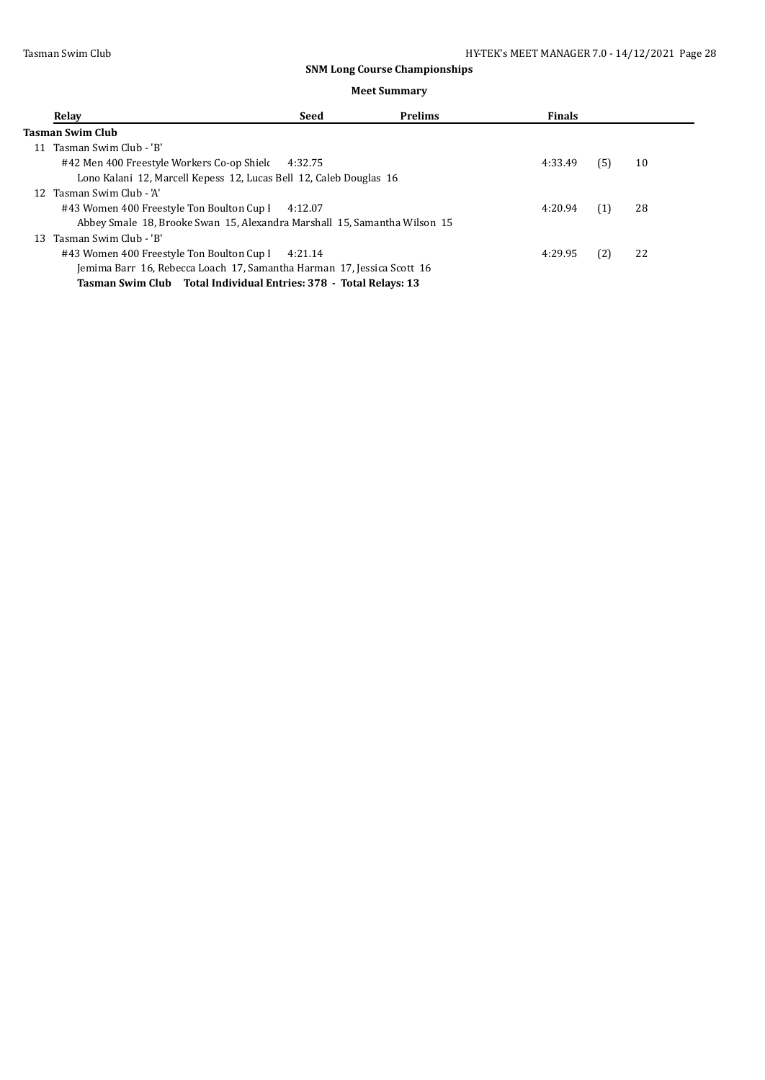|  |  | <b>Meet Summary</b> |
|--|--|---------------------|
|--|--|---------------------|

| Relay                                                                     | Seed    | <b>Prelims</b> | <b>Finals</b> |     |    |
|---------------------------------------------------------------------------|---------|----------------|---------------|-----|----|
| Tasman Swim Club                                                          |         |                |               |     |    |
| Tasman Swim Club - 'B'<br>11                                              |         |                |               |     |    |
| #42 Men 400 Freestyle Workers Co-op Shiel 4:32.75                         |         |                | 4:33.49       | (5) | 10 |
| Lono Kalani 12, Marcell Kepess 12, Lucas Bell 12, Caleb Douglas 16        |         |                |               |     |    |
| 12 Tasman Swim Club - 'A'                                                 |         |                |               |     |    |
| #43 Women 400 Freestyle Ton Boulton Cup I                                 | 4:12.07 |                | 4:20.94       | (1) | 28 |
| Abbey Smale 18, Brooke Swan 15, Alexandra Marshall 15, Samantha Wilson 15 |         |                |               |     |    |
| 13 Tasman Swim Club - 'B'                                                 |         |                |               |     |    |
| #43 Women 400 Freestyle Ton Boulton Cup I 4:21.14                         |         |                | 4:29.95       | (2) | 22 |
| Jemima Barr 16, Rebecca Loach 17, Samantha Harman 17, Jessica Scott 16    |         |                |               |     |    |
| Tasman Swim Club Total Individual Entries: 378 - Total Relays: 13         |         |                |               |     |    |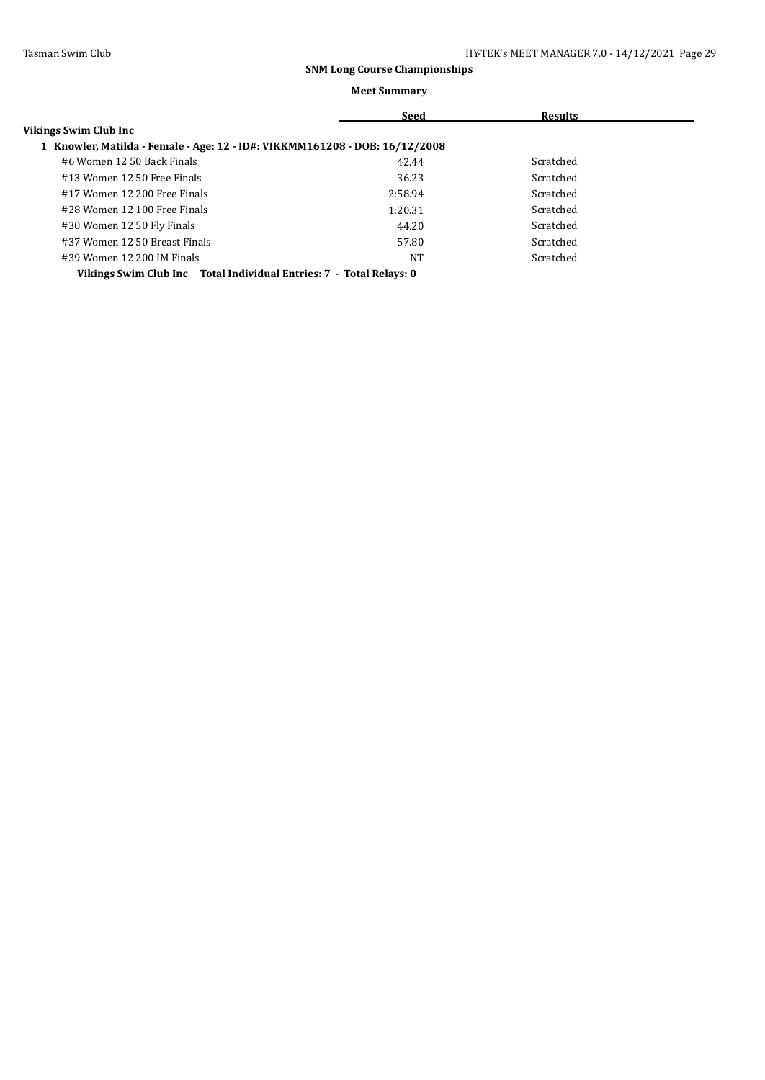|                                                                             | Seed    | <b>Results</b> |  |  |  |
|-----------------------------------------------------------------------------|---------|----------------|--|--|--|
| Vikings Swim Club Inc                                                       |         |                |  |  |  |
| 1 Knowler, Matilda - Female - Age: 12 - ID#: VIKKMM161208 - DOB: 16/12/2008 |         |                |  |  |  |
| #6 Women 12 50 Back Finals                                                  | 42.44   | Scratched      |  |  |  |
| #13 Women 12 50 Free Finals                                                 | 36.23   | Scratched      |  |  |  |
| #17 Women 12 200 Free Finals                                                | 2:58.94 | Scratched      |  |  |  |
| #28 Women 12 100 Free Finals                                                | 1:20.31 | Scratched      |  |  |  |
| #30 Women 12 50 Fly Finals                                                  | 44.20   | Scratched      |  |  |  |
| #37 Women 12 50 Breast Finals                                               | 57.80   | Scratched      |  |  |  |
| #39 Women 12 200 IM Finals                                                  | NT      | Scratched      |  |  |  |
| Vikings Swim Club Inc Total Individual Entries: 7 - Total Relays: 0         |         |                |  |  |  |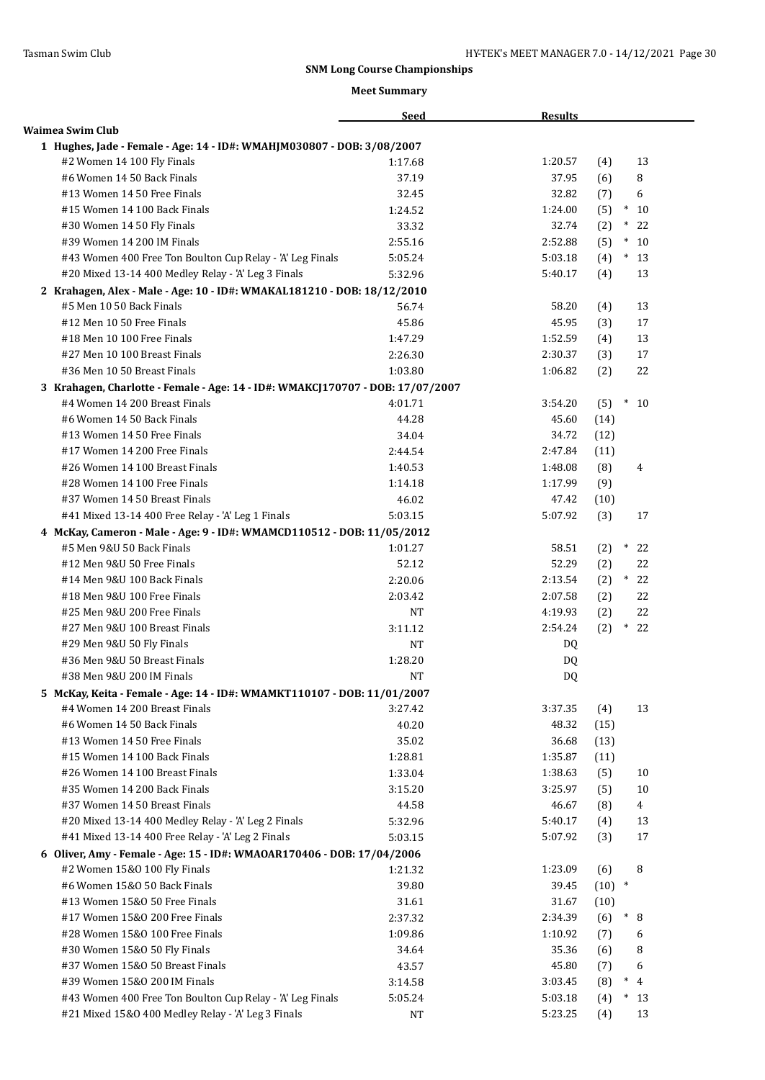|                                                                                | <b>Seed</b> | <b>Results</b> |                       |
|--------------------------------------------------------------------------------|-------------|----------------|-----------------------|
| Waimea Swim Club                                                               |             |                |                       |
| 1 Hughes, Jade - Female - Age: 14 - ID#: WMAHJM030807 - DOB: 3/08/2007         |             |                |                       |
| #2 Women 14 100 Fly Finals                                                     | 1:17.68     | 1:20.57        | 13<br>(4)             |
| #6 Women 14 50 Back Finals                                                     | 37.19       | 37.95          | 8<br>(6)              |
| #13 Women 14 50 Free Finals                                                    | 32.45       | 32.82          | 6<br>(7)              |
| #15 Women 14 100 Back Finals                                                   | 1:24.52     | 1:24.00        | $\ast$<br>(5)<br>10   |
| #30 Women 14 50 Fly Finals                                                     | 33.32       | 32.74          | $\ast$<br>22<br>(2)   |
| #39 Women 14 200 IM Finals                                                     | 2:55.16     | 2:52.88        | (5)<br>$\ast$<br>10   |
| #43 Women 400 Free Ton Boulton Cup Relay - 'A' Leg Finals                      | 5:05.24     | 5:03.18        | $^\ast$<br>(4)<br>13  |
| #20 Mixed 13-14 400 Medley Relay - 'A' Leg 3 Finals                            | 5:32.96     | 5:40.17        | (4)<br>13             |
| 2 Krahagen, Alex - Male - Age: 10 - ID#: WMAKAL181210 - DOB: 18/12/2010        |             |                |                       |
| #5 Men 10 50 Back Finals                                                       | 56.74       | 58.20          | 13<br>(4)             |
| #12 Men 10 50 Free Finals                                                      | 45.86       | 45.95          | 17<br>(3)             |
| #18 Men 10 100 Free Finals                                                     | 1:47.29     | 1:52.59        | 13<br>(4)             |
| #27 Men 10 100 Breast Finals                                                   | 2:26.30     | 2:30.37        | (3)<br>17             |
| #36 Men 10 50 Breast Finals                                                    | 1:03.80     | 1:06.82        | (2)<br>22             |
| 3 Krahagen, Charlotte - Female - Age: 14 - ID#: WMAKCJ170707 - DOB: 17/07/2007 |             |                |                       |
| #4 Women 14 200 Breast Finals                                                  | 4:01.71     | 3:54.20        | $*10$<br>(5)          |
| #6 Women 14 50 Back Finals                                                     | 44.28       | 45.60          | (14)                  |
| #13 Women 14 50 Free Finals                                                    | 34.04       | 34.72          | (12)                  |
| #17 Women 14 200 Free Finals                                                   | 2:44.54     | 2:47.84        | (11)                  |
| #26 Women 14 100 Breast Finals                                                 | 1:40.53     | 1:48.08        | (8)<br>4              |
| #28 Women 14 100 Free Finals                                                   | 1:14.18     | 1:17.99        | (9)                   |
| #37 Women 14 50 Breast Finals                                                  | 46.02       | 47.42          | (10)                  |
| #41 Mixed 13-14 400 Free Relay - 'A' Leg 1 Finals                              | 5:03.15     | 5:07.92        | 17<br>(3)             |
| 4 McKay, Cameron - Male - Age: 9 - ID#: WMAMCD110512 - DOB: 11/05/2012         |             |                |                       |
| #5 Men 9&U 50 Back Finals                                                      | 1:01.27     | 58.51          | 22<br>(2)<br>$\ast$   |
| #12 Men 9&U 50 Free Finals                                                     | 52.12       | 52.29          | (2)<br>22             |
| #14 Men 9&U 100 Back Finals                                                    | 2:20.06     | 2:13.54        | $*$<br>22<br>(2)      |
| #18 Men 9&U 100 Free Finals                                                    | 2:03.42     | 2:07.58        | 22<br>(2)             |
| #25 Men 9&U 200 Free Finals                                                    | NT          | 4:19.93        | (2)<br>22             |
| #27 Men 9&U 100 Breast Finals                                                  | 3:11.12     | 2:54.24        | (2)<br>$\ast$<br>22   |
| #29 Men 9&U 50 Fly Finals                                                      | <b>NT</b>   | DQ             |                       |
| #36 Men 9&U 50 Breast Finals                                                   | 1:28.20     | DQ             |                       |
| #38 Men 9&U 200 IM Finals                                                      | <b>NT</b>   | DQ             |                       |
| 5 McKay, Keita - Female - Age: 14 - ID#: WMAMKT110107 - DOB: 11/01/2007        |             |                |                       |
| #4 Women 14 200 Breast Finals                                                  | 3:27.42     | 3:37.35        | 13<br>(4)             |
| #6 Women 14 50 Back Finals                                                     | 40.20       | 48.32          | (15)                  |
| #13 Women 14 50 Free Finals                                                    | 35.02       | 36.68          | (13)                  |
| #15 Women 14 100 Back Finals                                                   | 1:28.81     | 1:35.87        | (11)                  |
| #26 Women 14 100 Breast Finals                                                 | 1:33.04     | 1:38.63        | (5)<br>10             |
| #35 Women 14 200 Back Finals                                                   | 3:15.20     | 3:25.97        | $10\,$<br>(5)         |
| #37 Women 14 50 Breast Finals                                                  | 44.58       | 46.67          | (8)<br>$\overline{4}$ |
| #20 Mixed 13-14 400 Medley Relay - 'A' Leg 2 Finals                            | 5:32.96     | 5:40.17        | (4)<br>13             |
| #41 Mixed 13-14 400 Free Relay - 'A' Leg 2 Finals                              | 5:03.15     | 5:07.92        | (3)<br>17             |
| 6 Oliver, Amy - Female - Age: 15 - ID#: WMAOAR170406 - DOB: 17/04/2006         |             |                |                       |
| #2 Women 15&0 100 Fly Finals                                                   | 1:21.32     | 1:23.09        | 8<br>(6)              |
| #6 Women 15&0 50 Back Finals                                                   | 39.80       | 39.45          | $(10)$ *              |
| #13 Women 15&0 50 Free Finals                                                  | $31.61\,$   | 31.67          | (10)                  |
| #17 Women 15&0 200 Free Finals                                                 | 2:37.32     | 2:34.39        | $\ast$<br>8<br>(6)    |
| #28 Women 15&0 100 Free Finals                                                 | 1:09.86     | 1:10.92        | (7)<br>6              |
| #30 Women 15&0 50 Fly Finals                                                   | 34.64       | 35.36          | 8<br>(6)              |
| #37 Women 15&0 50 Breast Finals                                                | 43.57       | 45.80          | 6<br>(7)              |
| #39 Women 15&0 200 IM Finals                                                   | 3:14.58     | 3:03.45        | (8)<br>$\ast$<br>4    |
| #43 Women 400 Free Ton Boulton Cup Relay - 'A' Leg Finals                      | 5:05.24     | 5:03.18        | (4)<br>$\ast$<br>13   |
| #21 Mixed 15&0 400 Medley Relay - 'A' Leg 3 Finals                             | $_{\rm NT}$ | 5:23.25        | 13<br>(4)             |
|                                                                                |             |                |                       |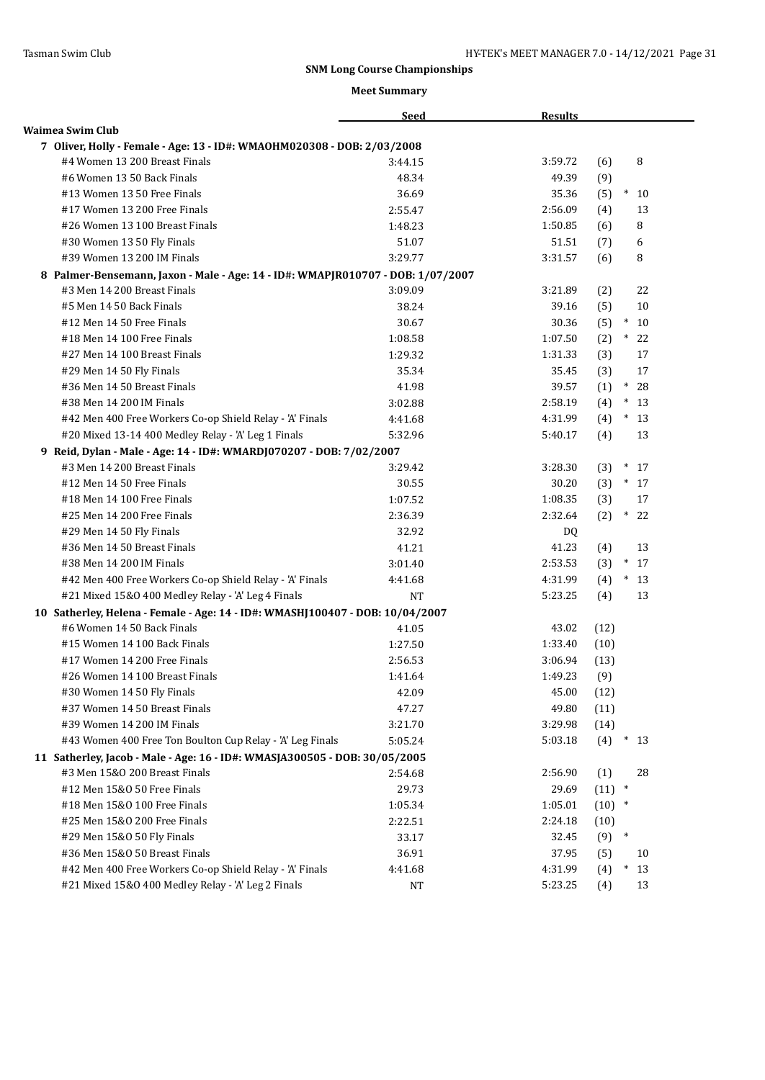|                                                                                 | <b>Seed</b> | <b>Results</b> |                     |
|---------------------------------------------------------------------------------|-------------|----------------|---------------------|
| Waimea Swim Club                                                                |             |                |                     |
| 7 Oliver, Holly - Female - Age: 13 - ID#: WMAOHM020308 - DOB: 2/03/2008         |             |                |                     |
| #4 Women 13 200 Breast Finals                                                   | 3:44.15     | 3:59.72        | 8<br>(6)            |
| #6 Women 13 50 Back Finals                                                      | 48.34       | 49.39          | (9)                 |
| #13 Women 13 50 Free Finals                                                     | 36.69       | 35.36          | $*10$<br>(5)        |
| #17 Women 13 200 Free Finals                                                    | 2:55.47     | 2:56.09        | (4)<br>13           |
| #26 Women 13 100 Breast Finals                                                  | 1:48.23     | 1:50.85        | 8<br>(6)            |
| #30 Women 13 50 Fly Finals                                                      | 51.07       | 51.51          | 6<br>(7)            |
| #39 Women 13 200 IM Finals                                                      | 3:29.77     | 3:31.57        | 8<br>(6)            |
| 8 Palmer-Bensemann, Jaxon - Male - Age: 14 - ID#: WMAPJR010707 - DOB: 1/07/2007 |             |                |                     |
| #3 Men 14 200 Breast Finals                                                     | 3:09.09     | 3:21.89        | 22<br>(2)           |
| #5 Men 14 50 Back Finals                                                        | 38.24       | 39.16          | (5)<br>10           |
| #12 Men 14 50 Free Finals                                                       | 30.67       | 30.36          | (5)<br>$*$<br>10    |
| #18 Men 14 100 Free Finals                                                      | 1:08.58     | 1:07.50        | (2)<br>$*22$        |
| #27 Men 14 100 Breast Finals                                                    | 1:29.32     | 1:31.33        | (3)<br>17           |
| #29 Men 14 50 Fly Finals                                                        | 35.34       | 35.45          | (3)<br>17           |
| #36 Men 14 50 Breast Finals                                                     | 41.98       | 39.57          | $\ast$<br>28<br>(1) |
| #38 Men 14 200 IM Finals                                                        | 3:02.88     | 2:58.19        | (4)<br>$\ast$<br>13 |
| #42 Men 400 Free Workers Co-op Shield Relay - 'A' Finals                        | 4:41.68     | 4:31.99        | (4)<br>$\ast$<br>13 |
| #20 Mixed 13-14 400 Medley Relay - 'A' Leg 1 Finals                             | 5:32.96     | 5:40.17        | (4)<br>13           |
| 9 Reid, Dylan - Male - Age: 14 - ID#: WMARDJ070207 - DOB: 7/02/2007             |             |                |                     |
| #3 Men 14 200 Breast Finals                                                     | 3:29.42     | 3:28.30        | (3)<br>$\ast$<br>17 |
| #12 Men 14 50 Free Finals                                                       | 30.55       | 30.20          | (3)<br>$*17$        |
| #18 Men 14 100 Free Finals                                                      | 1:07.52     | 1:08.35        | (3)<br>17           |
| #25 Men 14 200 Free Finals                                                      | 2:36.39     | 2:32.64        | (2)<br>$\ast$<br>22 |
| #29 Men 14 50 Fly Finals                                                        | 32.92       | DQ             |                     |
| #36 Men 14 50 Breast Finals                                                     | 41.21       | 41.23          | 13<br>(4)           |
| #38 Men 14 200 IM Finals                                                        | 3:01.40     | 2:53.53        | $*17$<br>(3)        |
| #42 Men 400 Free Workers Co-op Shield Relay - 'A' Finals                        | 4:41.68     | 4:31.99        | (4)<br>$*13$        |
| #21 Mixed 15&0 400 Medley Relay - 'A' Leg 4 Finals                              | <b>NT</b>   | 5:23.25        | (4)<br>13           |
| 10 Satherley, Helena - Female - Age: 14 - ID#: WMASHJ100407 - DOB: 10/04/2007   |             |                |                     |
| #6 Women 14 50 Back Finals                                                      | 41.05       | 43.02          | (12)                |
| #15 Women 14 100 Back Finals                                                    | 1:27.50     | 1:33.40        | (10)                |
| #17 Women 14 200 Free Finals                                                    | 2:56.53     | 3:06.94        | (13)                |
| #26 Women 14 100 Breast Finals                                                  | 1:41.64     | 1:49.23        | (9)                 |
| #30 Women 14 50 Fly Finals                                                      | 42.09       | 45.00          | (12)                |
| #37 Women 14 50 Breast Finals                                                   | 47.27       | 49.80          | (11)                |
| #39 Women 14 200 IM Finals                                                      | 3:21.70     | 3:29.98        | (14)                |
| #43 Women 400 Free Ton Boulton Cup Relay - 'A' Leg Finals                       | 5:05.24     | 5:03.18        | (4)<br>$*13$        |
| 11 Satherley, Jacob - Male - Age: 16 - ID#: WMASJA300505 - DOB: 30/05/2005      |             |                |                     |
| #3 Men 15&0 200 Breast Finals                                                   | 2:54.68     | 2:56.90        | 28<br>(1)           |
| #12 Men 15&0 50 Free Finals                                                     | 29.73       | 29.69          | (11)<br>$\ast$      |
| #18 Men 15&0 100 Free Finals                                                    | 1:05.34     | 1:05.01        | (10)<br>$\ast$      |
| #25 Men 15&0 200 Free Finals                                                    | 2:22.51     | 2:24.18        | (10)                |
| #29 Men 15&0 50 Fly Finals                                                      | 33.17       | 32.45          | $\ast$<br>(9)       |
| #36 Men 15&0 50 Breast Finals                                                   | 36.91       | 37.95          | (5)<br>10           |
| #42 Men 400 Free Workers Co-op Shield Relay - 'A' Finals                        | 4:41.68     | 4:31.99        | (4)<br>$\ast$<br>13 |
| #21 Mixed 15&0 400 Medley Relay - 'A' Leg 2 Finals                              | NT          | 5:23.25        | 13<br>(4)           |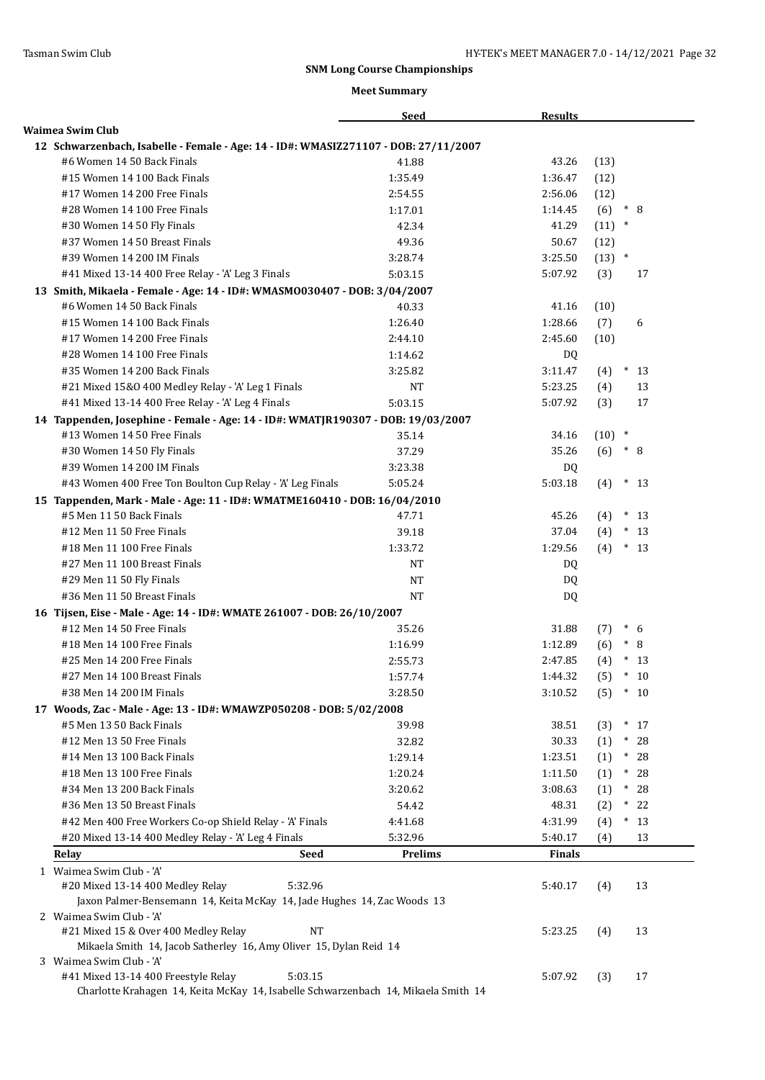| <b>Waimea Swim Club</b><br>12 Schwarzenbach, Isabelle - Female - Age: 14 - ID#: WMASIZ271107 - DOB: 27/11/2007<br>#6 Women 14 50 Back Finals<br>41.88<br>43.26<br>(13)<br>#15 Women 14 100 Back Finals<br>(12)<br>1:35.49<br>1:36.47<br>#17 Women 14 200 Free Finals<br>(12)<br>2:54.55<br>2:56.06<br>#28 Women 14 100 Free Finals<br>1:17.01<br>(6)<br>$* \ 8$<br>1:14.45<br>(11)<br>$\ast$<br>#30 Women 14 50 Fly Finals<br>42.34<br>41.29<br>#37 Women 14 50 Breast Finals<br>(12)<br>49.36<br>50.67<br>#39 Women 14 200 IM Finals<br>3:28.74<br>$(13)$ *<br>3:25.50<br>#41 Mixed 13-14 400 Free Relay - 'A' Leg 3 Finals<br>5:03.15<br>5:07.92<br>(3)<br>17<br>13 Smith, Mikaela - Female - Age: 14 - ID#: WMASM0030407 - DOB: 3/04/2007<br>#6 Women 14 50 Back Finals<br>40.33<br>41.16<br>(10)<br>1:26.40<br>1:28.66<br>(7)<br>#15 Women 14 100 Back Finals<br>6<br>#17 Women 14 200 Free Finals<br>(10)<br>2:44.10<br>2:45.60<br>#28 Women 14 100 Free Finals<br>1:14.62<br>DQ<br>#35 Women 14 200 Back Finals<br>3:25.82<br>3:11.47<br>(4)<br>$\ast$<br>13<br>#21 Mixed 15&0 400 Medley Relay - 'A' Leg 1 Finals<br>5:23.25<br>(4)<br>13<br>NΤ<br>(3)<br>17<br>#41 Mixed 13-14 400 Free Relay - 'A' Leg 4 Finals<br>5:03.15<br>5:07.92<br>14 Tappenden, Josephine - Female - Age: 14 - ID#: WMATJR190307 - DOB: 19/03/2007<br>#13 Women 14 50 Free Finals<br>35.14<br>34.16<br>(10)<br>$\ast$<br>#30 Women 14 50 Fly Finals<br>37.29<br>35.26<br>(6)<br>$* 8$<br>#39 Women 14 200 IM Finals<br>3:23.38<br>DQ.<br>#43 Women 400 Free Ton Boulton Cup Relay - 'A' Leg Finals<br>5:03.18<br>5:05.24<br>(4)<br>$*13$<br>15 Tappenden, Mark - Male - Age: 11 - ID#: WMATME160410 - DOB: 16/04/2010<br>#5 Men 11 50 Back Finals<br>47.71<br>45.26<br>$*13$<br>(4)<br>37.04<br>$*13$<br>#12 Men 11 50 Free Finals<br>39.18<br>(4)<br>#18 Men 11 100 Free Finals<br>1:33.72<br>1:29.56<br>(4)<br>$*13$<br>#27 Men 11 100 Breast Finals<br>DQ<br>NT<br>#29 Men 11 50 Fly Finals<br><b>NT</b><br>DQ<br>#36 Men 11 50 Breast Finals<br><b>NT</b><br>DQ<br>16 Tijsen, Eise - Male - Age: 14 - ID#: WMATE 261007 - DOB: 26/10/2007<br>#12 Men 14 50 Free Finals<br>35.26<br>31.88<br>$*$ 6<br>(7)<br>#18 Men 14 100 Free Finals<br>1:16.99<br>1:12.89<br>(6)<br>$*$ 8<br>#25 Men 14 200 Free Finals<br>2:55.73<br>2:47.85<br>$*13$<br>(4)<br>$*10$<br>#27 Men 14 100 Breast Finals<br>1:44.32<br>(5)<br>1:57.74<br>#38 Men 14 200 IM Finals<br>$*10$<br>3:28.50<br>3:10.52<br>(5)<br>17 Woods, Zac - Male - Age: 13 - ID#: WMAWZP050208 - DOB: 5/02/2008<br>#5 Men 13 50 Back Finals<br>39.98<br>38.51<br>$*17$<br>(3)<br>#12 Men 13 50 Free Finals<br>30.33<br>$* 28$<br>32.82<br>(1)<br>$^*$<br>28<br>#14 Men 13 100 Back Finals<br>1:29.14<br>1:23.51<br>(1)<br>#18 Men 13 100 Free Finals<br>1:20.24<br>$* 28$<br>1:11.50<br>(1)<br>$* 28$<br>#34 Men 13 200 Back Finals<br>3:20.62<br>3:08.63<br>(1)<br>#36 Men 13 50 Breast Finals<br>54.42<br>48.31<br>(2)<br>$*22$<br>#42 Men 400 Free Workers Co-op Shield Relay - 'A' Finals<br>$*13$<br>4:41.68<br>4:31.99<br>(4)<br>#20 Mixed 13-14 400 Medley Relay - 'A' Leg 4 Finals<br>5:32.96<br>5:40.17<br>13<br>(4)<br>Seed<br>Prelims<br>Relay<br><b>Finals</b><br>1 Waimea Swim Club - 'A'<br>#20 Mixed 13-14 400 Medley Relay<br>5:32.96<br>13<br>5:40.17<br>(4)<br>Jaxon Palmer-Bensemann 14, Keita McKay 14, Jade Hughes 14, Zac Woods 13<br>2 Waimea Swim Club - 'A'<br>#21 Mixed 15 & Over 400 Medley Relay<br><b>NT</b><br>13<br>5:23.25<br>(4)<br>Mikaela Smith 14, Jacob Satherley 16, Amy Oliver 15, Dylan Reid 14<br>3 Waimea Swim Club - 'A'<br>5:03.15 |                                     | <b>Seed</b> | <b>Results</b> |     |    |
|--------------------------------------------------------------------------------------------------------------------------------------------------------------------------------------------------------------------------------------------------------------------------------------------------------------------------------------------------------------------------------------------------------------------------------------------------------------------------------------------------------------------------------------------------------------------------------------------------------------------------------------------------------------------------------------------------------------------------------------------------------------------------------------------------------------------------------------------------------------------------------------------------------------------------------------------------------------------------------------------------------------------------------------------------------------------------------------------------------------------------------------------------------------------------------------------------------------------------------------------------------------------------------------------------------------------------------------------------------------------------------------------------------------------------------------------------------------------------------------------------------------------------------------------------------------------------------------------------------------------------------------------------------------------------------------------------------------------------------------------------------------------------------------------------------------------------------------------------------------------------------------------------------------------------------------------------------------------------------------------------------------------------------------------------------------------------------------------------------------------------------------------------------------------------------------------------------------------------------------------------------------------------------------------------------------------------------------------------------------------------------------------------------------------------------------------------------------------------------------------------------------------------------------------------------------------------------------------------------------------------------------------------------------------------------------------------------------------------------------------------------------------------------------------------------------------------------------------------------------------------------------------------------------------------------------------------------------------------------------------------------------------------------------------------------------------------------------------------------------------------------------------------------------------------------------------------------------------------------------------------------------------------------------------------------------------------------------------------------------------------------------------------------------------------------------------------------------------------------------------------------------------------------------------------------------------------------------------------------------------|-------------------------------------|-------------|----------------|-----|----|
|                                                                                                                                                                                                                                                                                                                                                                                                                                                                                                                                                                                                                                                                                                                                                                                                                                                                                                                                                                                                                                                                                                                                                                                                                                                                                                                                                                                                                                                                                                                                                                                                                                                                                                                                                                                                                                                                                                                                                                                                                                                                                                                                                                                                                                                                                                                                                                                                                                                                                                                                                                                                                                                                                                                                                                                                                                                                                                                                                                                                                                                                                                                                                                                                                                                                                                                                                                                                                                                                                                                                                                                                                    |                                     |             |                |     |    |
|                                                                                                                                                                                                                                                                                                                                                                                                                                                                                                                                                                                                                                                                                                                                                                                                                                                                                                                                                                                                                                                                                                                                                                                                                                                                                                                                                                                                                                                                                                                                                                                                                                                                                                                                                                                                                                                                                                                                                                                                                                                                                                                                                                                                                                                                                                                                                                                                                                                                                                                                                                                                                                                                                                                                                                                                                                                                                                                                                                                                                                                                                                                                                                                                                                                                                                                                                                                                                                                                                                                                                                                                                    |                                     |             |                |     |    |
|                                                                                                                                                                                                                                                                                                                                                                                                                                                                                                                                                                                                                                                                                                                                                                                                                                                                                                                                                                                                                                                                                                                                                                                                                                                                                                                                                                                                                                                                                                                                                                                                                                                                                                                                                                                                                                                                                                                                                                                                                                                                                                                                                                                                                                                                                                                                                                                                                                                                                                                                                                                                                                                                                                                                                                                                                                                                                                                                                                                                                                                                                                                                                                                                                                                                                                                                                                                                                                                                                                                                                                                                                    |                                     |             |                |     |    |
|                                                                                                                                                                                                                                                                                                                                                                                                                                                                                                                                                                                                                                                                                                                                                                                                                                                                                                                                                                                                                                                                                                                                                                                                                                                                                                                                                                                                                                                                                                                                                                                                                                                                                                                                                                                                                                                                                                                                                                                                                                                                                                                                                                                                                                                                                                                                                                                                                                                                                                                                                                                                                                                                                                                                                                                                                                                                                                                                                                                                                                                                                                                                                                                                                                                                                                                                                                                                                                                                                                                                                                                                                    |                                     |             |                |     |    |
|                                                                                                                                                                                                                                                                                                                                                                                                                                                                                                                                                                                                                                                                                                                                                                                                                                                                                                                                                                                                                                                                                                                                                                                                                                                                                                                                                                                                                                                                                                                                                                                                                                                                                                                                                                                                                                                                                                                                                                                                                                                                                                                                                                                                                                                                                                                                                                                                                                                                                                                                                                                                                                                                                                                                                                                                                                                                                                                                                                                                                                                                                                                                                                                                                                                                                                                                                                                                                                                                                                                                                                                                                    |                                     |             |                |     |    |
|                                                                                                                                                                                                                                                                                                                                                                                                                                                                                                                                                                                                                                                                                                                                                                                                                                                                                                                                                                                                                                                                                                                                                                                                                                                                                                                                                                                                                                                                                                                                                                                                                                                                                                                                                                                                                                                                                                                                                                                                                                                                                                                                                                                                                                                                                                                                                                                                                                                                                                                                                                                                                                                                                                                                                                                                                                                                                                                                                                                                                                                                                                                                                                                                                                                                                                                                                                                                                                                                                                                                                                                                                    |                                     |             |                |     |    |
|                                                                                                                                                                                                                                                                                                                                                                                                                                                                                                                                                                                                                                                                                                                                                                                                                                                                                                                                                                                                                                                                                                                                                                                                                                                                                                                                                                                                                                                                                                                                                                                                                                                                                                                                                                                                                                                                                                                                                                                                                                                                                                                                                                                                                                                                                                                                                                                                                                                                                                                                                                                                                                                                                                                                                                                                                                                                                                                                                                                                                                                                                                                                                                                                                                                                                                                                                                                                                                                                                                                                                                                                                    |                                     |             |                |     |    |
|                                                                                                                                                                                                                                                                                                                                                                                                                                                                                                                                                                                                                                                                                                                                                                                                                                                                                                                                                                                                                                                                                                                                                                                                                                                                                                                                                                                                                                                                                                                                                                                                                                                                                                                                                                                                                                                                                                                                                                                                                                                                                                                                                                                                                                                                                                                                                                                                                                                                                                                                                                                                                                                                                                                                                                                                                                                                                                                                                                                                                                                                                                                                                                                                                                                                                                                                                                                                                                                                                                                                                                                                                    |                                     |             |                |     |    |
|                                                                                                                                                                                                                                                                                                                                                                                                                                                                                                                                                                                                                                                                                                                                                                                                                                                                                                                                                                                                                                                                                                                                                                                                                                                                                                                                                                                                                                                                                                                                                                                                                                                                                                                                                                                                                                                                                                                                                                                                                                                                                                                                                                                                                                                                                                                                                                                                                                                                                                                                                                                                                                                                                                                                                                                                                                                                                                                                                                                                                                                                                                                                                                                                                                                                                                                                                                                                                                                                                                                                                                                                                    |                                     |             |                |     |    |
|                                                                                                                                                                                                                                                                                                                                                                                                                                                                                                                                                                                                                                                                                                                                                                                                                                                                                                                                                                                                                                                                                                                                                                                                                                                                                                                                                                                                                                                                                                                                                                                                                                                                                                                                                                                                                                                                                                                                                                                                                                                                                                                                                                                                                                                                                                                                                                                                                                                                                                                                                                                                                                                                                                                                                                                                                                                                                                                                                                                                                                                                                                                                                                                                                                                                                                                                                                                                                                                                                                                                                                                                                    |                                     |             |                |     |    |
|                                                                                                                                                                                                                                                                                                                                                                                                                                                                                                                                                                                                                                                                                                                                                                                                                                                                                                                                                                                                                                                                                                                                                                                                                                                                                                                                                                                                                                                                                                                                                                                                                                                                                                                                                                                                                                                                                                                                                                                                                                                                                                                                                                                                                                                                                                                                                                                                                                                                                                                                                                                                                                                                                                                                                                                                                                                                                                                                                                                                                                                                                                                                                                                                                                                                                                                                                                                                                                                                                                                                                                                                                    |                                     |             |                |     |    |
|                                                                                                                                                                                                                                                                                                                                                                                                                                                                                                                                                                                                                                                                                                                                                                                                                                                                                                                                                                                                                                                                                                                                                                                                                                                                                                                                                                                                                                                                                                                                                                                                                                                                                                                                                                                                                                                                                                                                                                                                                                                                                                                                                                                                                                                                                                                                                                                                                                                                                                                                                                                                                                                                                                                                                                                                                                                                                                                                                                                                                                                                                                                                                                                                                                                                                                                                                                                                                                                                                                                                                                                                                    |                                     |             |                |     |    |
|                                                                                                                                                                                                                                                                                                                                                                                                                                                                                                                                                                                                                                                                                                                                                                                                                                                                                                                                                                                                                                                                                                                                                                                                                                                                                                                                                                                                                                                                                                                                                                                                                                                                                                                                                                                                                                                                                                                                                                                                                                                                                                                                                                                                                                                                                                                                                                                                                                                                                                                                                                                                                                                                                                                                                                                                                                                                                                                                                                                                                                                                                                                                                                                                                                                                                                                                                                                                                                                                                                                                                                                                                    |                                     |             |                |     |    |
|                                                                                                                                                                                                                                                                                                                                                                                                                                                                                                                                                                                                                                                                                                                                                                                                                                                                                                                                                                                                                                                                                                                                                                                                                                                                                                                                                                                                                                                                                                                                                                                                                                                                                                                                                                                                                                                                                                                                                                                                                                                                                                                                                                                                                                                                                                                                                                                                                                                                                                                                                                                                                                                                                                                                                                                                                                                                                                                                                                                                                                                                                                                                                                                                                                                                                                                                                                                                                                                                                                                                                                                                                    |                                     |             |                |     |    |
|                                                                                                                                                                                                                                                                                                                                                                                                                                                                                                                                                                                                                                                                                                                                                                                                                                                                                                                                                                                                                                                                                                                                                                                                                                                                                                                                                                                                                                                                                                                                                                                                                                                                                                                                                                                                                                                                                                                                                                                                                                                                                                                                                                                                                                                                                                                                                                                                                                                                                                                                                                                                                                                                                                                                                                                                                                                                                                                                                                                                                                                                                                                                                                                                                                                                                                                                                                                                                                                                                                                                                                                                                    |                                     |             |                |     |    |
|                                                                                                                                                                                                                                                                                                                                                                                                                                                                                                                                                                                                                                                                                                                                                                                                                                                                                                                                                                                                                                                                                                                                                                                                                                                                                                                                                                                                                                                                                                                                                                                                                                                                                                                                                                                                                                                                                                                                                                                                                                                                                                                                                                                                                                                                                                                                                                                                                                                                                                                                                                                                                                                                                                                                                                                                                                                                                                                                                                                                                                                                                                                                                                                                                                                                                                                                                                                                                                                                                                                                                                                                                    |                                     |             |                |     |    |
|                                                                                                                                                                                                                                                                                                                                                                                                                                                                                                                                                                                                                                                                                                                                                                                                                                                                                                                                                                                                                                                                                                                                                                                                                                                                                                                                                                                                                                                                                                                                                                                                                                                                                                                                                                                                                                                                                                                                                                                                                                                                                                                                                                                                                                                                                                                                                                                                                                                                                                                                                                                                                                                                                                                                                                                                                                                                                                                                                                                                                                                                                                                                                                                                                                                                                                                                                                                                                                                                                                                                                                                                                    |                                     |             |                |     |    |
|                                                                                                                                                                                                                                                                                                                                                                                                                                                                                                                                                                                                                                                                                                                                                                                                                                                                                                                                                                                                                                                                                                                                                                                                                                                                                                                                                                                                                                                                                                                                                                                                                                                                                                                                                                                                                                                                                                                                                                                                                                                                                                                                                                                                                                                                                                                                                                                                                                                                                                                                                                                                                                                                                                                                                                                                                                                                                                                                                                                                                                                                                                                                                                                                                                                                                                                                                                                                                                                                                                                                                                                                                    |                                     |             |                |     |    |
|                                                                                                                                                                                                                                                                                                                                                                                                                                                                                                                                                                                                                                                                                                                                                                                                                                                                                                                                                                                                                                                                                                                                                                                                                                                                                                                                                                                                                                                                                                                                                                                                                                                                                                                                                                                                                                                                                                                                                                                                                                                                                                                                                                                                                                                                                                                                                                                                                                                                                                                                                                                                                                                                                                                                                                                                                                                                                                                                                                                                                                                                                                                                                                                                                                                                                                                                                                                                                                                                                                                                                                                                                    |                                     |             |                |     |    |
|                                                                                                                                                                                                                                                                                                                                                                                                                                                                                                                                                                                                                                                                                                                                                                                                                                                                                                                                                                                                                                                                                                                                                                                                                                                                                                                                                                                                                                                                                                                                                                                                                                                                                                                                                                                                                                                                                                                                                                                                                                                                                                                                                                                                                                                                                                                                                                                                                                                                                                                                                                                                                                                                                                                                                                                                                                                                                                                                                                                                                                                                                                                                                                                                                                                                                                                                                                                                                                                                                                                                                                                                                    |                                     |             |                |     |    |
|                                                                                                                                                                                                                                                                                                                                                                                                                                                                                                                                                                                                                                                                                                                                                                                                                                                                                                                                                                                                                                                                                                                                                                                                                                                                                                                                                                                                                                                                                                                                                                                                                                                                                                                                                                                                                                                                                                                                                                                                                                                                                                                                                                                                                                                                                                                                                                                                                                                                                                                                                                                                                                                                                                                                                                                                                                                                                                                                                                                                                                                                                                                                                                                                                                                                                                                                                                                                                                                                                                                                                                                                                    |                                     |             |                |     |    |
|                                                                                                                                                                                                                                                                                                                                                                                                                                                                                                                                                                                                                                                                                                                                                                                                                                                                                                                                                                                                                                                                                                                                                                                                                                                                                                                                                                                                                                                                                                                                                                                                                                                                                                                                                                                                                                                                                                                                                                                                                                                                                                                                                                                                                                                                                                                                                                                                                                                                                                                                                                                                                                                                                                                                                                                                                                                                                                                                                                                                                                                                                                                                                                                                                                                                                                                                                                                                                                                                                                                                                                                                                    |                                     |             |                |     |    |
|                                                                                                                                                                                                                                                                                                                                                                                                                                                                                                                                                                                                                                                                                                                                                                                                                                                                                                                                                                                                                                                                                                                                                                                                                                                                                                                                                                                                                                                                                                                                                                                                                                                                                                                                                                                                                                                                                                                                                                                                                                                                                                                                                                                                                                                                                                                                                                                                                                                                                                                                                                                                                                                                                                                                                                                                                                                                                                                                                                                                                                                                                                                                                                                                                                                                                                                                                                                                                                                                                                                                                                                                                    |                                     |             |                |     |    |
|                                                                                                                                                                                                                                                                                                                                                                                                                                                                                                                                                                                                                                                                                                                                                                                                                                                                                                                                                                                                                                                                                                                                                                                                                                                                                                                                                                                                                                                                                                                                                                                                                                                                                                                                                                                                                                                                                                                                                                                                                                                                                                                                                                                                                                                                                                                                                                                                                                                                                                                                                                                                                                                                                                                                                                                                                                                                                                                                                                                                                                                                                                                                                                                                                                                                                                                                                                                                                                                                                                                                                                                                                    |                                     |             |                |     |    |
|                                                                                                                                                                                                                                                                                                                                                                                                                                                                                                                                                                                                                                                                                                                                                                                                                                                                                                                                                                                                                                                                                                                                                                                                                                                                                                                                                                                                                                                                                                                                                                                                                                                                                                                                                                                                                                                                                                                                                                                                                                                                                                                                                                                                                                                                                                                                                                                                                                                                                                                                                                                                                                                                                                                                                                                                                                                                                                                                                                                                                                                                                                                                                                                                                                                                                                                                                                                                                                                                                                                                                                                                                    |                                     |             |                |     |    |
|                                                                                                                                                                                                                                                                                                                                                                                                                                                                                                                                                                                                                                                                                                                                                                                                                                                                                                                                                                                                                                                                                                                                                                                                                                                                                                                                                                                                                                                                                                                                                                                                                                                                                                                                                                                                                                                                                                                                                                                                                                                                                                                                                                                                                                                                                                                                                                                                                                                                                                                                                                                                                                                                                                                                                                                                                                                                                                                                                                                                                                                                                                                                                                                                                                                                                                                                                                                                                                                                                                                                                                                                                    |                                     |             |                |     |    |
|                                                                                                                                                                                                                                                                                                                                                                                                                                                                                                                                                                                                                                                                                                                                                                                                                                                                                                                                                                                                                                                                                                                                                                                                                                                                                                                                                                                                                                                                                                                                                                                                                                                                                                                                                                                                                                                                                                                                                                                                                                                                                                                                                                                                                                                                                                                                                                                                                                                                                                                                                                                                                                                                                                                                                                                                                                                                                                                                                                                                                                                                                                                                                                                                                                                                                                                                                                                                                                                                                                                                                                                                                    |                                     |             |                |     |    |
|                                                                                                                                                                                                                                                                                                                                                                                                                                                                                                                                                                                                                                                                                                                                                                                                                                                                                                                                                                                                                                                                                                                                                                                                                                                                                                                                                                                                                                                                                                                                                                                                                                                                                                                                                                                                                                                                                                                                                                                                                                                                                                                                                                                                                                                                                                                                                                                                                                                                                                                                                                                                                                                                                                                                                                                                                                                                                                                                                                                                                                                                                                                                                                                                                                                                                                                                                                                                                                                                                                                                                                                                                    |                                     |             |                |     |    |
|                                                                                                                                                                                                                                                                                                                                                                                                                                                                                                                                                                                                                                                                                                                                                                                                                                                                                                                                                                                                                                                                                                                                                                                                                                                                                                                                                                                                                                                                                                                                                                                                                                                                                                                                                                                                                                                                                                                                                                                                                                                                                                                                                                                                                                                                                                                                                                                                                                                                                                                                                                                                                                                                                                                                                                                                                                                                                                                                                                                                                                                                                                                                                                                                                                                                                                                                                                                                                                                                                                                                                                                                                    |                                     |             |                |     |    |
|                                                                                                                                                                                                                                                                                                                                                                                                                                                                                                                                                                                                                                                                                                                                                                                                                                                                                                                                                                                                                                                                                                                                                                                                                                                                                                                                                                                                                                                                                                                                                                                                                                                                                                                                                                                                                                                                                                                                                                                                                                                                                                                                                                                                                                                                                                                                                                                                                                                                                                                                                                                                                                                                                                                                                                                                                                                                                                                                                                                                                                                                                                                                                                                                                                                                                                                                                                                                                                                                                                                                                                                                                    |                                     |             |                |     |    |
|                                                                                                                                                                                                                                                                                                                                                                                                                                                                                                                                                                                                                                                                                                                                                                                                                                                                                                                                                                                                                                                                                                                                                                                                                                                                                                                                                                                                                                                                                                                                                                                                                                                                                                                                                                                                                                                                                                                                                                                                                                                                                                                                                                                                                                                                                                                                                                                                                                                                                                                                                                                                                                                                                                                                                                                                                                                                                                                                                                                                                                                                                                                                                                                                                                                                                                                                                                                                                                                                                                                                                                                                                    |                                     |             |                |     |    |
|                                                                                                                                                                                                                                                                                                                                                                                                                                                                                                                                                                                                                                                                                                                                                                                                                                                                                                                                                                                                                                                                                                                                                                                                                                                                                                                                                                                                                                                                                                                                                                                                                                                                                                                                                                                                                                                                                                                                                                                                                                                                                                                                                                                                                                                                                                                                                                                                                                                                                                                                                                                                                                                                                                                                                                                                                                                                                                                                                                                                                                                                                                                                                                                                                                                                                                                                                                                                                                                                                                                                                                                                                    |                                     |             |                |     |    |
|                                                                                                                                                                                                                                                                                                                                                                                                                                                                                                                                                                                                                                                                                                                                                                                                                                                                                                                                                                                                                                                                                                                                                                                                                                                                                                                                                                                                                                                                                                                                                                                                                                                                                                                                                                                                                                                                                                                                                                                                                                                                                                                                                                                                                                                                                                                                                                                                                                                                                                                                                                                                                                                                                                                                                                                                                                                                                                                                                                                                                                                                                                                                                                                                                                                                                                                                                                                                                                                                                                                                                                                                                    |                                     |             |                |     |    |
|                                                                                                                                                                                                                                                                                                                                                                                                                                                                                                                                                                                                                                                                                                                                                                                                                                                                                                                                                                                                                                                                                                                                                                                                                                                                                                                                                                                                                                                                                                                                                                                                                                                                                                                                                                                                                                                                                                                                                                                                                                                                                                                                                                                                                                                                                                                                                                                                                                                                                                                                                                                                                                                                                                                                                                                                                                                                                                                                                                                                                                                                                                                                                                                                                                                                                                                                                                                                                                                                                                                                                                                                                    |                                     |             |                |     |    |
|                                                                                                                                                                                                                                                                                                                                                                                                                                                                                                                                                                                                                                                                                                                                                                                                                                                                                                                                                                                                                                                                                                                                                                                                                                                                                                                                                                                                                                                                                                                                                                                                                                                                                                                                                                                                                                                                                                                                                                                                                                                                                                                                                                                                                                                                                                                                                                                                                                                                                                                                                                                                                                                                                                                                                                                                                                                                                                                                                                                                                                                                                                                                                                                                                                                                                                                                                                                                                                                                                                                                                                                                                    |                                     |             |                |     |    |
|                                                                                                                                                                                                                                                                                                                                                                                                                                                                                                                                                                                                                                                                                                                                                                                                                                                                                                                                                                                                                                                                                                                                                                                                                                                                                                                                                                                                                                                                                                                                                                                                                                                                                                                                                                                                                                                                                                                                                                                                                                                                                                                                                                                                                                                                                                                                                                                                                                                                                                                                                                                                                                                                                                                                                                                                                                                                                                                                                                                                                                                                                                                                                                                                                                                                                                                                                                                                                                                                                                                                                                                                                    |                                     |             |                |     |    |
|                                                                                                                                                                                                                                                                                                                                                                                                                                                                                                                                                                                                                                                                                                                                                                                                                                                                                                                                                                                                                                                                                                                                                                                                                                                                                                                                                                                                                                                                                                                                                                                                                                                                                                                                                                                                                                                                                                                                                                                                                                                                                                                                                                                                                                                                                                                                                                                                                                                                                                                                                                                                                                                                                                                                                                                                                                                                                                                                                                                                                                                                                                                                                                                                                                                                                                                                                                                                                                                                                                                                                                                                                    |                                     |             |                |     |    |
|                                                                                                                                                                                                                                                                                                                                                                                                                                                                                                                                                                                                                                                                                                                                                                                                                                                                                                                                                                                                                                                                                                                                                                                                                                                                                                                                                                                                                                                                                                                                                                                                                                                                                                                                                                                                                                                                                                                                                                                                                                                                                                                                                                                                                                                                                                                                                                                                                                                                                                                                                                                                                                                                                                                                                                                                                                                                                                                                                                                                                                                                                                                                                                                                                                                                                                                                                                                                                                                                                                                                                                                                                    |                                     |             |                |     |    |
|                                                                                                                                                                                                                                                                                                                                                                                                                                                                                                                                                                                                                                                                                                                                                                                                                                                                                                                                                                                                                                                                                                                                                                                                                                                                                                                                                                                                                                                                                                                                                                                                                                                                                                                                                                                                                                                                                                                                                                                                                                                                                                                                                                                                                                                                                                                                                                                                                                                                                                                                                                                                                                                                                                                                                                                                                                                                                                                                                                                                                                                                                                                                                                                                                                                                                                                                                                                                                                                                                                                                                                                                                    |                                     |             |                |     |    |
|                                                                                                                                                                                                                                                                                                                                                                                                                                                                                                                                                                                                                                                                                                                                                                                                                                                                                                                                                                                                                                                                                                                                                                                                                                                                                                                                                                                                                                                                                                                                                                                                                                                                                                                                                                                                                                                                                                                                                                                                                                                                                                                                                                                                                                                                                                                                                                                                                                                                                                                                                                                                                                                                                                                                                                                                                                                                                                                                                                                                                                                                                                                                                                                                                                                                                                                                                                                                                                                                                                                                                                                                                    |                                     |             |                |     |    |
|                                                                                                                                                                                                                                                                                                                                                                                                                                                                                                                                                                                                                                                                                                                                                                                                                                                                                                                                                                                                                                                                                                                                                                                                                                                                                                                                                                                                                                                                                                                                                                                                                                                                                                                                                                                                                                                                                                                                                                                                                                                                                                                                                                                                                                                                                                                                                                                                                                                                                                                                                                                                                                                                                                                                                                                                                                                                                                                                                                                                                                                                                                                                                                                                                                                                                                                                                                                                                                                                                                                                                                                                                    |                                     |             |                |     |    |
|                                                                                                                                                                                                                                                                                                                                                                                                                                                                                                                                                                                                                                                                                                                                                                                                                                                                                                                                                                                                                                                                                                                                                                                                                                                                                                                                                                                                                                                                                                                                                                                                                                                                                                                                                                                                                                                                                                                                                                                                                                                                                                                                                                                                                                                                                                                                                                                                                                                                                                                                                                                                                                                                                                                                                                                                                                                                                                                                                                                                                                                                                                                                                                                                                                                                                                                                                                                                                                                                                                                                                                                                                    |                                     |             |                |     |    |
|                                                                                                                                                                                                                                                                                                                                                                                                                                                                                                                                                                                                                                                                                                                                                                                                                                                                                                                                                                                                                                                                                                                                                                                                                                                                                                                                                                                                                                                                                                                                                                                                                                                                                                                                                                                                                                                                                                                                                                                                                                                                                                                                                                                                                                                                                                                                                                                                                                                                                                                                                                                                                                                                                                                                                                                                                                                                                                                                                                                                                                                                                                                                                                                                                                                                                                                                                                                                                                                                                                                                                                                                                    |                                     |             |                |     |    |
|                                                                                                                                                                                                                                                                                                                                                                                                                                                                                                                                                                                                                                                                                                                                                                                                                                                                                                                                                                                                                                                                                                                                                                                                                                                                                                                                                                                                                                                                                                                                                                                                                                                                                                                                                                                                                                                                                                                                                                                                                                                                                                                                                                                                                                                                                                                                                                                                                                                                                                                                                                                                                                                                                                                                                                                                                                                                                                                                                                                                                                                                                                                                                                                                                                                                                                                                                                                                                                                                                                                                                                                                                    |                                     |             |                |     |    |
|                                                                                                                                                                                                                                                                                                                                                                                                                                                                                                                                                                                                                                                                                                                                                                                                                                                                                                                                                                                                                                                                                                                                                                                                                                                                                                                                                                                                                                                                                                                                                                                                                                                                                                                                                                                                                                                                                                                                                                                                                                                                                                                                                                                                                                                                                                                                                                                                                                                                                                                                                                                                                                                                                                                                                                                                                                                                                                                                                                                                                                                                                                                                                                                                                                                                                                                                                                                                                                                                                                                                                                                                                    |                                     |             |                |     |    |
|                                                                                                                                                                                                                                                                                                                                                                                                                                                                                                                                                                                                                                                                                                                                                                                                                                                                                                                                                                                                                                                                                                                                                                                                                                                                                                                                                                                                                                                                                                                                                                                                                                                                                                                                                                                                                                                                                                                                                                                                                                                                                                                                                                                                                                                                                                                                                                                                                                                                                                                                                                                                                                                                                                                                                                                                                                                                                                                                                                                                                                                                                                                                                                                                                                                                                                                                                                                                                                                                                                                                                                                                                    |                                     |             |                |     |    |
|                                                                                                                                                                                                                                                                                                                                                                                                                                                                                                                                                                                                                                                                                                                                                                                                                                                                                                                                                                                                                                                                                                                                                                                                                                                                                                                                                                                                                                                                                                                                                                                                                                                                                                                                                                                                                                                                                                                                                                                                                                                                                                                                                                                                                                                                                                                                                                                                                                                                                                                                                                                                                                                                                                                                                                                                                                                                                                                                                                                                                                                                                                                                                                                                                                                                                                                                                                                                                                                                                                                                                                                                                    |                                     |             |                |     |    |
|                                                                                                                                                                                                                                                                                                                                                                                                                                                                                                                                                                                                                                                                                                                                                                                                                                                                                                                                                                                                                                                                                                                                                                                                                                                                                                                                                                                                                                                                                                                                                                                                                                                                                                                                                                                                                                                                                                                                                                                                                                                                                                                                                                                                                                                                                                                                                                                                                                                                                                                                                                                                                                                                                                                                                                                                                                                                                                                                                                                                                                                                                                                                                                                                                                                                                                                                                                                                                                                                                                                                                                                                                    |                                     |             |                |     |    |
|                                                                                                                                                                                                                                                                                                                                                                                                                                                                                                                                                                                                                                                                                                                                                                                                                                                                                                                                                                                                                                                                                                                                                                                                                                                                                                                                                                                                                                                                                                                                                                                                                                                                                                                                                                                                                                                                                                                                                                                                                                                                                                                                                                                                                                                                                                                                                                                                                                                                                                                                                                                                                                                                                                                                                                                                                                                                                                                                                                                                                                                                                                                                                                                                                                                                                                                                                                                                                                                                                                                                                                                                                    |                                     |             |                |     |    |
|                                                                                                                                                                                                                                                                                                                                                                                                                                                                                                                                                                                                                                                                                                                                                                                                                                                                                                                                                                                                                                                                                                                                                                                                                                                                                                                                                                                                                                                                                                                                                                                                                                                                                                                                                                                                                                                                                                                                                                                                                                                                                                                                                                                                                                                                                                                                                                                                                                                                                                                                                                                                                                                                                                                                                                                                                                                                                                                                                                                                                                                                                                                                                                                                                                                                                                                                                                                                                                                                                                                                                                                                                    |                                     |             |                |     |    |
|                                                                                                                                                                                                                                                                                                                                                                                                                                                                                                                                                                                                                                                                                                                                                                                                                                                                                                                                                                                                                                                                                                                                                                                                                                                                                                                                                                                                                                                                                                                                                                                                                                                                                                                                                                                                                                                                                                                                                                                                                                                                                                                                                                                                                                                                                                                                                                                                                                                                                                                                                                                                                                                                                                                                                                                                                                                                                                                                                                                                                                                                                                                                                                                                                                                                                                                                                                                                                                                                                                                                                                                                                    |                                     |             |                |     |    |
|                                                                                                                                                                                                                                                                                                                                                                                                                                                                                                                                                                                                                                                                                                                                                                                                                                                                                                                                                                                                                                                                                                                                                                                                                                                                                                                                                                                                                                                                                                                                                                                                                                                                                                                                                                                                                                                                                                                                                                                                                                                                                                                                                                                                                                                                                                                                                                                                                                                                                                                                                                                                                                                                                                                                                                                                                                                                                                                                                                                                                                                                                                                                                                                                                                                                                                                                                                                                                                                                                                                                                                                                                    |                                     |             |                |     |    |
|                                                                                                                                                                                                                                                                                                                                                                                                                                                                                                                                                                                                                                                                                                                                                                                                                                                                                                                                                                                                                                                                                                                                                                                                                                                                                                                                                                                                                                                                                                                                                                                                                                                                                                                                                                                                                                                                                                                                                                                                                                                                                                                                                                                                                                                                                                                                                                                                                                                                                                                                                                                                                                                                                                                                                                                                                                                                                                                                                                                                                                                                                                                                                                                                                                                                                                                                                                                                                                                                                                                                                                                                                    |                                     |             |                |     |    |
|                                                                                                                                                                                                                                                                                                                                                                                                                                                                                                                                                                                                                                                                                                                                                                                                                                                                                                                                                                                                                                                                                                                                                                                                                                                                                                                                                                                                                                                                                                                                                                                                                                                                                                                                                                                                                                                                                                                                                                                                                                                                                                                                                                                                                                                                                                                                                                                                                                                                                                                                                                                                                                                                                                                                                                                                                                                                                                                                                                                                                                                                                                                                                                                                                                                                                                                                                                                                                                                                                                                                                                                                                    |                                     |             |                |     |    |
| Charlotte Krahagen 14, Keita McKay 14, Isabelle Schwarzenbach 14, Mikaela Smith 14                                                                                                                                                                                                                                                                                                                                                                                                                                                                                                                                                                                                                                                                                                                                                                                                                                                                                                                                                                                                                                                                                                                                                                                                                                                                                                                                                                                                                                                                                                                                                                                                                                                                                                                                                                                                                                                                                                                                                                                                                                                                                                                                                                                                                                                                                                                                                                                                                                                                                                                                                                                                                                                                                                                                                                                                                                                                                                                                                                                                                                                                                                                                                                                                                                                                                                                                                                                                                                                                                                                                 | #41 Mixed 13-14 400 Freestyle Relay |             | 5:07.92        | (3) | 17 |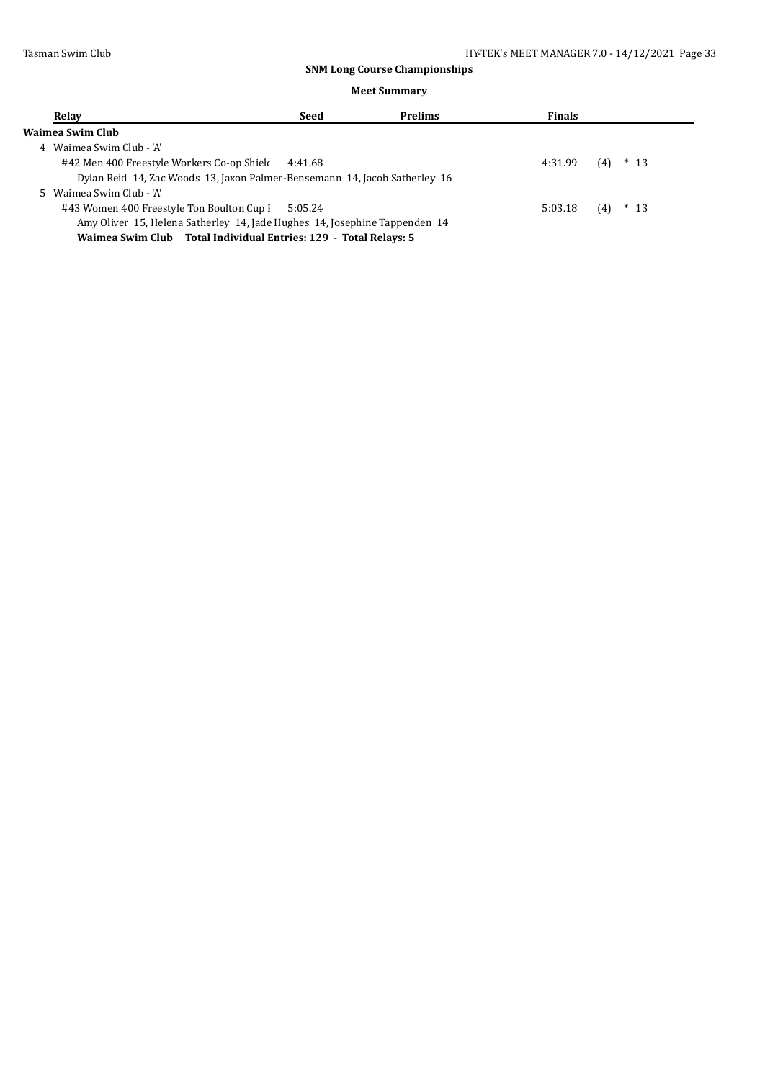| Relay             |                                                                            | Seed | <b>Prelims</b> | <b>Finals</b> |               |
|-------------------|----------------------------------------------------------------------------|------|----------------|---------------|---------------|
| Waimea Swim Club- |                                                                            |      |                |               |               |
| 4                 | Waimea Swim Club - 'A'                                                     |      |                |               |               |
|                   | #42 Men 400 Freestyle Workers Co-op Shiel 4:41.68                          |      |                | 4:31.99       | $*$ 13<br>(4) |
|                   | Dylan Reid 14, Zac Woods 13, Jaxon Palmer-Bensemann 14, Jacob Satherley 16 |      |                |               |               |
|                   | Waimea Swim Club - 'A'                                                     |      |                |               |               |
|                   | #43 Women 400 Freestyle Ton Boulton Cup I 5:05.24                          |      |                | 5:03.18       | $*$ 13<br>(4) |
|                   | Amy Oliver 15, Helena Satherley 14, Jade Hughes 14, Josephine Tappenden 14 |      |                |               |               |
|                   | Waimea Swim Club Total Individual Entries: 129 - Total Relays: 5           |      |                |               |               |